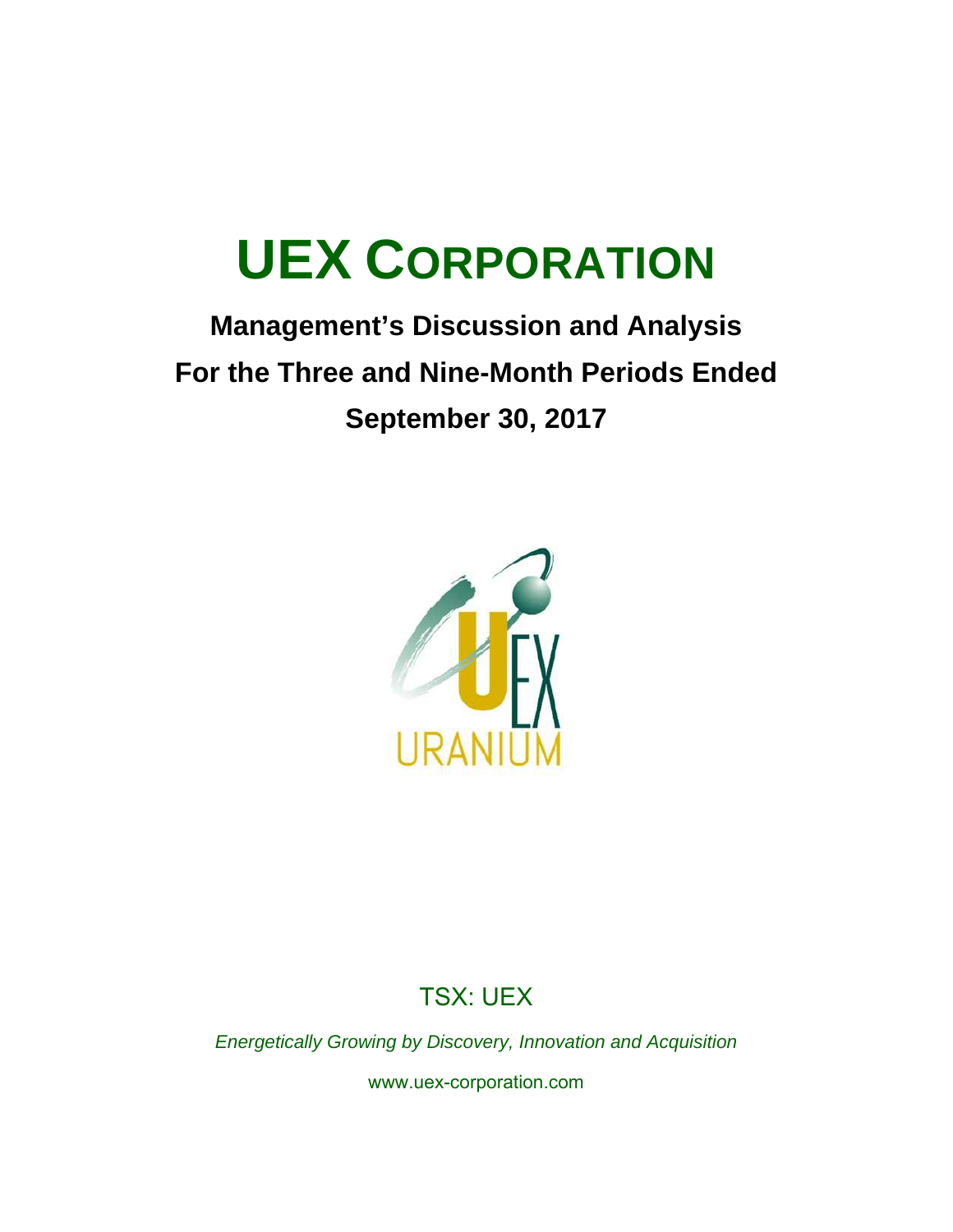## **Management's Discussion and Analysis For the Three and Nine-Month Periods Ended September 30, 2017**



## TSX: UEX

*Energetically Growing by Discovery, Innovation and Acquisition* 

www.uex-corporation.com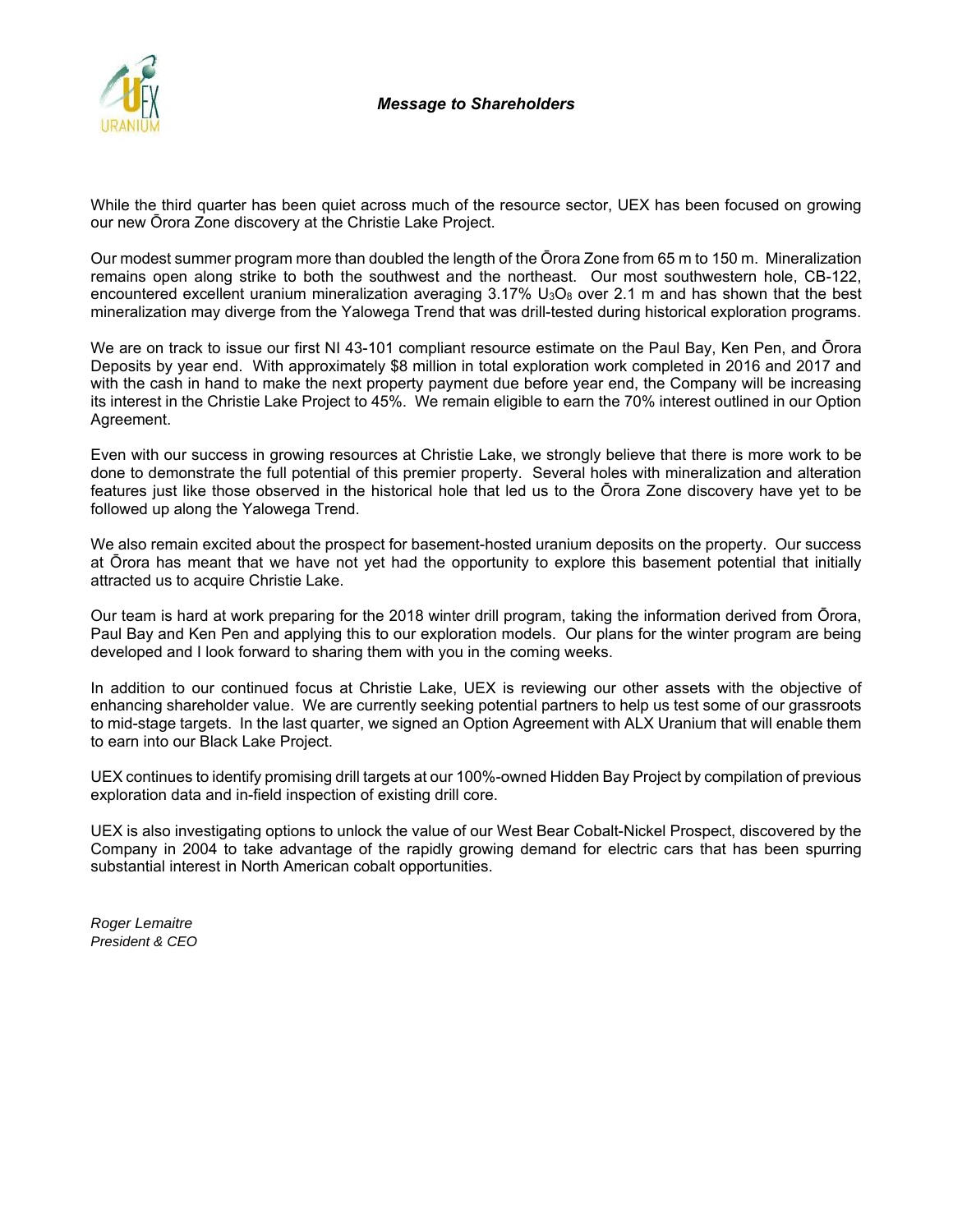

While the third quarter has been quiet across much of the resource sector, UEX has been focused on growing our new Ōrora Zone discovery at the Christie Lake Project.

Our modest summer program more than doubled the length of the Ōrora Zone from 65 m to 150 m. Mineralization remains open along strike to both the southwest and the northeast. Our most southwestern hole, CB-122, encountered excellent uranium mineralization averaging  $3.17\%$  U<sub>3</sub>O<sub>8</sub> over 2.1 m and has shown that the best mineralization may diverge from the Yalowega Trend that was drill-tested during historical exploration programs.

We are on track to issue our first NI 43-101 compliant resource estimate on the Paul Bay, Ken Pen, and Ōrora Deposits by year end. With approximately \$8 million in total exploration work completed in 2016 and 2017 and with the cash in hand to make the next property payment due before year end, the Company will be increasing its interest in the Christie Lake Project to 45%. We remain eligible to earn the 70% interest outlined in our Option Agreement.

Even with our success in growing resources at Christie Lake, we strongly believe that there is more work to be done to demonstrate the full potential of this premier property. Several holes with mineralization and alteration features just like those observed in the historical hole that led us to the Ōrora Zone discovery have yet to be followed up along the Yalowega Trend.

We also remain excited about the prospect for basement-hosted uranium deposits on the property. Our success at Ōrora has meant that we have not yet had the opportunity to explore this basement potential that initially attracted us to acquire Christie Lake.

Our team is hard at work preparing for the 2018 winter drill program, taking the information derived from Ōrora, Paul Bay and Ken Pen and applying this to our exploration models. Our plans for the winter program are being developed and I look forward to sharing them with you in the coming weeks.

In addition to our continued focus at Christie Lake, UEX is reviewing our other assets with the objective of enhancing shareholder value. We are currently seeking potential partners to help us test some of our grassroots to mid-stage targets. In the last quarter, we signed an Option Agreement with ALX Uranium that will enable them to earn into our Black Lake Project.

UEX continues to identify promising drill targets at our 100%-owned Hidden Bay Project by compilation of previous exploration data and in-field inspection of existing drill core.

UEX is also investigating options to unlock the value of our West Bear Cobalt-Nickel Prospect, discovered by the Company in 2004 to take advantage of the rapidly growing demand for electric cars that has been spurring substantial interest in North American cobalt opportunities.

*Roger Lemaitre President & CEO*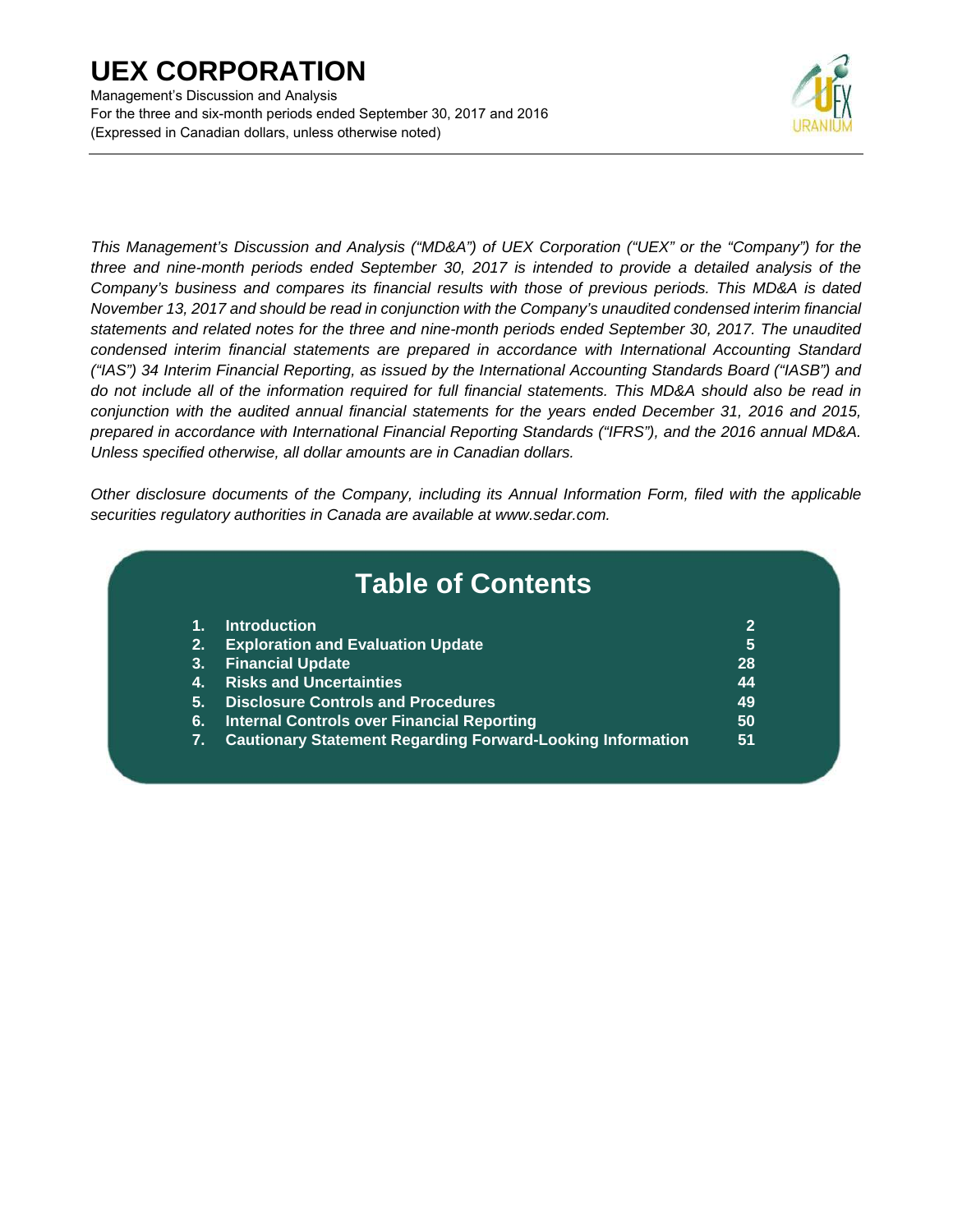Management's Discussion and Analysis For the three and six-month periods ended September 30, 2017 and 2016 (Expressed in Canadian dollars, unless otherwise noted)



*This Management's Discussion and Analysis ("MD&A") of UEX Corporation ("UEX" or the "Company") for the three and nine-month periods ended September 30, 2017 is intended to provide a detailed analysis of the Company's business and compares its financial results with those of previous periods. This MD&A is dated November 13, 2017 and should be read in conjunction with the Company's unaudited condensed interim financial statements and related notes for the three and nine-month periods ended September 30, 2017. The unaudited condensed interim financial statements are prepared in accordance with International Accounting Standard ("IAS") 34 Interim Financial Reporting, as issued by the International Accounting Standards Board ("IASB") and do not include all of the information required for full financial statements. This MD&A should also be read in conjunction with the audited annual financial statements for the years ended December 31, 2016 and 2015, prepared in accordance with International Financial Reporting Standards ("IFRS"), and the 2016 annual MD&A. Unless specified otherwise, all dollar amounts are in Canadian dollars.* 

*Other disclosure documents of the Company, including its Annual Information Form, filed with the applicable securities regulatory authorities in Canada are available at www.sedar.com.* 

|    | <b>Table of Contents</b>                                          |    |
|----|-------------------------------------------------------------------|----|
| 1. | <b>Introduction</b>                                               | 2  |
| 2. | <b>Exploration and Evaluation Update</b>                          | 5  |
| 3. | <b>Financial Update</b>                                           | 28 |
| 4. | <b>Risks and Uncertainties</b>                                    | 44 |
| 5. | <b>Disclosure Controls and Procedures</b>                         | 49 |
| 6. | <b>Internal Controls over Financial Reporting</b>                 | 50 |
| 7. | <b>Cautionary Statement Regarding Forward-Looking Information</b> | 51 |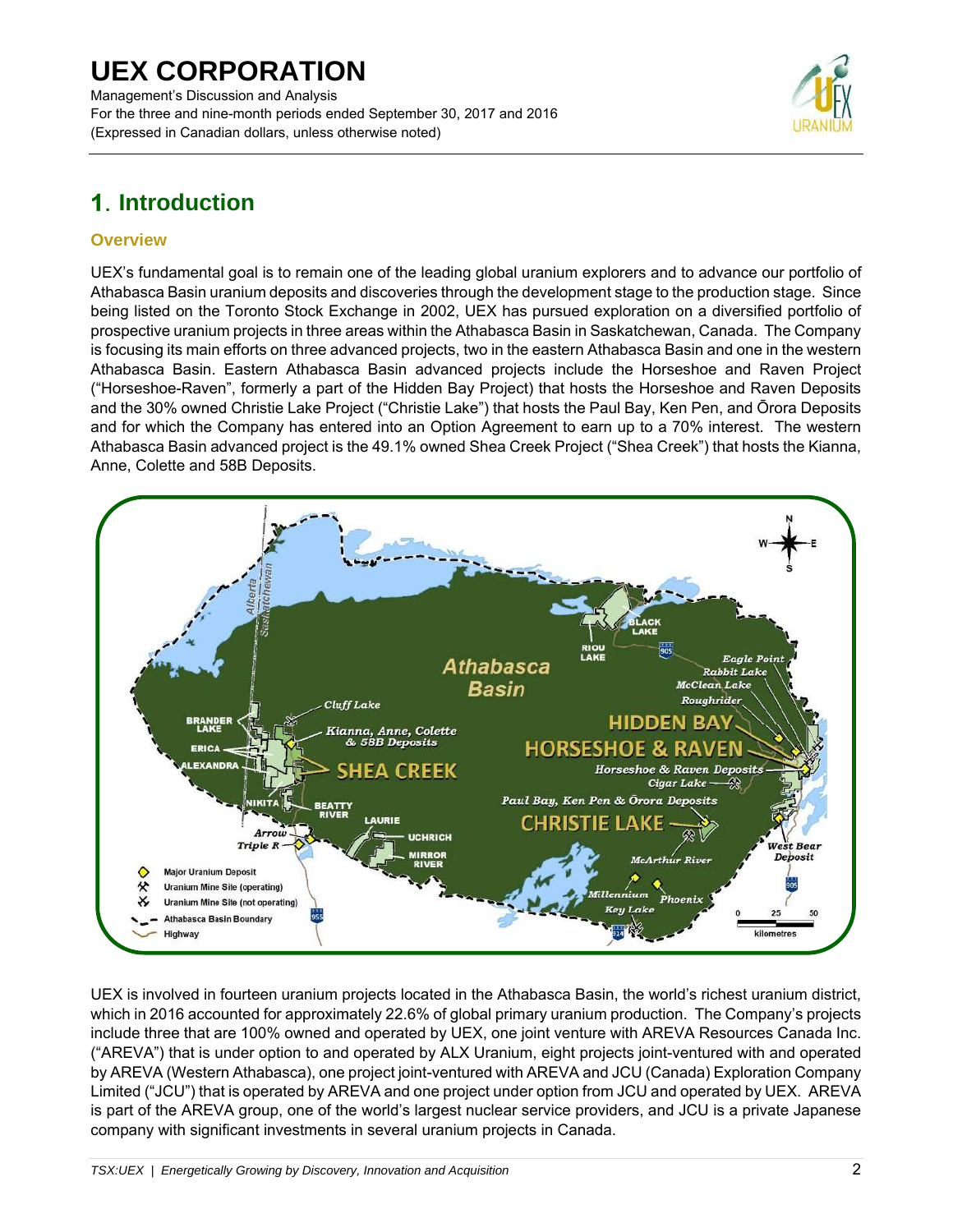Management's Discussion and Analysis For the three and nine-month periods ended September 30, 2017 and 2016 (Expressed in Canadian dollars, unless otherwise noted)



## **Introduction**

## **Overview**

UEX's fundamental goal is to remain one of the leading global uranium explorers and to advance our portfolio of Athabasca Basin uranium deposits and discoveries through the development stage to the production stage. Since being listed on the Toronto Stock Exchange in 2002, UEX has pursued exploration on a diversified portfolio of prospective uranium projects in three areas within the Athabasca Basin in Saskatchewan, Canada. The Company is focusing its main efforts on three advanced projects, two in the eastern Athabasca Basin and one in the western Athabasca Basin. Eastern Athabasca Basin advanced projects include the Horseshoe and Raven Project ("Horseshoe-Raven", formerly a part of the Hidden Bay Project) that hosts the Horseshoe and Raven Deposits and the 30% owned Christie Lake Project ("Christie Lake") that hosts the Paul Bay, Ken Pen, and Ōrora Deposits and for which the Company has entered into an Option Agreement to earn up to a 70% interest. The western Athabasca Basin advanced project is the 49.1% owned Shea Creek Project ("Shea Creek") that hosts the Kianna, Anne, Colette and 58B Deposits.



UEX is involved in fourteen uranium projects located in the Athabasca Basin, the world's richest uranium district, which in 2016 accounted for approximately 22.6% of global primary uranium production. The Company's projects include three that are 100% owned and operated by UEX, one joint venture with AREVA Resources Canada Inc. ("AREVA") that is under option to and operated by ALX Uranium, eight projects joint-ventured with and operated by AREVA (Western Athabasca), one project joint-ventured with AREVA and JCU (Canada) Exploration Company Limited ("JCU") that is operated by AREVA and one project under option from JCU and operated by UEX. AREVA is part of the AREVA group, one of the world's largest nuclear service providers, and JCU is a private Japanese company with significant investments in several uranium projects in Canada.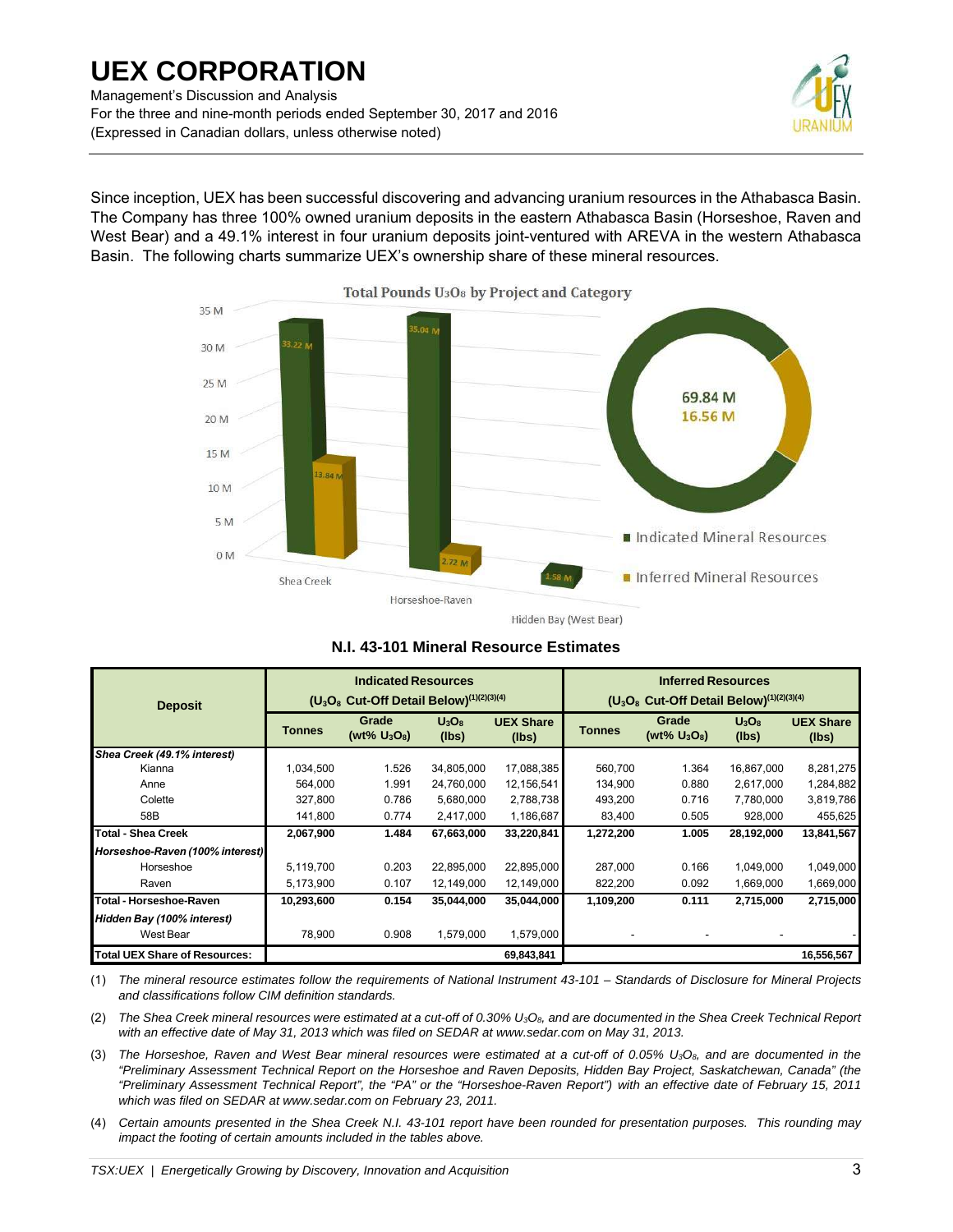Management's Discussion and Analysis For the three and nine-month periods ended September 30, 2017 and 2016 (Expressed in Canadian dollars, unless otherwise noted)



Since inception, UEX has been successful discovering and advancing uranium resources in the Athabasca Basin. The Company has three 100% owned uranium deposits in the eastern Athabasca Basin (Horseshoe, Raven and West Bear) and a 49.1% interest in four uranium deposits joint-ventured with AREVA in the western Athabasca Basin. The following charts summarize UEX's ownership share of these mineral resources.



**N.I. 43-101 Mineral Resource Estimates** 

|                                      |            | <b>Indicated Resources</b>                                                   |                   |                           | <b>Inferred Resources</b>                               |                          |                   |                           |  |
|--------------------------------------|------------|------------------------------------------------------------------------------|-------------------|---------------------------|---------------------------------------------------------|--------------------------|-------------------|---------------------------|--|
| <b>Deposit</b>                       |            | (U <sub>3</sub> O <sub>8</sub> Cut-Off Detail Below) <sup>(1)(2)(3)(4)</sup> |                   |                           | $(U_3O_8$ Cut-Off Detail Below) <sup>(1)(2)(3)(4)</sup> |                          |                   |                           |  |
|                                      | Tonnes     | Grade<br>(wt% $U_3O_8$ )                                                     | $U_3O_8$<br>(lbs) | <b>UEX Share</b><br>(lbs) | <b>Tonnes</b>                                           | Grade<br>(wt% $U_3O_8$ ) | $U_3O_8$<br>(lbs) | <b>UEX Share</b><br>(lbs) |  |
| Shea Creek (49.1% interest)          |            |                                                                              |                   |                           |                                                         |                          |                   |                           |  |
| Kianna                               | 1.034.500  | 1.526                                                                        | 34,805,000        | 17,088,385                | 560.700                                                 | 1.364                    | 16,867,000        | 8,281,275                 |  |
| Anne                                 | 564.000    | 1.991                                                                        | 24,760,000        | 12,156,541                | 134,900                                                 | 0.880                    | 2,617,000         | 1,284,882                 |  |
| Colette                              | 327,800    | 0.786                                                                        | 5,680,000         | 2,788,738                 | 493,200                                                 | 0.716                    | 7,780,000         | 3,819,786                 |  |
| 58B                                  | 141,800    | 0.774                                                                        | 2,417,000         | 1,186,687                 | 83,400                                                  | 0.505                    | 928,000           | 455,625                   |  |
| <b>Total - Shea Creek</b>            | 2,067,900  | 1.484                                                                        | 67,663,000        | 33,220,841                | 1,272,200                                               | 1.005                    | 28,192,000        | 13,841,567                |  |
| Horseshoe-Raven (100% interest)      |            |                                                                              |                   |                           |                                                         |                          |                   |                           |  |
| Horseshoe                            | 5,119,700  | 0.203                                                                        | 22,895,000        | 22,895,000                | 287,000                                                 | 0.166                    | 1,049,000         | 1,049,000                 |  |
| Raven                                | 5,173,900  | 0.107                                                                        | 12,149,000        | 12,149,000                | 822,200                                                 | 0.092                    | 1,669,000         | 1,669,000                 |  |
| <b>Total - Horseshoe-Raven</b>       | 10,293,600 | 0.154                                                                        | 35,044,000        | 35,044,000                | 1,109,200                                               | 0.111                    | 2,715,000         | 2,715,000                 |  |
| Hidden Bay (100% interest)           |            |                                                                              |                   |                           |                                                         |                          |                   |                           |  |
| West Bear                            | 78,900     | 0.908                                                                        | 1,579,000         | 1,579,000                 |                                                         |                          |                   |                           |  |
| <b>Total UEX Share of Resources:</b> |            |                                                                              |                   | 69,843,841                |                                                         |                          |                   | 16,556,567                |  |

(1) *The mineral resource estimates follow the requirements of National Instrument 43-101 – Standards of Disclosure for Mineral Projects and classifications follow CIM definition standards.* 

(2) *The Shea Creek mineral resources were estimated at a cut-off of 0.30% U3O8, and are documented in the Shea Creek Technical Report*  with an effective date of May 31, 2013 which was filed on SEDAR at www.sedar.com on May 31, 2013.

(3) The Horseshoe, Raven and West Bear mineral resources were estimated at a cut-off of 0.05% U<sub>3</sub>O<sub>8</sub>, and are documented in the *"Preliminary Assessment Technical Report on the Horseshoe and Raven Deposits, Hidden Bay Project, Saskatchewan, Canada" (the "Preliminary Assessment Technical Report", the "PA" or the "Horseshoe-Raven Report") with an effective date of February 15, 2011 which was filed on SEDAR at www.sedar.com on February 23, 2011.* 

(4) *Certain amounts presented in the Shea Creek N.I. 43-101 report have been rounded for presentation purposes. This rounding may impact the footing of certain amounts included in the tables above.*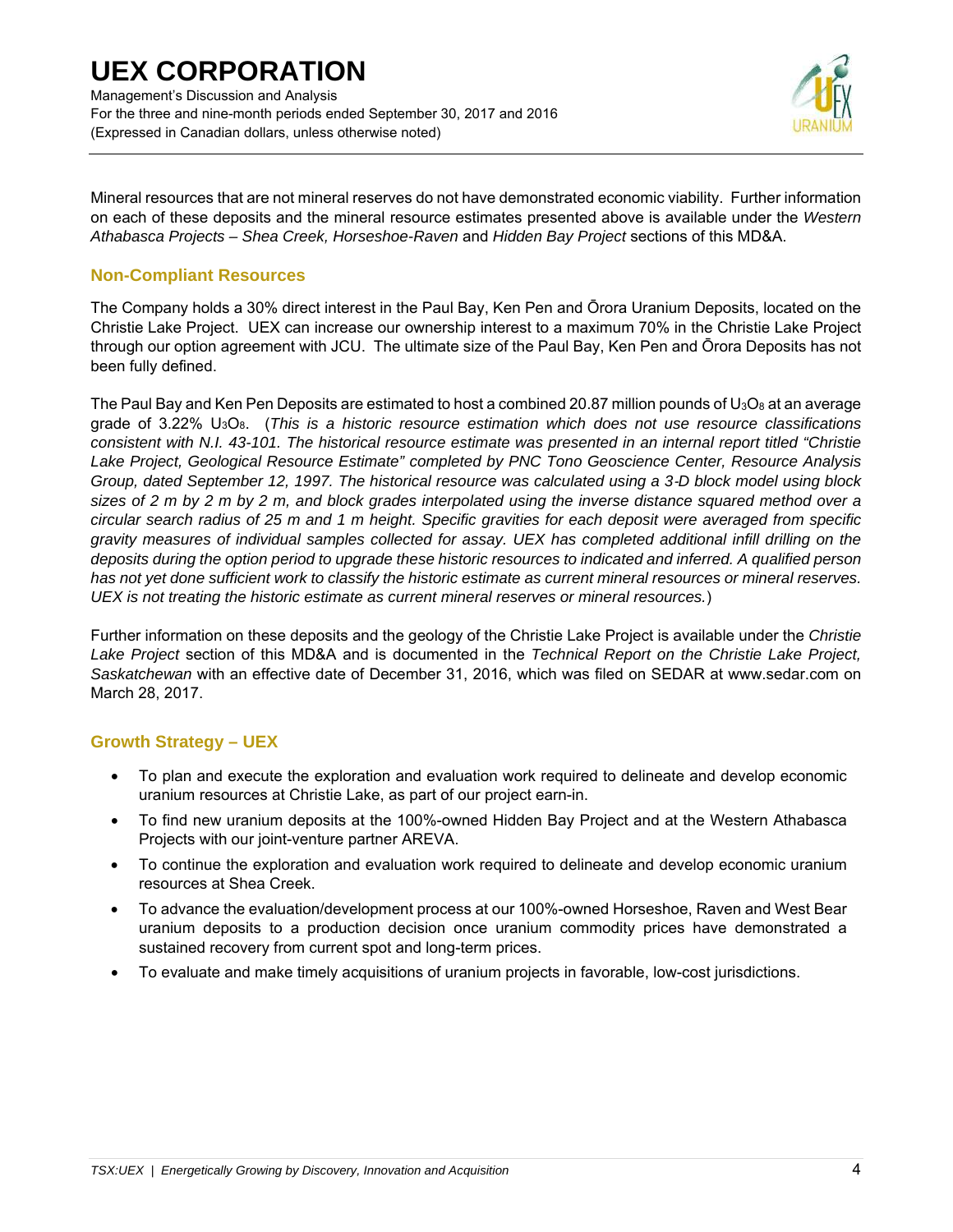## **UEX CORPORATION**  Management's Discussion and Analysis

For the three and nine-month periods ended September 30, 2017 and 2016 (Expressed in Canadian dollars, unless otherwise noted)



Mineral resources that are not mineral reserves do not have demonstrated economic viability. Further information on each of these deposits and the mineral resource estimates presented above is available under the *Western Athabasca Projects – Shea Creek, Horseshoe-Raven* and *Hidden Bay Project* sections of this MD&A.

## **Non-Compliant Resources**

The Company holds a 30% direct interest in the Paul Bay, Ken Pen and Ōrora Uranium Deposits, located on the Christie Lake Project. UEX can increase our ownership interest to a maximum 70% in the Christie Lake Project through our option agreement with JCU. The ultimate size of the Paul Bay, Ken Pen and Ōrora Deposits has not been fully defined.

The Paul Bay and Ken Pen Deposits are estimated to host a combined 20.87 million pounds of  $U_3O_8$  at an average grade of 3.22% U3O8. (*This is a historic resource estimation which does not use resource classifications consistent with N.I. 43-101. The historical resource estimate was presented in an internal report titled "Christie Lake Project, Geological Resource Estimate" completed by PNC Tono Geoscience Center, Resource Analysis Group, dated September 12, 1997. The historical resource was calculated using a 3*-*D block model using block sizes of 2 m by 2 m by 2 m, and block grades interpolated using the inverse distance squared method over a circular search radius of 25 m and 1 m height. Specific gravities for each deposit were averaged from specific gravity measures of individual samples collected for assay. UEX has completed additional infill drilling on the deposits during the option period to upgrade these historic resources to indicated and inferred. A qualified person has not yet done sufficient work to classify the historic estimate as current mineral resources or mineral reserves. UEX is not treating the historic estimate as current mineral reserves or mineral resources.*)

Further information on these deposits and the geology of the Christie Lake Project is available under the *Christie Lake Project* section of this MD&A and is documented in the *Technical Report on the Christie Lake Project, Saskatchewan* with an effective date of December 31, 2016, which was filed on SEDAR at www.sedar.com on March 28, 2017.

## **Growth Strategy – UEX**

- To plan and execute the exploration and evaluation work required to delineate and develop economic uranium resources at Christie Lake, as part of our project earn-in.
- To find new uranium deposits at the 100%-owned Hidden Bay Project and at the Western Athabasca Projects with our joint-venture partner AREVA.
- To continue the exploration and evaluation work required to delineate and develop economic uranium resources at Shea Creek.
- To advance the evaluation/development process at our 100%-owned Horseshoe, Raven and West Bear uranium deposits to a production decision once uranium commodity prices have demonstrated a sustained recovery from current spot and long-term prices.
- To evaluate and make timely acquisitions of uranium projects in favorable, low-cost jurisdictions.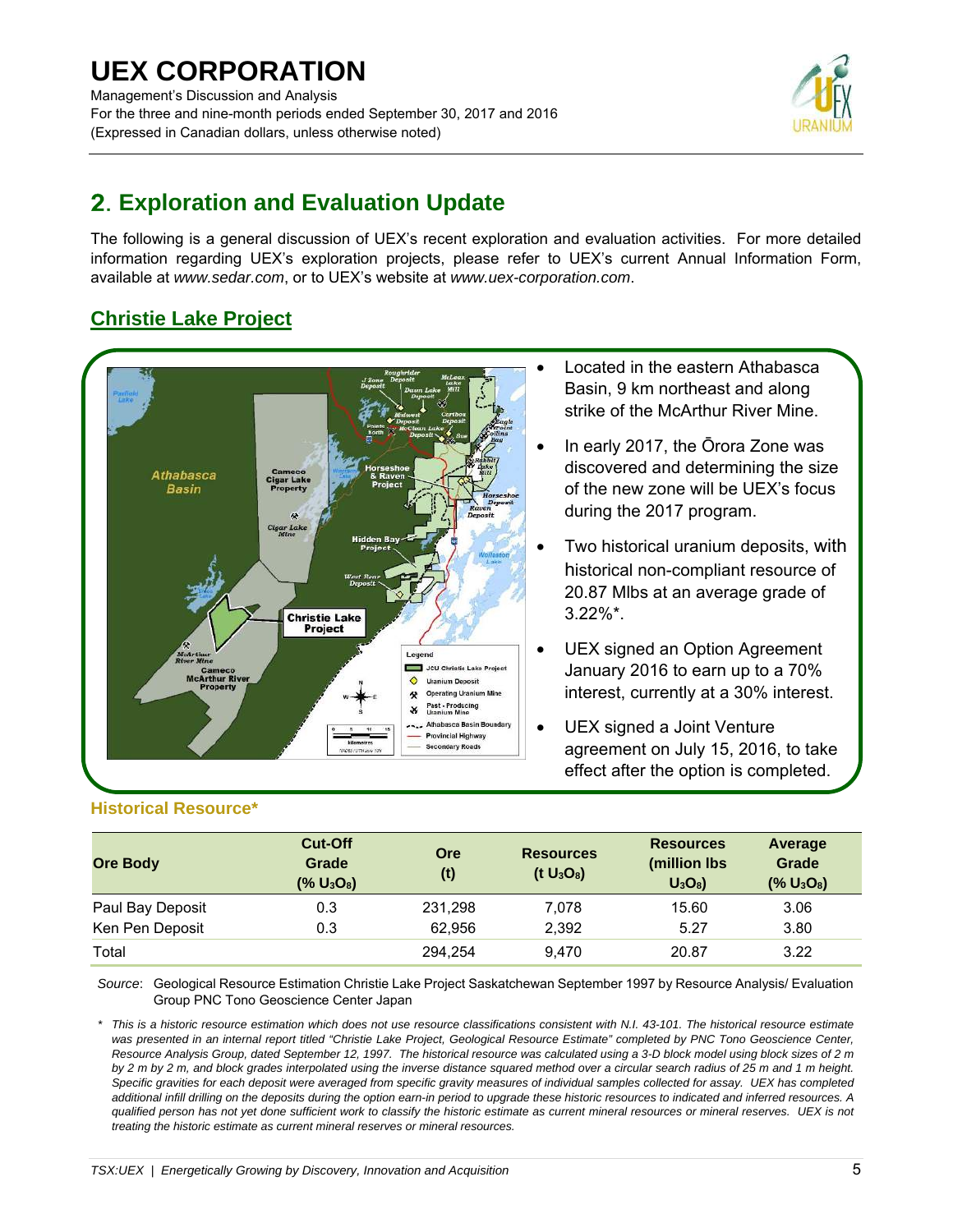## **UEX CORPORATION**  Management's Discussion and Analysis For the three and nine-month periods ended September 30, 2017 and 2016 (Expressed in Canadian dollars, unless otherwise noted)



## **Exploration and Evaluation Update**

The following is a general discussion of UEX's recent exploration and evaluation activities. For more detailed information regarding UEX's exploration projects, please refer to UEX's current Annual Information Form, available at *www.sedar.com*, or to UEX's website at *www.uex-corporation.com*.

## **Christie Lake Project**



- Located in the eastern Athabasca Basin, 9 km northeast and along strike of the McArthur River Mine.
- In early 2017, the Ōrora Zone was discovered and determining the size of the new zone will be UEX's focus during the 2017 program.
- Two historical uranium deposits, with historical non-compliant resource of 20.87 Mlbs at an average grade of 3.22%\*.
- UEX signed an Option Agreement January 2016 to earn up to a 70% interest, currently at a 30% interest.
- UEX signed a Joint Venture agreement on July 15, 2016, to take effect after the option is completed.

## **Historical Resource\***

| <b>Ore Body</b>  | <b>Cut-Off</b><br>Grade<br>(% U <sub>3</sub> O <sub>8</sub> ) | <b>Ore</b><br>(t) | <b>Resources</b><br>(t U <sub>3</sub> O <sub>8</sub> ) | <b>Resources</b><br>(million lbs<br>$U_3O_8$ | Average<br><b>Grade</b><br>$(% U_3O_8)$ |
|------------------|---------------------------------------------------------------|-------------------|--------------------------------------------------------|----------------------------------------------|-----------------------------------------|
| Paul Bay Deposit | 0.3                                                           | 231,298           | 7,078                                                  | 15.60                                        | 3.06                                    |
| Ken Pen Deposit  | 0.3                                                           | 62.956            | 2,392                                                  | 5.27                                         | 3.80                                    |
| Total            |                                                               | 294.254           | 9.470                                                  | 20.87                                        | 3.22                                    |

*Source*: Geological Resource Estimation Christie Lake Project Saskatchewan September 1997 by Resource Analysis/ Evaluation Group PNC Tono Geoscience Center Japan

*\* This is a historic resource estimation which does not use resource classifications consistent with N.I. 43-101. The historical resource estimate was presented in an internal report titled "Christie Lake Project, Geological Resource Estimate" completed by PNC Tono Geoscience Center, Resource Analysis Group, dated September 12, 1997. The historical resource was calculated using a 3-D block model using block sizes of 2 m by 2 m by 2 m, and block grades interpolated using the inverse distance squared method over a circular search radius of 25 m and 1 m height. Specific gravities for each deposit were averaged from specific gravity measures of individual samples collected for assay. UEX has completed additional infill drilling on the deposits during the option earn-in period to upgrade these historic resources to indicated and inferred resources. A qualified person has not yet done sufficient work to classify the historic estimate as current mineral resources or mineral reserves. UEX is not treating the historic estimate as current mineral reserves or mineral resources.*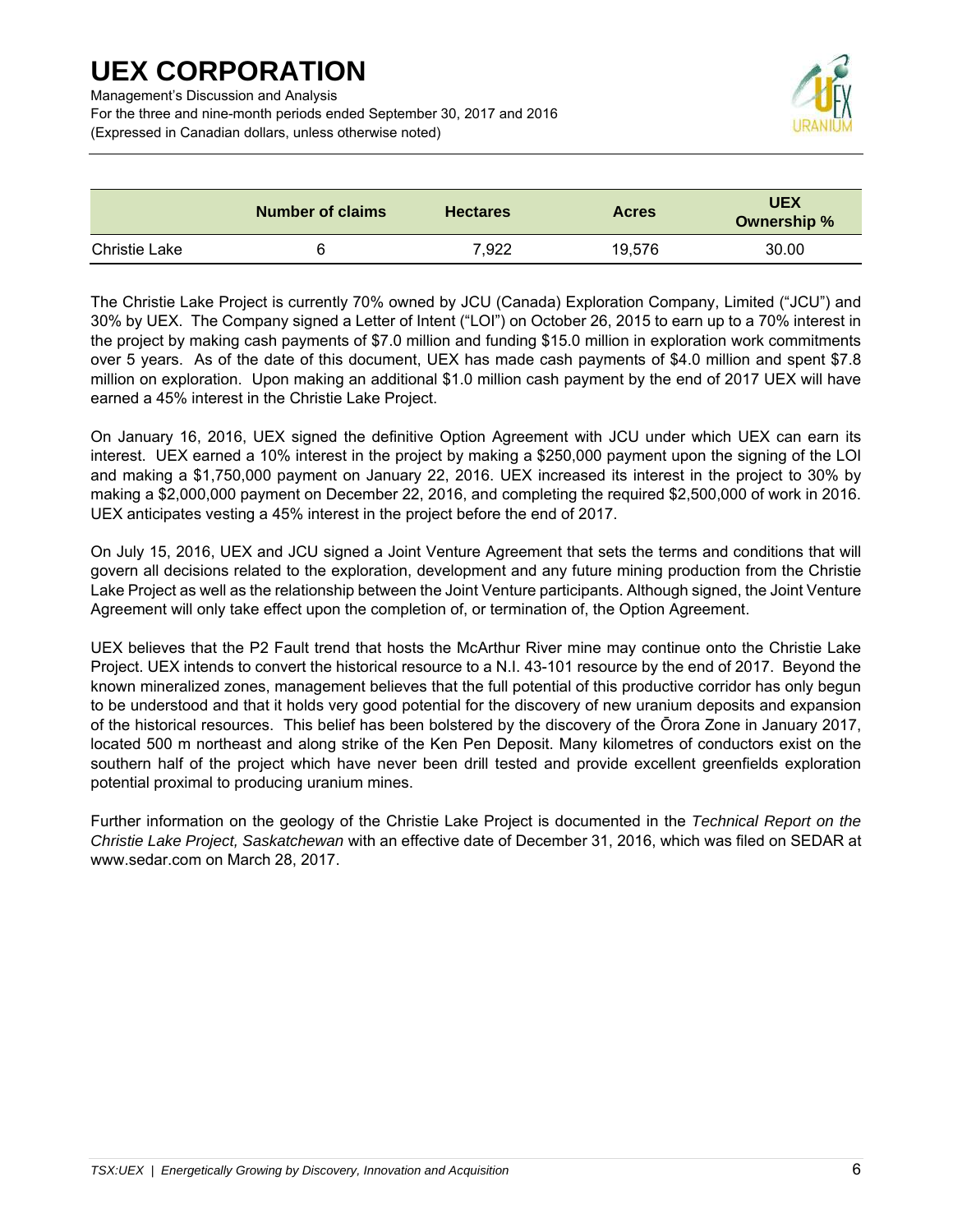Management's Discussion and Analysis

For the three and nine-month periods ended September 30, 2017 and 2016 (Expressed in Canadian dollars, unless otherwise noted)



|                      | <b>Number of claims</b> | <b>Hectares</b> | <b>Acres</b> | <b>UEX</b><br>Ownership % |
|----------------------|-------------------------|-----------------|--------------|---------------------------|
| <b>Christie Lake</b> | 6                       | 7.922           | 19.576       | 30.00                     |

The Christie Lake Project is currently 70% owned by JCU (Canada) Exploration Company, Limited ("JCU") and 30% by UEX. The Company signed a Letter of Intent ("LOI") on October 26, 2015 to earn up to a 70% interest in the project by making cash payments of \$7.0 million and funding \$15.0 million in exploration work commitments over 5 years. As of the date of this document, UEX has made cash payments of \$4.0 million and spent \$7.8 million on exploration. Upon making an additional \$1.0 million cash payment by the end of 2017 UEX will have earned a 45% interest in the Christie Lake Project.

On January 16, 2016, UEX signed the definitive Option Agreement with JCU under which UEX can earn its interest. UEX earned a 10% interest in the project by making a \$250,000 payment upon the signing of the LOI and making a \$1,750,000 payment on January 22, 2016. UEX increased its interest in the project to 30% by making a \$2,000,000 payment on December 22, 2016, and completing the required \$2,500,000 of work in 2016. UEX anticipates vesting a 45% interest in the project before the end of 2017.

On July 15, 2016, UEX and JCU signed a Joint Venture Agreement that sets the terms and conditions that will govern all decisions related to the exploration, development and any future mining production from the Christie Lake Project as well as the relationship between the Joint Venture participants. Although signed, the Joint Venture Agreement will only take effect upon the completion of, or termination of, the Option Agreement.

UEX believes that the P2 Fault trend that hosts the McArthur River mine may continue onto the Christie Lake Project. UEX intends to convert the historical resource to a N.I. 43-101 resource by the end of 2017. Beyond the known mineralized zones, management believes that the full potential of this productive corridor has only begun to be understood and that it holds very good potential for the discovery of new uranium deposits and expansion of the historical resources. This belief has been bolstered by the discovery of the Ōrora Zone in January 2017, located 500 m northeast and along strike of the Ken Pen Deposit. Many kilometres of conductors exist on the southern half of the project which have never been drill tested and provide excellent greenfields exploration potential proximal to producing uranium mines.

Further information on the geology of the Christie Lake Project is documented in the *Technical Report on the Christie Lake Project, Saskatchewan* with an effective date of December 31, 2016, which was filed on SEDAR at www.sedar.com on March 28, 2017.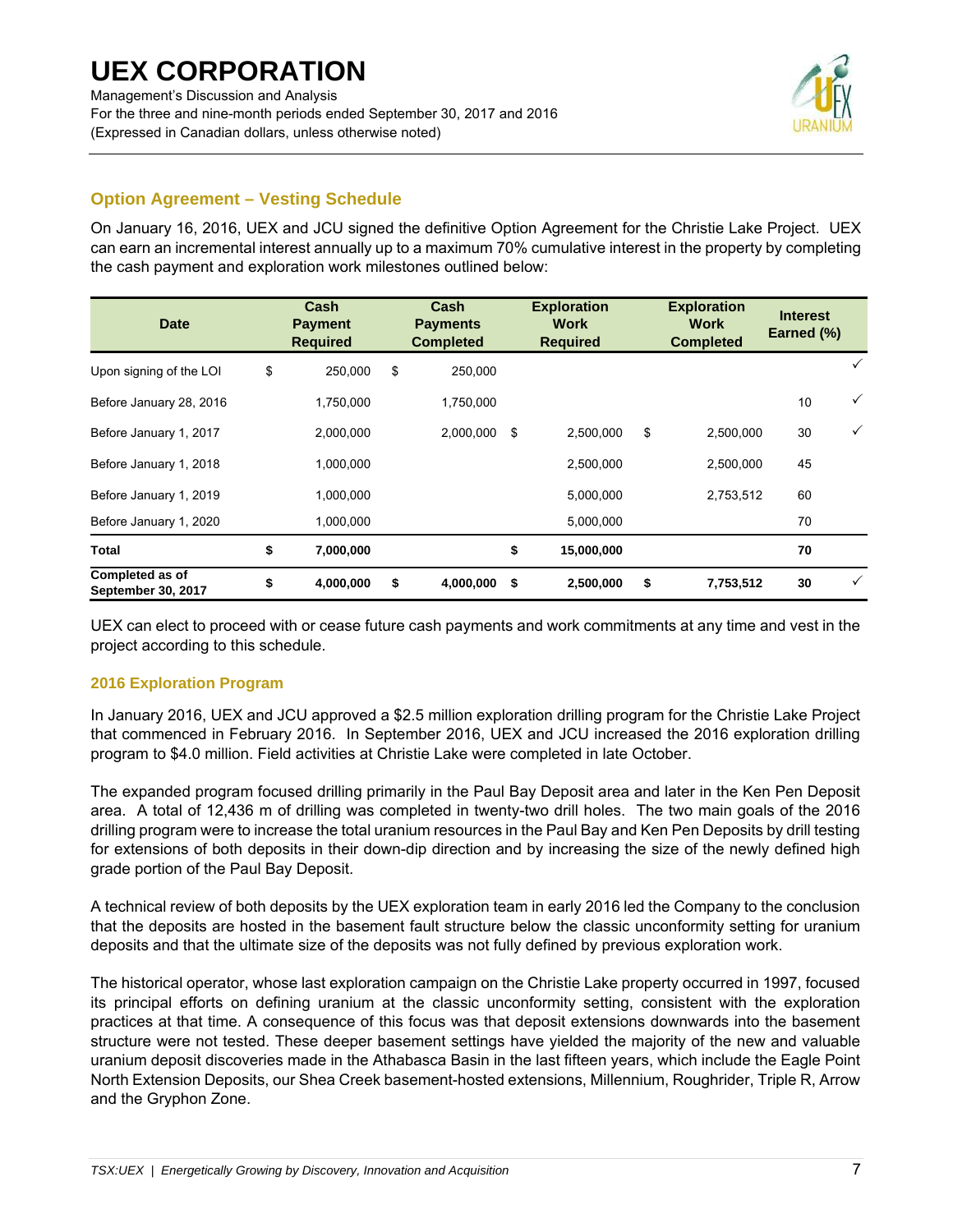For the three and nine-month periods ended September 30, 2017 and 2016 (Expressed in Canadian dollars, unless otherwise noted)



## **Option Agreement – Vesting Schedule**

On January 16, 2016, UEX and JCU signed the definitive Option Agreement for the Christie Lake Project. UEX can earn an incremental interest annually up to a maximum 70% cumulative interest in the property by completing the cash payment and exploration work milestones outlined below:

| <b>Date</b>                                         | Cash<br><b>Payment</b><br><b>Required</b> | Cash<br><b>Payments</b><br><b>Completed</b> |      | <b>Exploration</b><br><b>Work</b><br><b>Required</b> | <b>Exploration</b><br>Work<br><b>Completed</b> | <b>Interest</b><br>Earned (%) |              |
|-----------------------------------------------------|-------------------------------------------|---------------------------------------------|------|------------------------------------------------------|------------------------------------------------|-------------------------------|--------------|
| Upon signing of the LOI                             | \$<br>250,000                             | \$<br>250,000                               |      |                                                      |                                                |                               |              |
| Before January 28, 2016                             | 1,750,000                                 | 1,750,000                                   |      |                                                      |                                                | 10                            | $\checkmark$ |
| Before January 1, 2017                              | 2,000,000                                 | 2,000,000                                   | - \$ | 2,500,000                                            | \$<br>2,500,000                                | 30                            | $\checkmark$ |
| Before January 1, 2018                              | 1,000,000                                 |                                             |      | 2,500,000                                            | 2,500,000                                      | 45                            |              |
| Before January 1, 2019                              | 1,000,000                                 |                                             |      | 5,000,000                                            | 2,753,512                                      | 60                            |              |
| Before January 1, 2020                              | 1,000,000                                 |                                             |      | 5,000,000                                            |                                                | 70                            |              |
| <b>Total</b>                                        | \$<br>7,000,000                           |                                             | \$   | 15,000,000                                           |                                                | 70                            |              |
| <b>Completed as of</b><br><b>September 30, 2017</b> | \$<br>4,000,000                           | \$<br>4,000,000                             | - \$ | 2,500,000                                            | \$<br>7,753,512                                | 30                            |              |

UEX can elect to proceed with or cease future cash payments and work commitments at any time and vest in the project according to this schedule.

### **2016 Exploration Program**

In January 2016, UEX and JCU approved a \$2.5 million exploration drilling program for the Christie Lake Project that commenced in February 2016. In September 2016, UEX and JCU increased the 2016 exploration drilling program to \$4.0 million. Field activities at Christie Lake were completed in late October.

The expanded program focused drilling primarily in the Paul Bay Deposit area and later in the Ken Pen Deposit area. A total of 12,436 m of drilling was completed in twenty-two drill holes. The two main goals of the 2016 drilling program were to increase the total uranium resources in the Paul Bay and Ken Pen Deposits by drill testing for extensions of both deposits in their down-dip direction and by increasing the size of the newly defined high grade portion of the Paul Bay Deposit.

A technical review of both deposits by the UEX exploration team in early 2016 led the Company to the conclusion that the deposits are hosted in the basement fault structure below the classic unconformity setting for uranium deposits and that the ultimate size of the deposits was not fully defined by previous exploration work.

The historical operator, whose last exploration campaign on the Christie Lake property occurred in 1997, focused its principal efforts on defining uranium at the classic unconformity setting, consistent with the exploration practices at that time. A consequence of this focus was that deposit extensions downwards into the basement structure were not tested. These deeper basement settings have yielded the majority of the new and valuable uranium deposit discoveries made in the Athabasca Basin in the last fifteen years, which include the Eagle Point North Extension Deposits, our Shea Creek basement-hosted extensions, Millennium, Roughrider, Triple R, Arrow and the Gryphon Zone.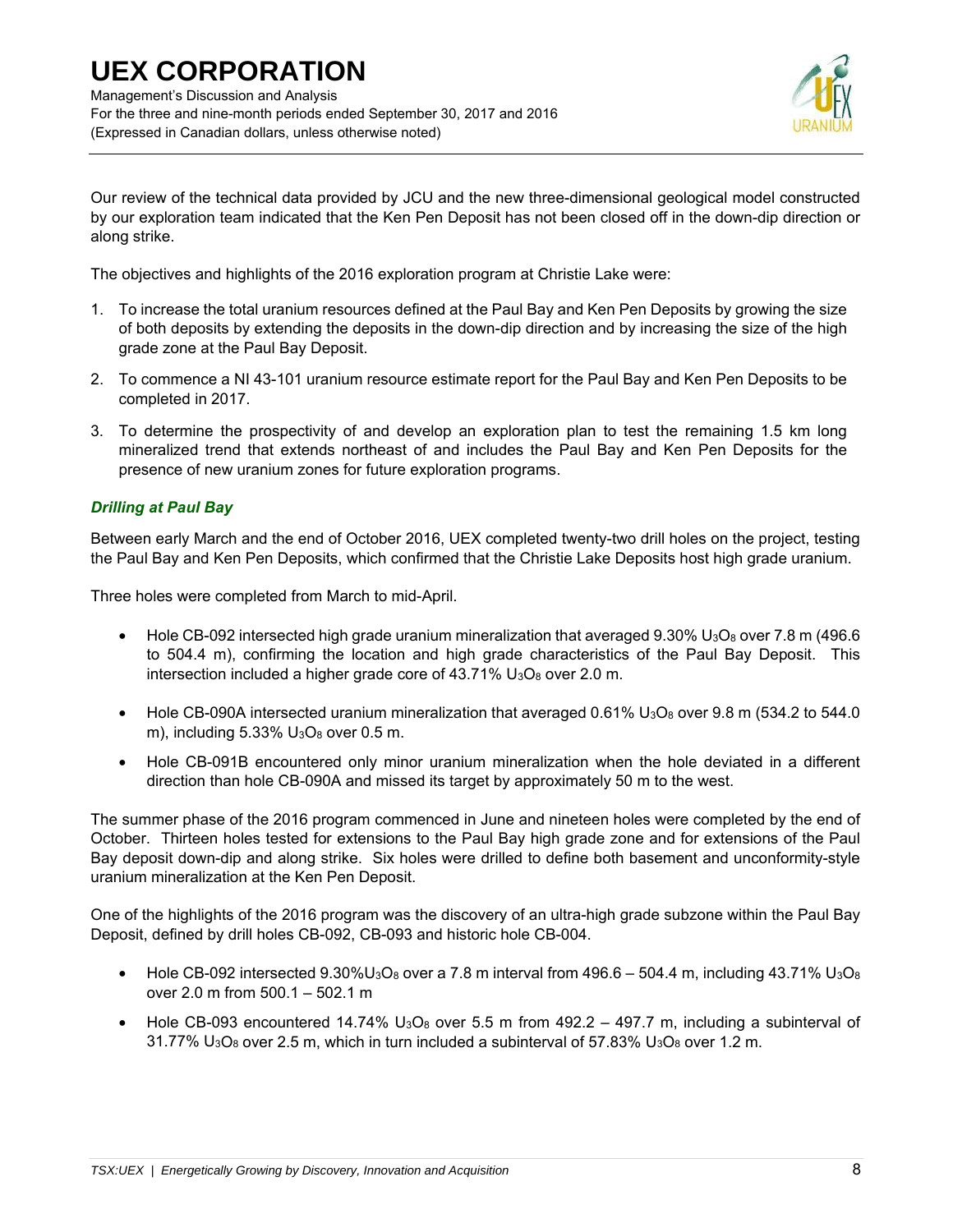

Our review of the technical data provided by JCU and the new three-dimensional geological model constructed by our exploration team indicated that the Ken Pen Deposit has not been closed off in the down-dip direction or along strike.

The objectives and highlights of the 2016 exploration program at Christie Lake were:

- 1. To increase the total uranium resources defined at the Paul Bay and Ken Pen Deposits by growing the size of both deposits by extending the deposits in the down-dip direction and by increasing the size of the high grade zone at the Paul Bay Deposit.
- 2. To commence a NI 43-101 uranium resource estimate report for the Paul Bay and Ken Pen Deposits to be completed in 2017.
- 3. To determine the prospectivity of and develop an exploration plan to test the remaining 1.5 km long mineralized trend that extends northeast of and includes the Paul Bay and Ken Pen Deposits for the presence of new uranium zones for future exploration programs.

### *Drilling at Paul Bay*

Between early March and the end of October 2016, UEX completed twenty-two drill holes on the project, testing the Paul Bay and Ken Pen Deposits, which confirmed that the Christie Lake Deposits host high grade uranium.

Three holes were completed from March to mid-April.

- Hole CB-092 intersected high grade uranium mineralization that averaged  $9.30\%$  U<sub>3</sub>O<sub>8</sub> over 7.8 m (496.6) to 504.4 m), confirming the location and high grade characteristics of the Paul Bay Deposit. This intersection included a higher grade core of  $43.71\%$  U<sub>3</sub>O<sub>8</sub> over 2.0 m.
- Hole CB-090A intersected uranium mineralization that averaged  $0.61\%$  U<sub>3</sub>O<sub>8</sub> over 9.8 m (534.2 to 544.0 m), including  $5.33\%$  U<sub>3</sub>O<sub>8</sub> over 0.5 m.
- Hole CB-091B encountered only minor uranium mineralization when the hole deviated in a different direction than hole CB-090A and missed its target by approximately 50 m to the west.

The summer phase of the 2016 program commenced in June and nineteen holes were completed by the end of October. Thirteen holes tested for extensions to the Paul Bay high grade zone and for extensions of the Paul Bay deposit down-dip and along strike. Six holes were drilled to define both basement and unconformity-style uranium mineralization at the Ken Pen Deposit.

One of the highlights of the 2016 program was the discovery of an ultra-high grade subzone within the Paul Bay Deposit, defined by drill holes CB-092, CB-093 and historic hole CB-004.

- Hole CB-092 intersected 9.30%U<sub>3</sub>O<sub>8</sub> over a 7.8 m interval from 496.6 504.4 m, including 43.71% U<sub>3</sub>O<sub>8</sub> over 2.0 m from 500.1 – 502.1 m
- Hole CB-093 encountered 14.74%  $U_3O_8$  over 5.5 m from 492.2 497.7 m, including a subinterval of  $31.77\%$  U<sub>3</sub>O<sub>8</sub> over 2.5 m, which in turn included a subinterval of 57.83% U<sub>3</sub>O<sub>8</sub> over 1.2 m.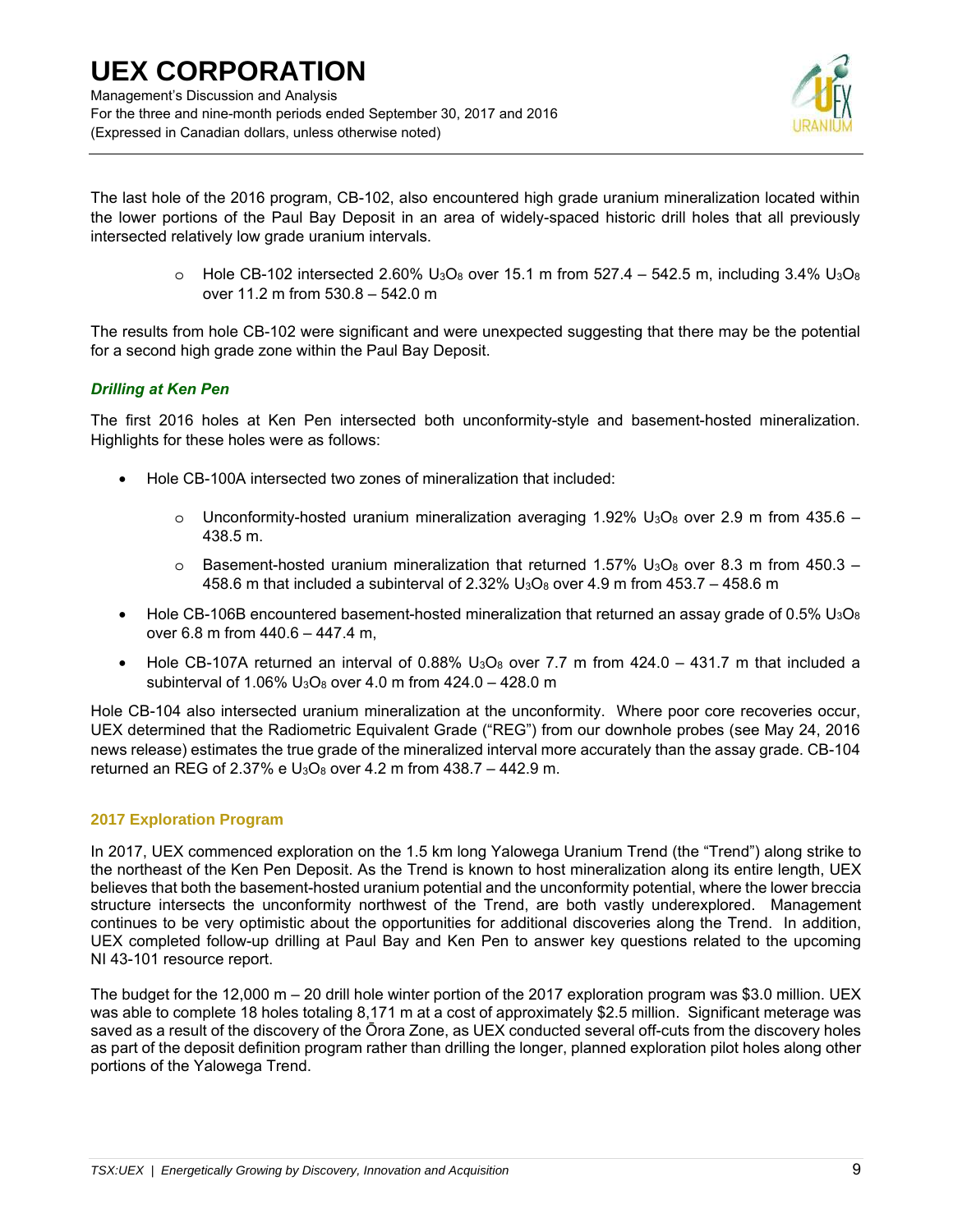

The last hole of the 2016 program, CB-102, also encountered high grade uranium mineralization located within the lower portions of the Paul Bay Deposit in an area of widely-spaced historic drill holes that all previously intersected relatively low grade uranium intervals.

> $\circ$  Hole CB-102 intersected 2.60% U<sub>3</sub>O<sub>8</sub> over 15.1 m from 527.4 – 542.5 m, including 3.4% U<sub>3</sub>O<sub>8</sub> over 11.2 m from 530.8 – 542.0 m

The results from hole CB-102 were significant and were unexpected suggesting that there may be the potential for a second high grade zone within the Paul Bay Deposit.

### *Drilling at Ken Pen*

The first 2016 holes at Ken Pen intersected both unconformity-style and basement-hosted mineralization. Highlights for these holes were as follows:

- Hole CB-100A intersected two zones of mineralization that included:
	- $\circ$  Unconformity-hosted uranium mineralization averaging 1.92% U<sub>3</sub>O<sub>8</sub> over 2.9 m from 435.6 438.5 m.
	- $\circ$  Basement-hosted uranium mineralization that returned 1.57% U<sub>3</sub>O<sub>8</sub> over 8.3 m from 450.3 458.6 m that included a subinterval of  $2.32\%$  U<sub>3</sub>O<sub>8</sub> over 4.9 m from 453.7 - 458.6 m
- Hole CB-106B encountered basement-hosted mineralization that returned an assay grade of 0.5%  $U_3O_8$ over 6.8 m from 440.6 – 447.4 m,
- Hole CB-107A returned an interval of 0.88%  $U_3O_8$  over 7.7 m from 424.0 431.7 m that included a subinterval of 1.06%  $U_3O_8$  over 4.0 m from 424.0 – 428.0 m

Hole CB-104 also intersected uranium mineralization at the unconformity. Where poor core recoveries occur, UEX determined that the Radiometric Equivalent Grade ("REG") from our downhole probes (see May 24, 2016 news release) estimates the true grade of the mineralized interval more accurately than the assay grade. CB-104 returned an REG of 2.37% e  $U_3O_8$  over 4.2 m from 438.7 – 442.9 m.

### **2017 Exploration Program**

In 2017, UEX commenced exploration on the 1.5 km long Yalowega Uranium Trend (the "Trend") along strike to the northeast of the Ken Pen Deposit. As the Trend is known to host mineralization along its entire length, UEX believes that both the basement-hosted uranium potential and the unconformity potential, where the lower breccia structure intersects the unconformity northwest of the Trend, are both vastly underexplored. Management continues to be very optimistic about the opportunities for additional discoveries along the Trend. In addition, UEX completed follow-up drilling at Paul Bay and Ken Pen to answer key questions related to the upcoming NI 43-101 resource report.

The budget for the 12,000 m – 20 drill hole winter portion of the 2017 exploration program was \$3.0 million. UEX was able to complete 18 holes totaling 8,171 m at a cost of approximately \$2.5 million. Significant meterage was saved as a result of the discovery of the Ōrora Zone, as UEX conducted several off-cuts from the discovery holes as part of the deposit definition program rather than drilling the longer, planned exploration pilot holes along other portions of the Yalowega Trend.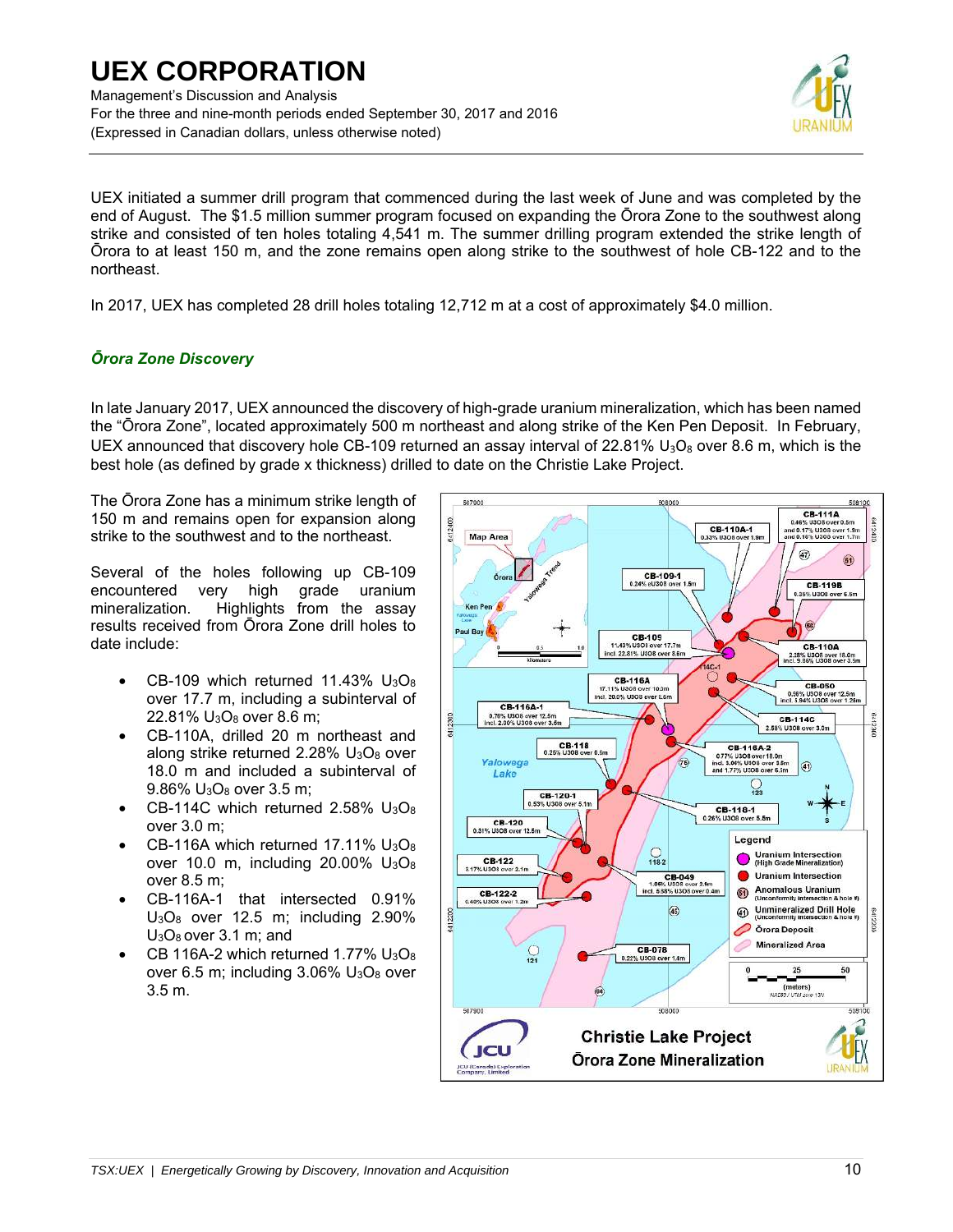Management's Discussion and Analysis For the three and nine-month periods ended September 30, 2017 and 2016 (Expressed in Canadian dollars, unless otherwise noted)



UEX initiated a summer drill program that commenced during the last week of June and was completed by the end of August. The \$1.5 million summer program focused on expanding the Ōrora Zone to the southwest along strike and consisted of ten holes totaling 4,541 m. The summer drilling program extended the strike length of Ōrora to at least 150 m, and the zone remains open along strike to the southwest of hole CB-122 and to the northeast.

In 2017, UEX has completed 28 drill holes totaling 12,712 m at a cost of approximately \$4.0 million.

## *Ōrora Zone Discovery*

In late January 2017, UEX announced the discovery of high-grade uranium mineralization, which has been named the "Ōrora Zone", located approximately 500 m northeast and along strike of the Ken Pen Deposit. In February, UEX announced that discovery hole CB-109 returned an assay interval of 22.81% U<sub>3</sub>O<sub>8</sub> over 8.6 m, which is the best hole (as defined by grade x thickness) drilled to date on the Christie Lake Project.

The Ōrora Zone has a minimum strike length of 150 m and remains open for expansion along strike to the southwest and to the northeast.

Several of the holes following up CB-109 encountered very high grade uranium mineralization. Highlights from the assay results received from Ōrora Zone drill holes to date include:

- CB-109 which returned  $11.43\%$  U<sub>3</sub>O<sub>8</sub> over 17.7 m, including a subinterval of 22.81% U3O8 over 8.6 m;
- CB-110A, drilled 20 m northeast and along strike returned 2.28% U<sub>3</sub>O<sub>8</sub> over 18.0 m and included a subinterval of 9.86% U3O8 over 3.5 m;
- $CB-114C$  which returned 2.58%  $U_3O_8$ over 3.0 m;
- CB-116A which returned 17.11% U<sub>3</sub>O<sub>8</sub> over 10.0 m, including  $20.00\%$  U<sub>3</sub>O<sub>8</sub> over 8.5 m;
- CB-116A-1 that intersected 0.91%  $U<sub>3</sub>O<sub>8</sub>$  over 12.5 m; including 2.90% U3O8 over 3.1 m; and
- CB 116A-2 which returned 1.77%  $U_3O_8$ over 6.5 m; including  $3.06\%$  U<sub>3</sub>O<sub>8</sub> over 3.5 m.

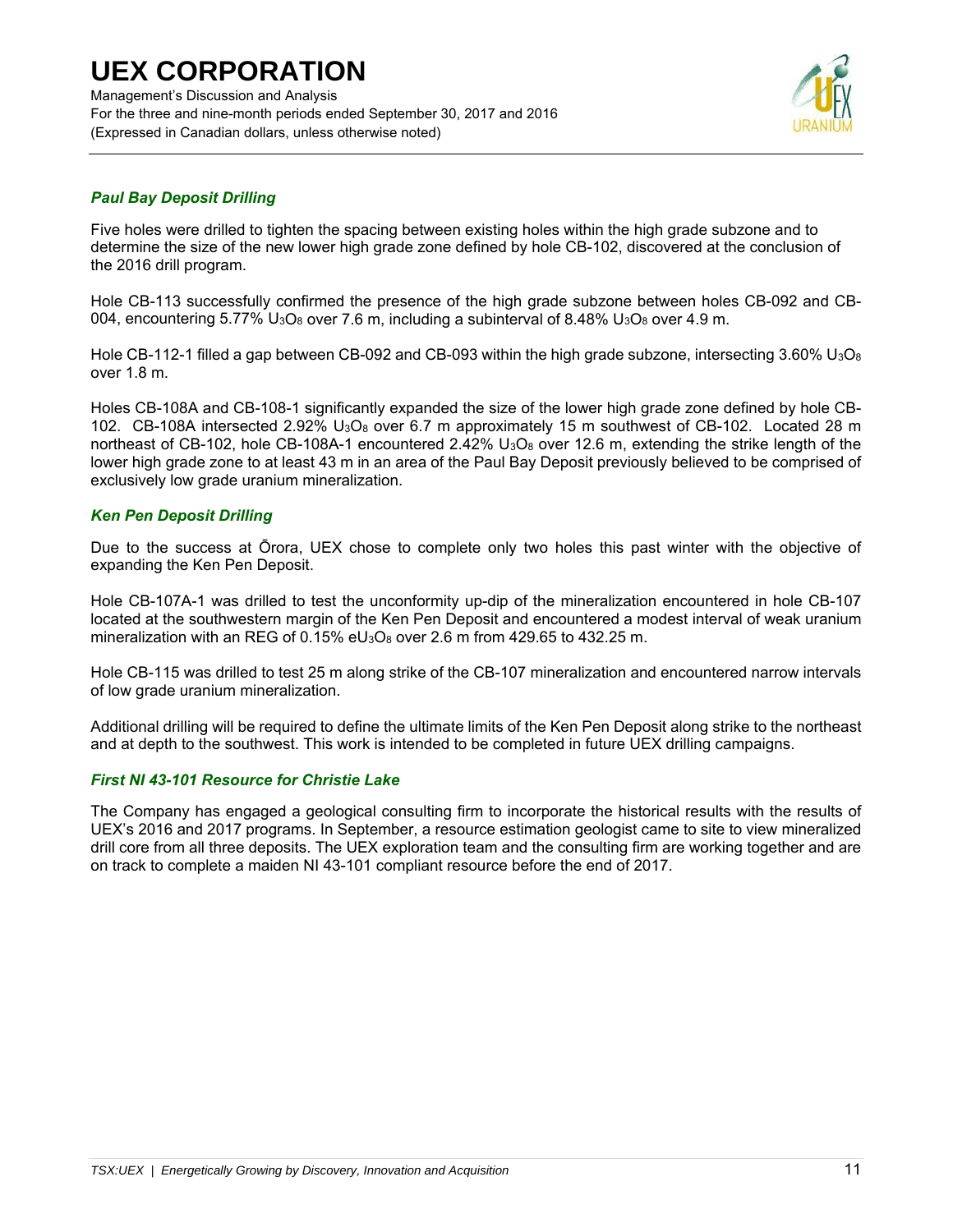Management's Discussion and Analysis For the three and nine-month periods ended September 30, 2017 and 2016 (Expressed in Canadian dollars, unless otherwise noted)



### *Paul Bay Deposit Drilling*

Five holes were drilled to tighten the spacing between existing holes within the high grade subzone and to determine the size of the new lower high grade zone defined by hole CB-102, discovered at the conclusion of the 2016 drill program.

Hole CB-113 successfully confirmed the presence of the high grade subzone between holes CB-092 and CB-004, encountering 5.77% U<sub>3</sub>O<sub>8</sub> over 7.6 m, including a subinterval of 8.48% U<sub>3</sub>O<sub>8</sub> over 4.9 m.

Hole CB-112-1 filled a gap between CB-092 and CB-093 within the high grade subzone, intersecting 3.60% U<sub>3</sub>O<sub>8</sub> over 1.8 m.

Holes CB-108A and CB-108-1 significantly expanded the size of the lower high grade zone defined by hole CB-102. CB-108A intersected 2.92% U<sub>3</sub>O<sub>8</sub> over 6.7 m approximately 15 m southwest of CB-102. Located 28 m northeast of CB-102, hole CB-108A-1 encountered 2.42% U<sub>3</sub>O<sub>8</sub> over 12.6 m, extending the strike length of the lower high grade zone to at least 43 m in an area of the Paul Bay Deposit previously believed to be comprised of exclusively low grade uranium mineralization.

### *Ken Pen Deposit Drilling*

Due to the success at Ōrora, UEX chose to complete only two holes this past winter with the objective of expanding the Ken Pen Deposit.

Hole CB-107A-1 was drilled to test the unconformity up-dip of the mineralization encountered in hole CB-107 located at the southwestern margin of the Ken Pen Deposit and encountered a modest interval of weak uranium mineralization with an REG of 0.15%  $eU_3O_8$  over 2.6 m from 429.65 to 432.25 m.

Hole CB-115 was drilled to test 25 m along strike of the CB-107 mineralization and encountered narrow intervals of low grade uranium mineralization.

Additional drilling will be required to define the ultimate limits of the Ken Pen Deposit along strike to the northeast and at depth to the southwest. This work is intended to be completed in future UEX drilling campaigns.

#### *First NI 43-101 Resource for Christie Lake*

The Company has engaged a geological consulting firm to incorporate the historical results with the results of UEX's 2016 and 2017 programs. In September, a resource estimation geologist came to site to view mineralized drill core from all three deposits. The UEX exploration team and the consulting firm are working together and are on track to complete a maiden NI 43-101 compliant resource before the end of 2017.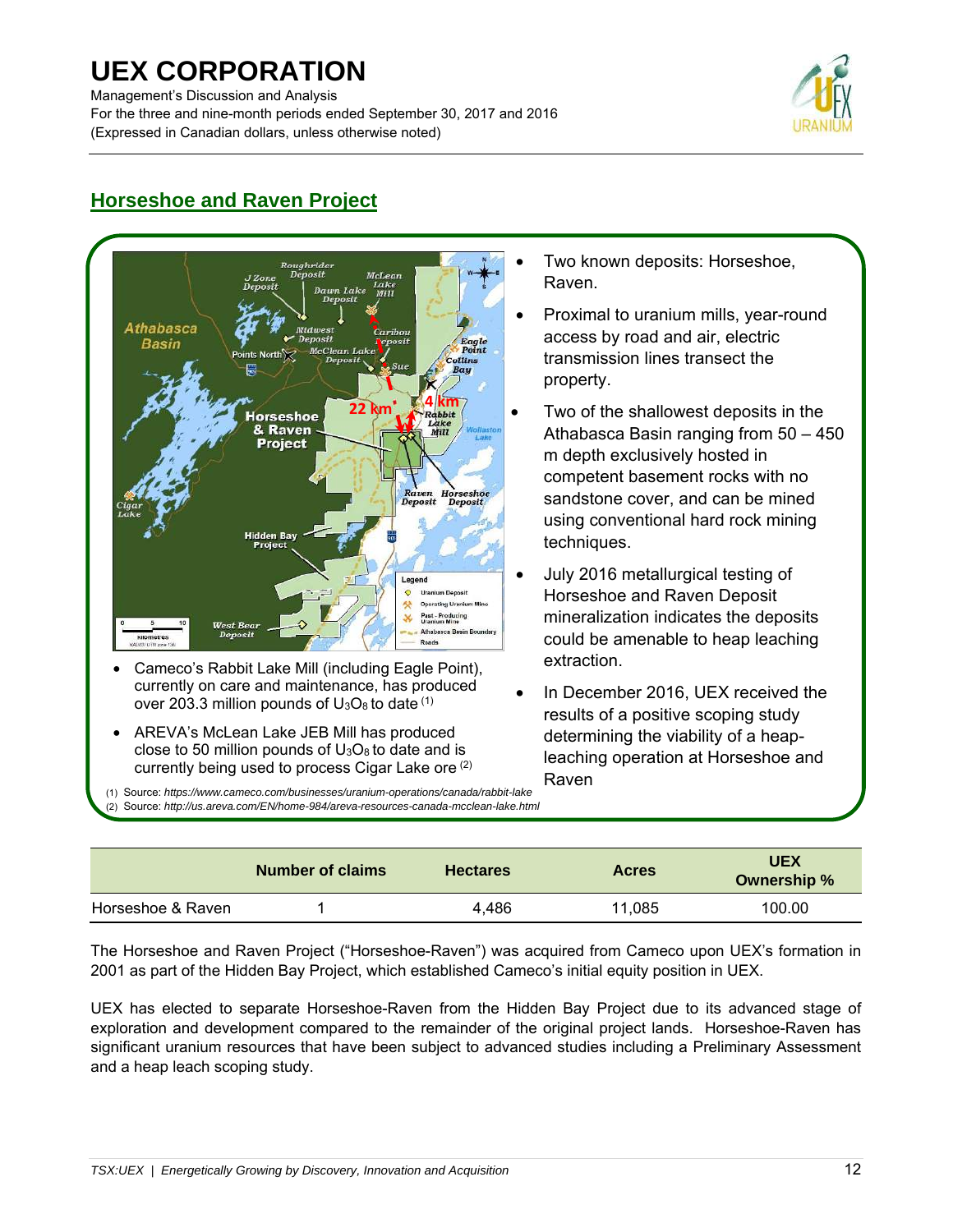Management's Discussion and Analysis For the three and nine-month periods ended September 30, 2017 and 2016 (Expressed in Canadian dollars, unless otherwise noted)



## **Horseshoe and Raven Project**



- Two known deposits: Horseshoe, Raven.
- Proximal to uranium mills, year-round access by road and air, electric transmission lines transect the property.
- Two of the shallowest deposits in the Athabasca Basin ranging from 50 – 450 m depth exclusively hosted in competent basement rocks with no sandstone cover, and can be mined using conventional hard rock mining techniques.
- July 2016 metallurgical testing of Horseshoe and Raven Deposit mineralization indicates the deposits could be amenable to heap leaching extraction.
- In December 2016, UEX received the results of a positive scoping study determining the viability of a heapleaching operation at Horseshoe and Raven

(1) Source: *https://www.cameco.com/businesses/uranium-operations/canada/rabbit-lake*  (2) Source: *http://us.areva.com/EN/home-984/areva-resources-canada-mcclean-lake.html*

|                   | <b>Number of claims</b> | <b>Hectares</b> | <b>Acres</b> | <b>UEX</b><br>Ownership % |
|-------------------|-------------------------|-----------------|--------------|---------------------------|
| Horseshoe & Raven |                         | 4.486           | 11.085       | 100.00                    |

The Horseshoe and Raven Project ("Horseshoe-Raven") was acquired from Cameco upon UEX's formation in 2001 as part of the Hidden Bay Project, which established Cameco's initial equity position in UEX.

UEX has elected to separate Horseshoe-Raven from the Hidden Bay Project due to its advanced stage of exploration and development compared to the remainder of the original project lands. Horseshoe-Raven has significant uranium resources that have been subject to advanced studies including a Preliminary Assessment and a heap leach scoping study.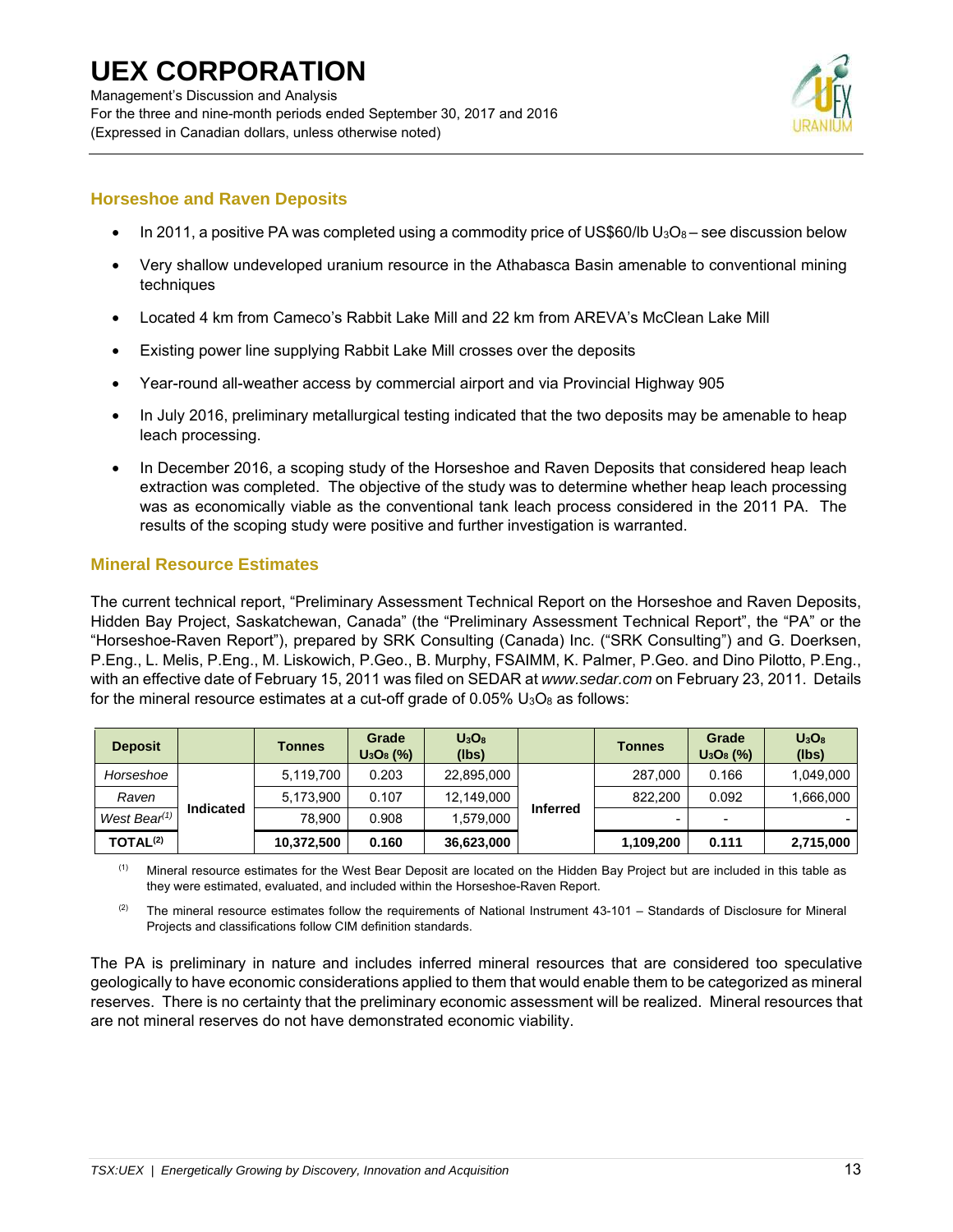

## **Horseshoe and Raven Deposits**

- In 2011, a positive PA was completed using a commodity price of US\$60/lb  $U_3O_8$  see discussion below
- Very shallow undeveloped uranium resource in the Athabasca Basin amenable to conventional mining techniques
- Located 4 km from Cameco's Rabbit Lake Mill and 22 km from AREVA's McClean Lake Mill
- Existing power line supplying Rabbit Lake Mill crosses over the deposits
- Year-round all-weather access by commercial airport and via Provincial Highway 905
- In July 2016, preliminary metallurgical testing indicated that the two deposits may be amenable to heap leach processing.
- In December 2016, a scoping study of the Horseshoe and Raven Deposits that considered heap leach extraction was completed. The objective of the study was to determine whether heap leach processing was as economically viable as the conventional tank leach process considered in the 2011 PA. The results of the scoping study were positive and further investigation is warranted.

## **Mineral Resource Estimates**

The current technical report, "Preliminary Assessment Technical Report on the Horseshoe and Raven Deposits, Hidden Bay Project, Saskatchewan, Canada" (the "Preliminary Assessment Technical Report", the "PA" or the "Horseshoe-Raven Report"), prepared by SRK Consulting (Canada) Inc. ("SRK Consulting") and G. Doerksen, P.Eng., L. Melis, P.Eng., M. Liskowich, P.Geo., B. Murphy, FSAIMM, K. Palmer, P.Geo. and Dino Pilotto, P.Eng., with an effective date of February 15, 2011 was filed on SEDAR at *www.sedar.com* on February 23, 2011. Details for the mineral resource estimates at a cut-off grade of  $0.05\%$  U<sub>3</sub>O<sub>8</sub> as follows:

| <b>Deposit</b>       |           | <b>Tonnes</b> | Grade<br>$U_3O_8$ (%) | $U_3O_8$<br>(lbs) |                 | <b>Tonnes</b>            | Grade<br>$U_3O_8$ (%) | $U_3O_8$<br>(lbs) |
|----------------------|-----------|---------------|-----------------------|-------------------|-----------------|--------------------------|-----------------------|-------------------|
| Horseshoe            |           | 5.119.700     | 0.203                 | 22,895,000        |                 | 287.000                  | 0.166                 | 1,049,000         |
| Raven                |           | 5.173.900     | 0.107                 | 12.149.000        |                 | 822,200                  | 0.092                 | 1,666,000         |
| West Bear $(1)$      | Indicated | 78.900        | 0.908                 | 1.579.000         | <b>Inferred</b> | $\overline{\phantom{0}}$ |                       |                   |
| TOTAL <sup>(2)</sup> |           | 10,372,500    | 0.160                 | 36,623,000        |                 | 1,109,200                | 0.111                 | 2,715,000         |

(1) Mineral resource estimates for the West Bear Deposit are located on the Hidden Bay Project but are included in this table as they were estimated, evaluated, and included within the Horseshoe-Raven Report.

 $(2)$  The mineral resource estimates follow the requirements of National Instrument 43-101 – Standards of Disclosure for Mineral Projects and classifications follow CIM definition standards.

The PA is preliminary in nature and includes inferred mineral resources that are considered too speculative geologically to have economic considerations applied to them that would enable them to be categorized as mineral reserves. There is no certainty that the preliminary economic assessment will be realized. Mineral resources that are not mineral reserves do not have demonstrated economic viability.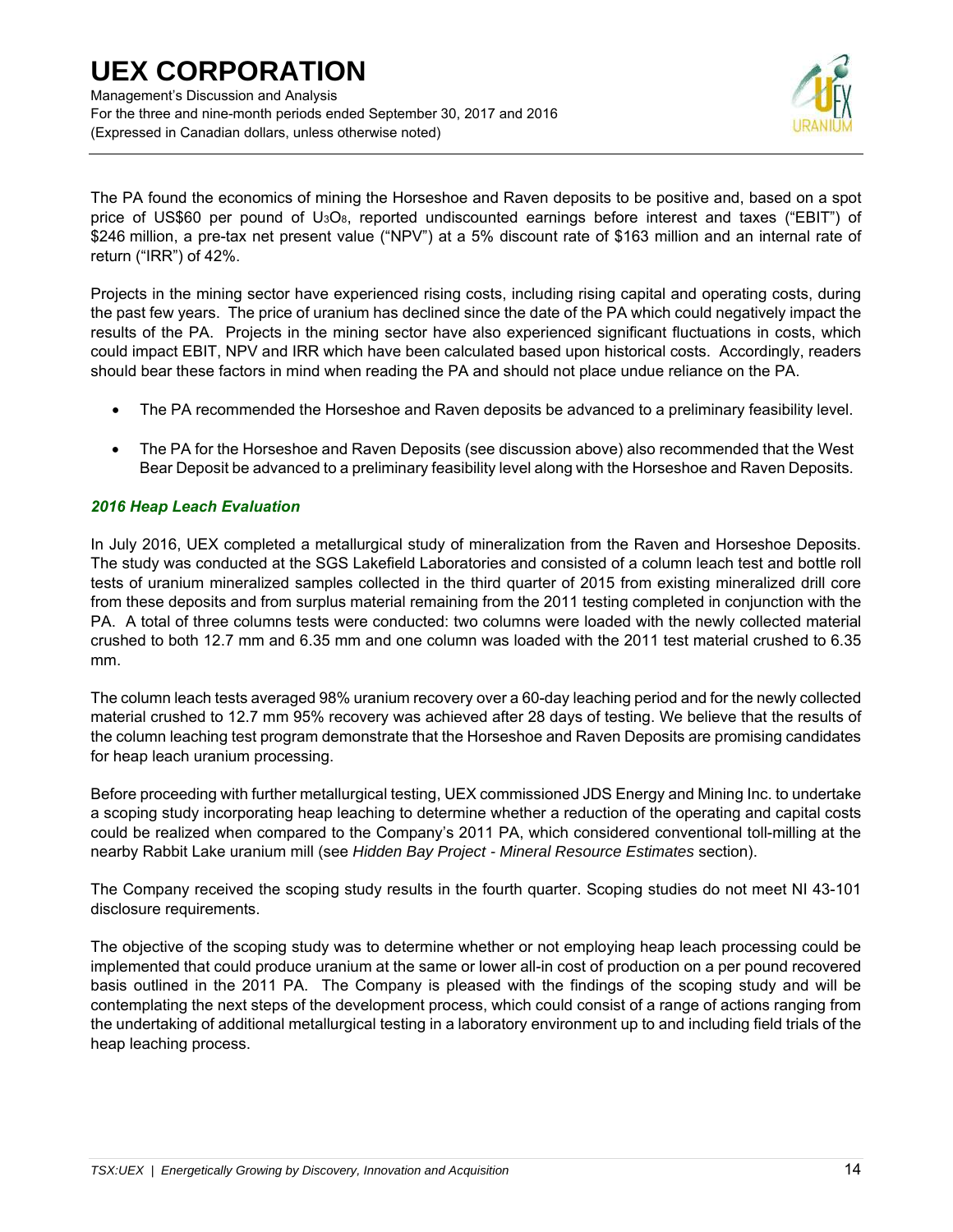Management's Discussion and Analysis For the three and nine-month periods ended September 30, 2017 and 2016 (Expressed in Canadian dollars, unless otherwise noted)



The PA found the economics of mining the Horseshoe and Raven deposits to be positive and, based on a spot price of US\$60 per pound of U3O8, reported undiscounted earnings before interest and taxes ("EBIT") of \$246 million, a pre-tax net present value ("NPV") at a 5% discount rate of \$163 million and an internal rate of return ("IRR") of 42%.

Projects in the mining sector have experienced rising costs, including rising capital and operating costs, during the past few years. The price of uranium has declined since the date of the PA which could negatively impact the results of the PA. Projects in the mining sector have also experienced significant fluctuations in costs, which could impact EBIT, NPV and IRR which have been calculated based upon historical costs. Accordingly, readers should bear these factors in mind when reading the PA and should not place undue reliance on the PA.

- The PA recommended the Horseshoe and Raven deposits be advanced to a preliminary feasibility level.
- The PA for the Horseshoe and Raven Deposits (see discussion above) also recommended that the West Bear Deposit be advanced to a preliminary feasibility level along with the Horseshoe and Raven Deposits.

### *2016 Heap Leach Evaluation*

In July 2016, UEX completed a metallurgical study of mineralization from the Raven and Horseshoe Deposits. The study was conducted at the SGS Lakefield Laboratories and consisted of a column leach test and bottle roll tests of uranium mineralized samples collected in the third quarter of 2015 from existing mineralized drill core from these deposits and from surplus material remaining from the 2011 testing completed in conjunction with the PA. A total of three columns tests were conducted: two columns were loaded with the newly collected material crushed to both 12.7 mm and 6.35 mm and one column was loaded with the 2011 test material crushed to 6.35 mm.

The column leach tests averaged 98% uranium recovery over a 60-day leaching period and for the newly collected material crushed to 12.7 mm 95% recovery was achieved after 28 days of testing. We believe that the results of the column leaching test program demonstrate that the Horseshoe and Raven Deposits are promising candidates for heap leach uranium processing.

Before proceeding with further metallurgical testing, UEX commissioned JDS Energy and Mining Inc. to undertake a scoping study incorporating heap leaching to determine whether a reduction of the operating and capital costs could be realized when compared to the Company's 2011 PA, which considered conventional toll-milling at the nearby Rabbit Lake uranium mill (see *Hidden Bay Project - Mineral Resource Estimates* section).

The Company received the scoping study results in the fourth quarter. Scoping studies do not meet NI 43-101 disclosure requirements.

The objective of the scoping study was to determine whether or not employing heap leach processing could be implemented that could produce uranium at the same or lower all-in cost of production on a per pound recovered basis outlined in the 2011 PA. The Company is pleased with the findings of the scoping study and will be contemplating the next steps of the development process, which could consist of a range of actions ranging from the undertaking of additional metallurgical testing in a laboratory environment up to and including field trials of the heap leaching process.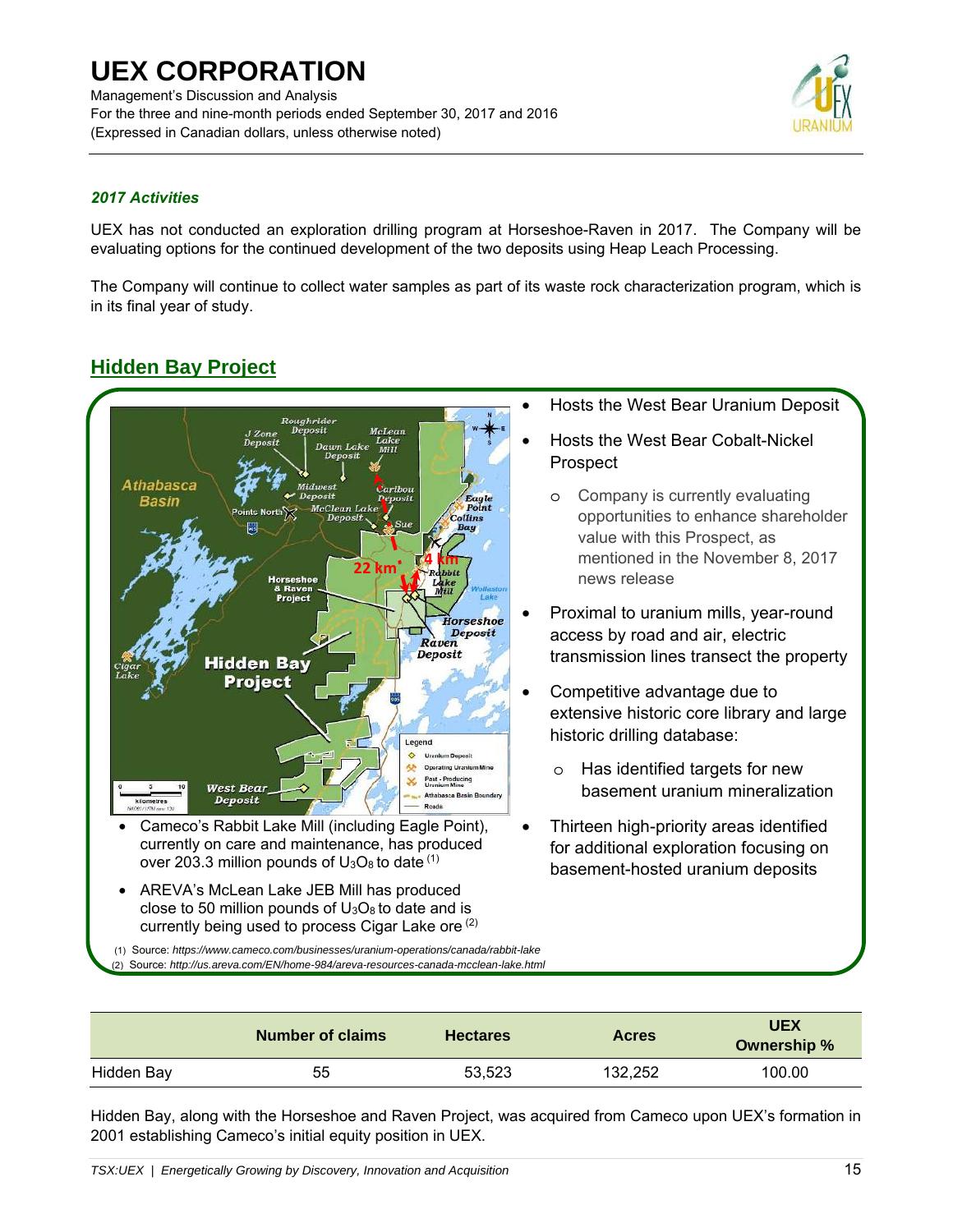Management's Discussion and Analysis For the three and nine-month periods ended September 30, 2017 and 2016 (Expressed in Canadian dollars, unless otherwise noted)



## *2017 Activities*

UEX has not conducted an exploration drilling program at Horseshoe-Raven in 2017. The Company will be evaluating options for the continued development of the two deposits using Heap Leach Processing.

The Company will continue to collect water samples as part of its waste rock characterization program, which is in its final year of study.

## **Hidden Bay Project**



- currently on care and maintenance, has produced over 203.3 million pounds of  $U_3O_8$  to date  $(1)$
- AREVA's McLean Lake JEB Mill has produced close to 50 million pounds of  $U_3O_8$  to date and is currently being used to process Cigar Lake ore <sup>(2)</sup>
- Hosts the West Bear Uranium Deposit
- Hosts the West Bear Cobalt-Nickel Prospect
	- o Company is currently evaluating opportunities to enhance shareholder value with this Prospect, as mentioned in the November 8, 2017 news release
- Proximal to uranium mills, year-round access by road and air, electric transmission lines transect the property
- Competitive advantage due to extensive historic core library and large historic drilling database:
	- o Has identified targets for new basement uranium mineralization
- Thirteen high-priority areas identified for additional exploration focusing on basement-hosted uranium deposits

 (1) Source: *https://www.cameco.com/businesses/uranium-operations/canada/rabbit-lake*  (2) Source: *http://us.areva.com/EN/home-984/areva-resources-canada-mcclean-lake.html*

|            | <b>Number of claims</b> | <b>Hectares</b> | <b>Acres</b> | <b>UEX</b><br>Ownership % |
|------------|-------------------------|-----------------|--------------|---------------------------|
| Hidden Bay | 55                      | 53.523          | 132.252      | 100.00                    |

Hidden Bay, along with the Horseshoe and Raven Project, was acquired from Cameco upon UEX's formation in 2001 establishing Cameco's initial equity position in UEX.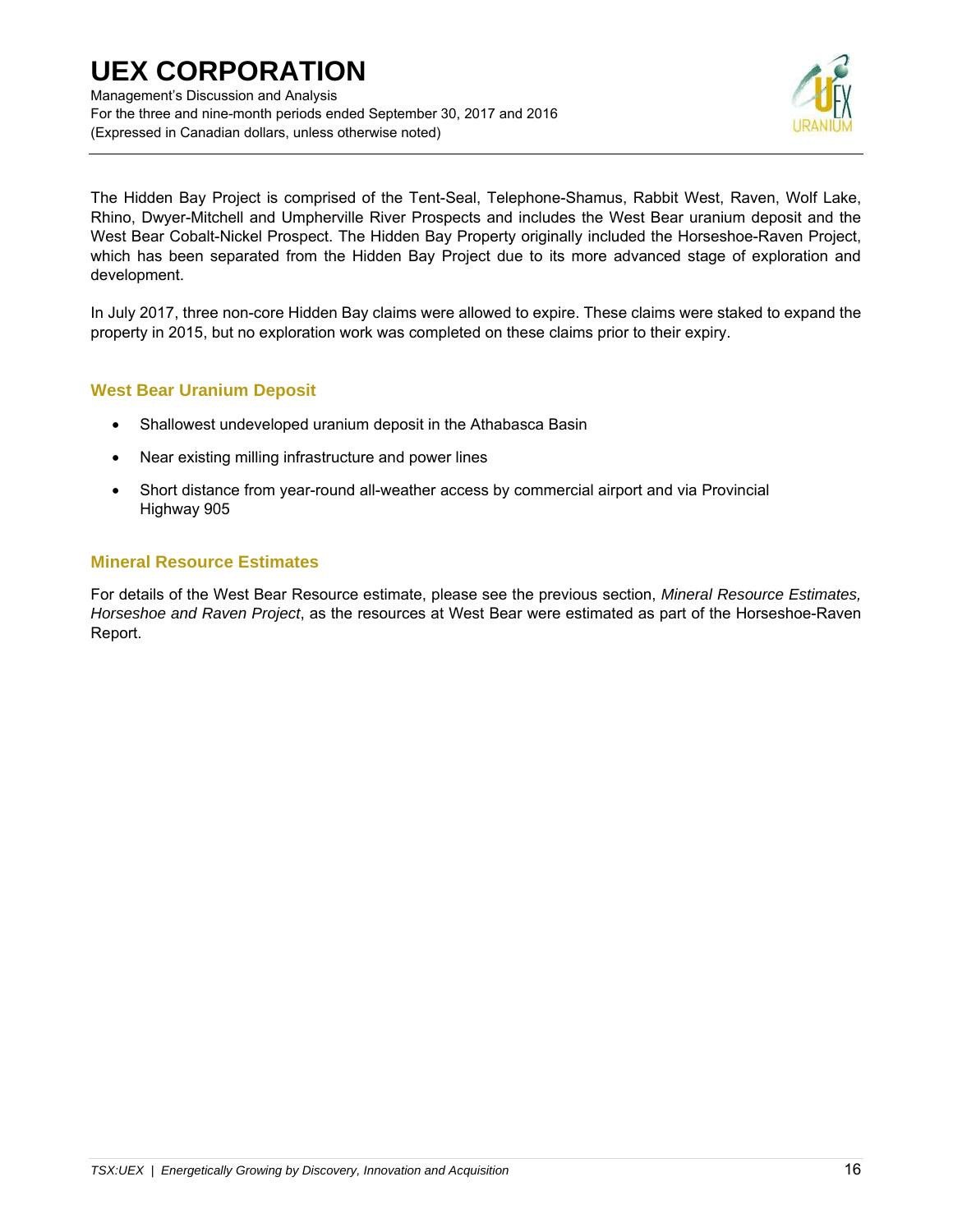Management's Discussion and Analysis For the three and nine-month periods ended September 30, 2017 and 2016 (Expressed in Canadian dollars, unless otherwise noted)



The Hidden Bay Project is comprised of the Tent-Seal, Telephone-Shamus, Rabbit West, Raven, Wolf Lake, Rhino, Dwyer-Mitchell and Umpherville River Prospects and includes the West Bear uranium deposit and the West Bear Cobalt-Nickel Prospect. The Hidden Bay Property originally included the Horseshoe-Raven Project, which has been separated from the Hidden Bay Project due to its more advanced stage of exploration and development.

In July 2017, three non-core Hidden Bay claims were allowed to expire. These claims were staked to expand the property in 2015, but no exploration work was completed on these claims prior to their expiry.

## **West Bear Uranium Deposit**

- Shallowest undeveloped uranium deposit in the Athabasca Basin
- Near existing milling infrastructure and power lines
- Short distance from year-round all-weather access by commercial airport and via Provincial Highway 905

### **Mineral Resource Estimates**

For details of the West Bear Resource estimate, please see the previous section, *Mineral Resource Estimates, Horseshoe and Raven Project*, as the resources at West Bear were estimated as part of the Horseshoe-Raven Report.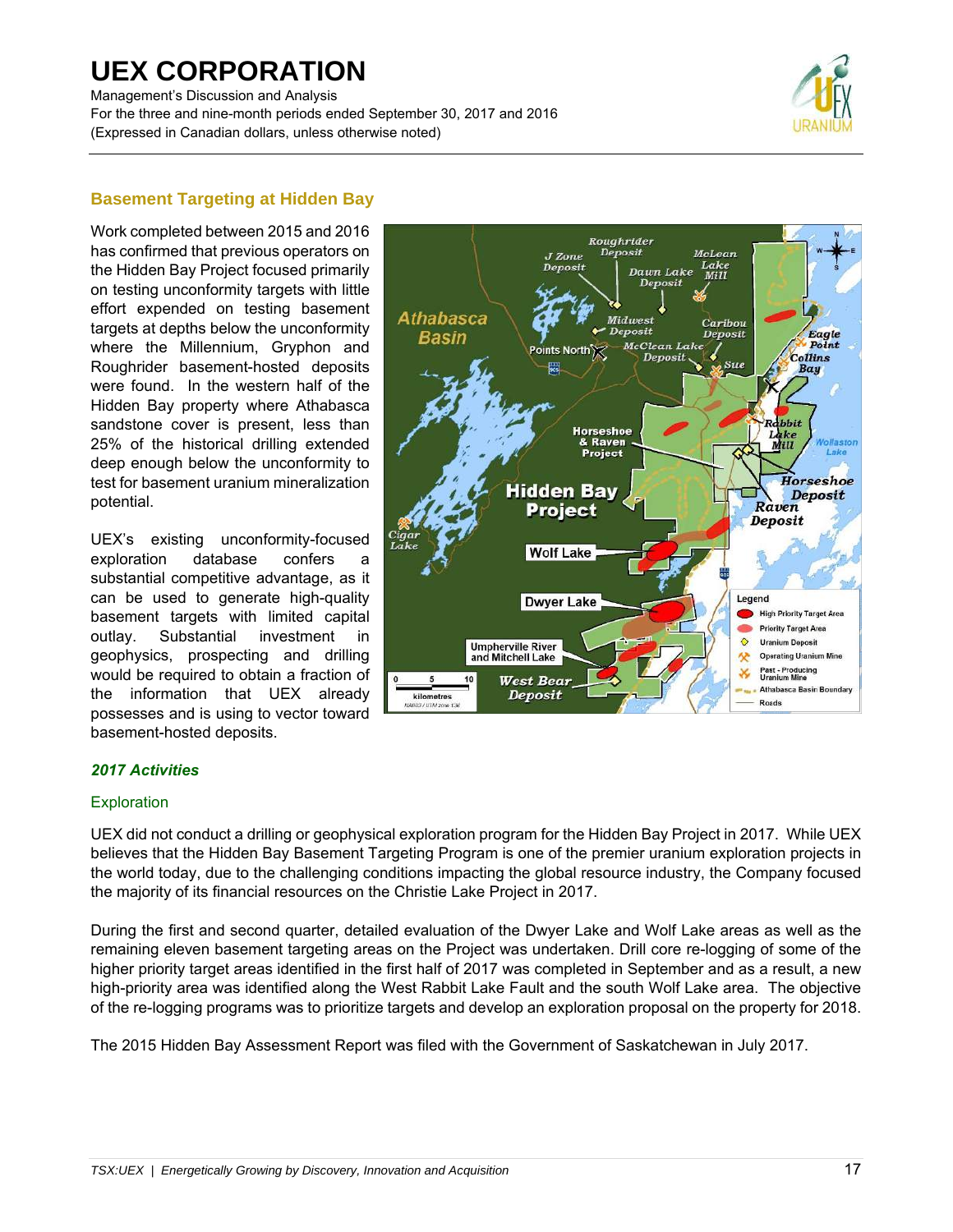Management's Discussion and Analysis For the three and nine-month periods ended September 30, 2017 and 2016 (Expressed in Canadian dollars, unless otherwise noted)



## **Basement Targeting at Hidden Bay**

Work completed between 2015 and 2016 has confirmed that previous operators on the Hidden Bay Project focused primarily on testing unconformity targets with little effort expended on testing basement targets at depths below the unconformity where the Millennium, Gryphon and Roughrider basement-hosted deposits were found. In the western half of the Hidden Bay property where Athabasca sandstone cover is present, less than 25% of the historical drilling extended deep enough below the unconformity to test for basement uranium mineralization potential.

UEX's existing unconformity-focused exploration database confers a substantial competitive advantage, as it can be used to generate high-quality basement targets with limited capital outlay. Substantial investment in geophysics, prospecting and drilling would be required to obtain a fraction of the information that UEX already possesses and is using to vector toward basement-hosted deposits.



### *2017 Activities*

#### **Exploration**

UEX did not conduct a drilling or geophysical exploration program for the Hidden Bay Project in 2017. While UEX believes that the Hidden Bay Basement Targeting Program is one of the premier uranium exploration projects in the world today, due to the challenging conditions impacting the global resource industry, the Company focused the majority of its financial resources on the Christie Lake Project in 2017.

During the first and second quarter, detailed evaluation of the Dwyer Lake and Wolf Lake areas as well as the remaining eleven basement targeting areas on the Project was undertaken. Drill core re-logging of some of the higher priority target areas identified in the first half of 2017 was completed in September and as a result, a new high-priority area was identified along the West Rabbit Lake Fault and the south Wolf Lake area. The objective of the re-logging programs was to prioritize targets and develop an exploration proposal on the property for 2018.

The 2015 Hidden Bay Assessment Report was filed with the Government of Saskatchewan in July 2017.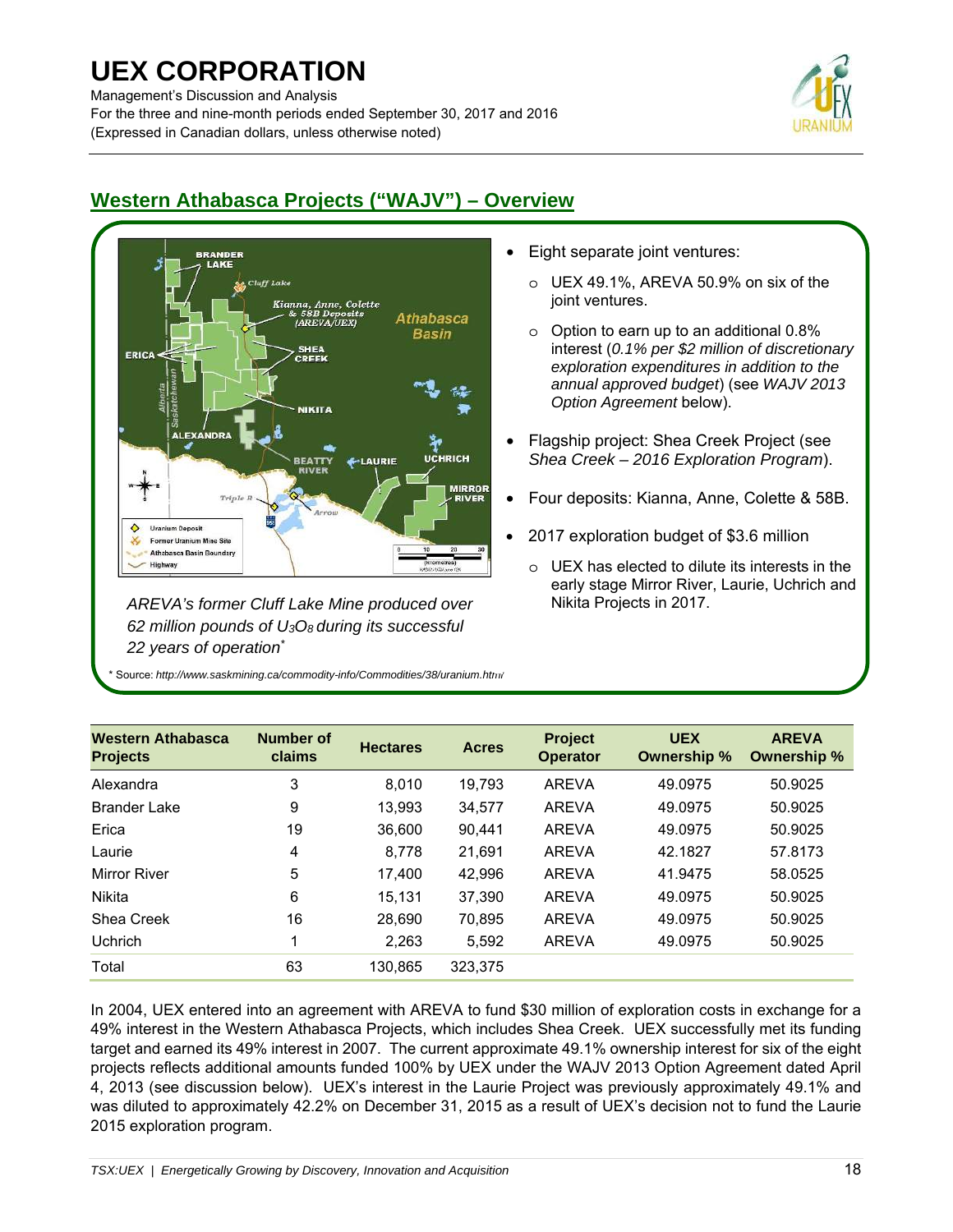Management's Discussion and Analysis

For the three and nine-month periods ended September 30, 2017 and 2016 (Expressed in Canadian dollars, unless otherwise noted)





*AREVA's former Cluff Lake Mine produced over 62 million pounds of U3O8 during its successful 22 years of operation\**

\* Source: *http://www.saskmining.ca/commodity-info/Commodities/38/uranium.html*

- Eight separate joint ventures:
	- o UEX 49.1%, AREVA 50.9% on six of the joint ventures.
	- $\circ$  Option to earn up to an additional 0.8% interest (*0.1% per \$2 million of discretionary exploration expenditures in addition to the annual approved budget*) (see *WAJV 2013 Option Agreement* below).
- Flagship project: Shea Creek Project (see *Shea Creek – 2016 Exploration Program*).
- Four deposits: Kianna, Anne, Colette & 58B.
- 2017 exploration budget of \$3.6 million
	- o UEX has elected to dilute its interests in the early stage Mirror River, Laurie, Uchrich and Nikita Projects in 2017.

| <b>Western Athabasca</b><br><b>Projects</b> | <b>Number of</b><br>claims | <b>Hectares</b> | <b>Acres</b> | <b>Project</b><br><b>Operator</b> | <b>UEX</b><br>Ownership % | <b>AREVA</b><br>Ownership % |
|---------------------------------------------|----------------------------|-----------------|--------------|-----------------------------------|---------------------------|-----------------------------|
| Alexandra                                   | 3                          | 8.010           | 19,793       | <b>AREVA</b>                      | 49.0975                   | 50.9025                     |
| <b>Brander Lake</b>                         | 9                          | 13,993          | 34,577       | <b>AREVA</b>                      | 49.0975                   | 50.9025                     |
| Erica                                       | 19                         | 36.600          | 90.441       | <b>AREVA</b>                      | 49.0975                   | 50.9025                     |
| Laurie                                      | 4                          | 8.778           | 21,691       | <b>AREVA</b>                      | 42.1827                   | 57.8173                     |
| <b>Mirror River</b>                         | 5                          | 17.400          | 42.996       | <b>AREVA</b>                      | 41.9475                   | 58.0525                     |
| Nikita                                      | 6                          | 15.131          | 37.390       | <b>AREVA</b>                      | 49.0975                   | 50.9025                     |
| Shea Creek                                  | 16                         | 28.690          | 70,895       | <b>AREVA</b>                      | 49.0975                   | 50.9025                     |
| <b>Uchrich</b>                              |                            | 2,263           | 5,592        | <b>AREVA</b>                      | 49.0975                   | 50.9025                     |
| Total                                       | 63                         | 130.865         | 323,375      |                                   |                           |                             |

In 2004, UEX entered into an agreement with AREVA to fund \$30 million of exploration costs in exchange for a 49% interest in the Western Athabasca Projects, which includes Shea Creek. UEX successfully met its funding target and earned its 49% interest in 2007. The current approximate 49.1% ownership interest for six of the eight projects reflects additional amounts funded 100% by UEX under the WAJV 2013 Option Agreement dated April 4, 2013 (see discussion below). UEX's interest in the Laurie Project was previously approximately 49.1% and was diluted to approximately 42.2% on December 31, 2015 as a result of UEX's decision not to fund the Laurie 2015 exploration program.

## **Western Athabasca Projects ("WAJV") – Overview**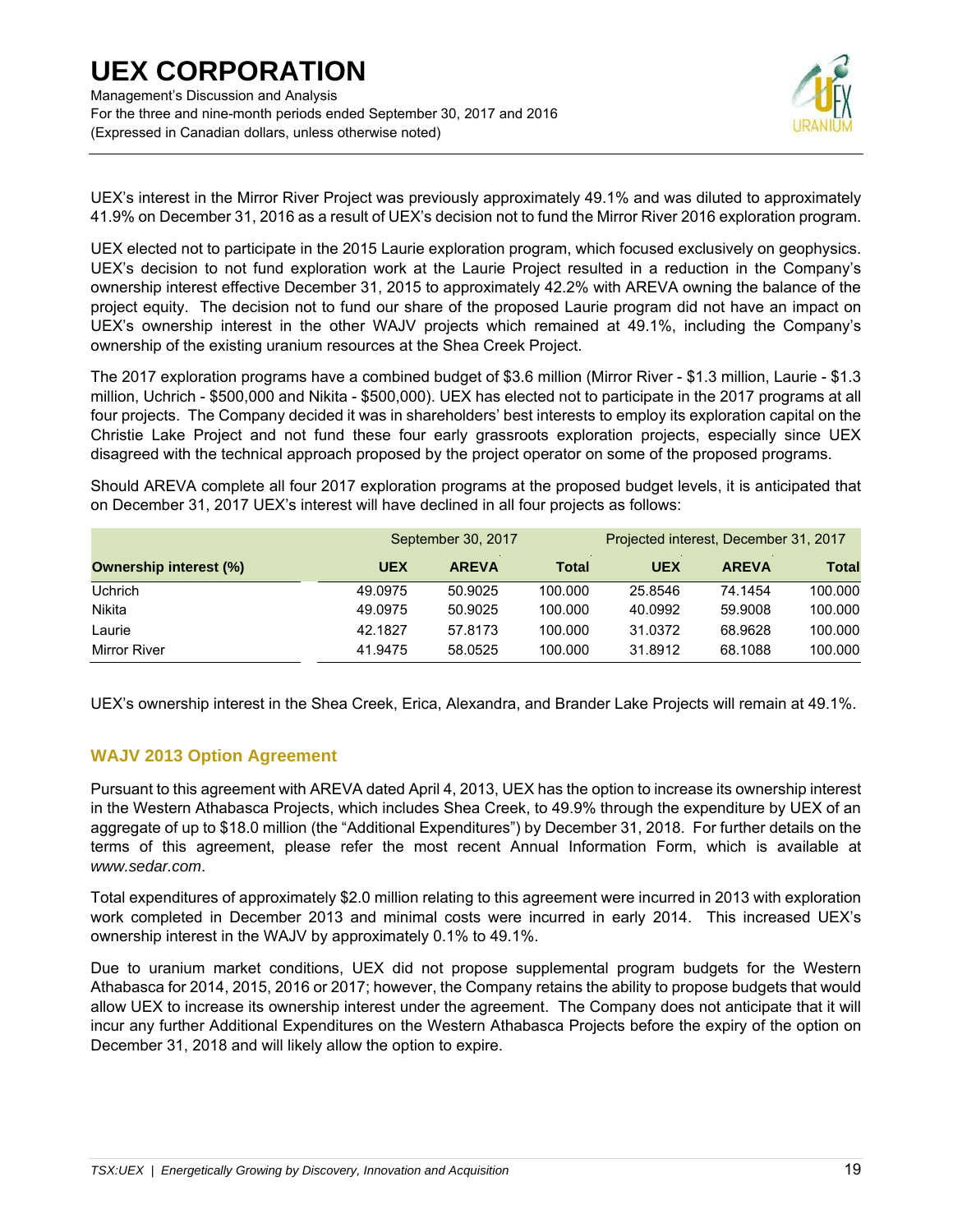Management's Discussion and Analysis For the three and nine-month periods ended September 30, 2017 and 2016 (Expressed in Canadian dollars, unless otherwise noted)



UEX's interest in the Mirror River Project was previously approximately 49.1% and was diluted to approximately 41.9% on December 31, 2016 as a result of UEX's decision not to fund the Mirror River 2016 exploration program.

UEX elected not to participate in the 2015 Laurie exploration program, which focused exclusively on geophysics. UEX's decision to not fund exploration work at the Laurie Project resulted in a reduction in the Company's ownership interest effective December 31, 2015 to approximately 42.2% with AREVA owning the balance of the project equity. The decision not to fund our share of the proposed Laurie program did not have an impact on UEX's ownership interest in the other WAJV projects which remained at 49.1%, including the Company's ownership of the existing uranium resources at the Shea Creek Project.

The 2017 exploration programs have a combined budget of \$3.6 million (Mirror River - \$1.3 million, Laurie - \$1.3 million, Uchrich - \$500,000 and Nikita - \$500,000). UEX has elected not to participate in the 2017 programs at all four projects. The Company decided it was in shareholders' best interests to employ its exploration capital on the Christie Lake Project and not fund these four early grassroots exploration projects, especially since UEX disagreed with the technical approach proposed by the project operator on some of the proposed programs.

Should AREVA complete all four 2017 exploration programs at the proposed budget levels, it is anticipated that on December 31, 2017 UEX's interest will have declined in all four projects as follows:

|                               |            | September 30, 2017 |              | Projected interest, December 31, 2017 |              |              |  |
|-------------------------------|------------|--------------------|--------------|---------------------------------------|--------------|--------------|--|
| <b>Ownership interest (%)</b> | <b>UEX</b> | <b>AREVA</b>       | <b>Total</b> | <b>UEX</b>                            | <b>AREVA</b> | <b>Total</b> |  |
| <b>Uchrich</b>                | 49.0975    | 50.9025            | 100.000      | 25.8546                               | 74.1454      | 100.000      |  |
| Nikita                        | 49.0975    | 50.9025            | 100.000      | 40.0992                               | 59.9008      | 100.000      |  |
| Laurie                        | 42.1827    | 57.8173            | 100.000      | 31.0372                               | 68.9628      | 100.000      |  |
| Mirror River                  | 41.9475    | 58.0525            | 100.000      | 31.8912                               | 68.1088      | 100.000      |  |

UEX's ownership interest in the Shea Creek, Erica, Alexandra, and Brander Lake Projects will remain at 49.1%.

## **WAJV 2013 Option Agreement**

Pursuant to this agreement with AREVA dated April 4, 2013, UEX has the option to increase its ownership interest in the Western Athabasca Projects, which includes Shea Creek, to 49.9% through the expenditure by UEX of an aggregate of up to \$18.0 million (the "Additional Expenditures") by December 31, 2018. For further details on the terms of this agreement, please refer the most recent Annual Information Form, which is available at *www.sedar.com*.

Total expenditures of approximately \$2.0 million relating to this agreement were incurred in 2013 with exploration work completed in December 2013 and minimal costs were incurred in early 2014. This increased UEX's ownership interest in the WAJV by approximately 0.1% to 49.1%.

Due to uranium market conditions, UEX did not propose supplemental program budgets for the Western Athabasca for 2014, 2015, 2016 or 2017; however, the Company retains the ability to propose budgets that would allow UEX to increase its ownership interest under the agreement. The Company does not anticipate that it will incur any further Additional Expenditures on the Western Athabasca Projects before the expiry of the option on December 31, 2018 and will likely allow the option to expire.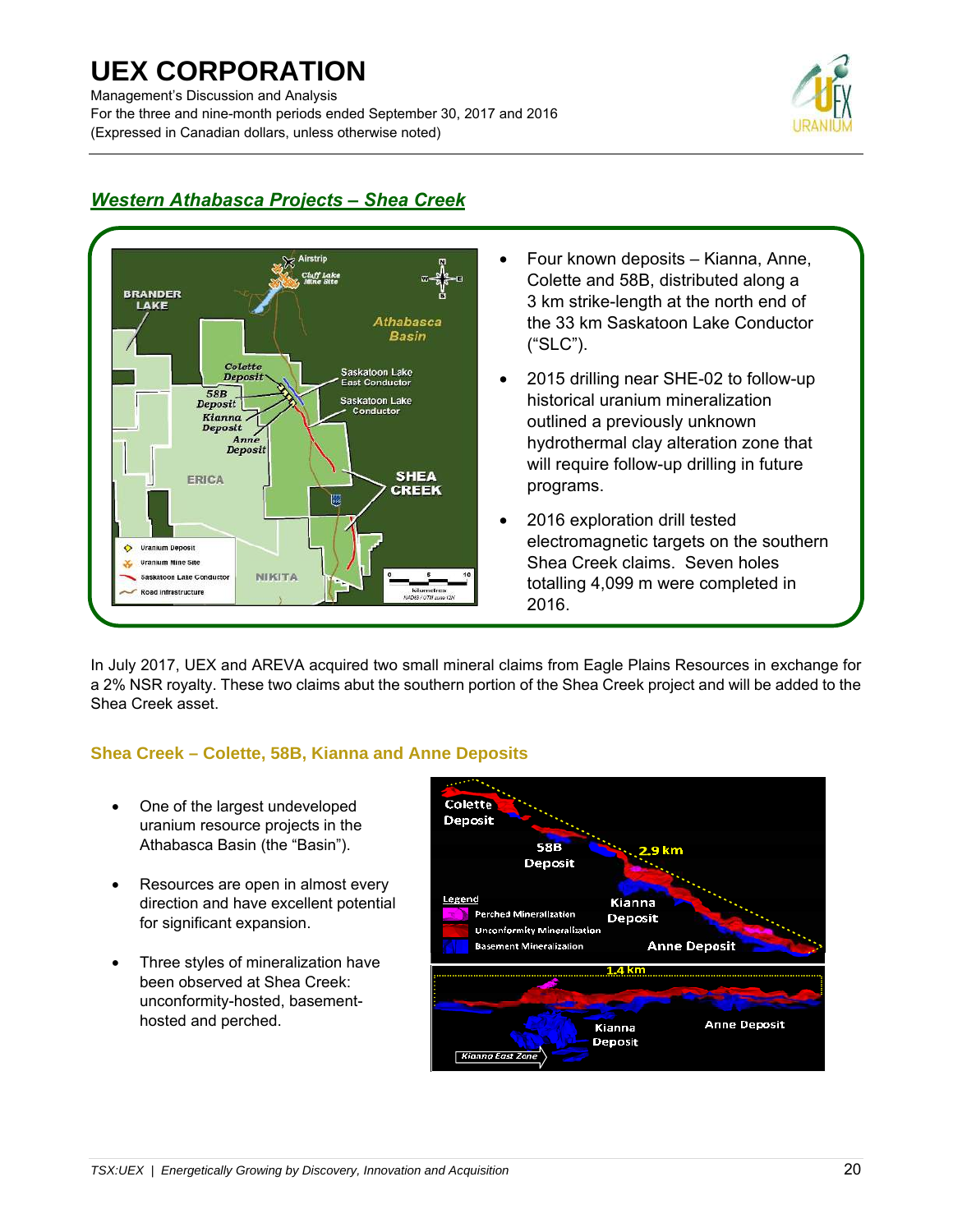Management's Discussion and Analysis

For the three and nine-month periods ended September 30, 2017 and 2016 (Expressed in Canadian dollars, unless otherwise noted)



#### **BRANDER** LAKE **Athabasca Basin** Colette Saskatoon Lake<br>East Conductor **Deposit**  $58B$ Saskatoon Lake **Deposit** Kianna. Deposit Anne<br>Deposit **SHEA** ERICA **CREEK**  $\frac{1}{955}$  $\ddot{\bullet}$ **Uranium Deposit Uranium Mine Site NIKITA** Saskatoon Lake Conductor load infrastructure

## *Western Athabasca Projects – Shea Creek*

- Four known deposits Kianna, Anne, Colette and 58B, distributed along a 3 km strike-length at the north end of the 33 km Saskatoon Lake Conductor ("SLC").
- 2015 drilling near SHE-02 to follow-up historical uranium mineralization outlined a previously unknown hydrothermal clay alteration zone that will require follow-up drilling in future programs.
- 2016 exploration drill tested electromagnetic targets on the southern Shea Creek claims. Seven holes totalling 4,099 m were completed in 2016.

In July 2017, UEX and AREVA acquired two small mineral claims from Eagle Plains Resources in exchange for a 2% NSR royalty. These two claims abut the southern portion of the Shea Creek project and will be added to the Shea Creek asset.

## **Shea Creek – Colette, 58B, Kianna and Anne Deposits**

- One of the largest undeveloped uranium resource projects in the Athabasca Basin (the "Basin").
- Resources are open in almost every direction and have excellent potential for significant expansion.
- Three styles of mineralization have been observed at Shea Creek: unconformity-hosted, basementhosted and perched.

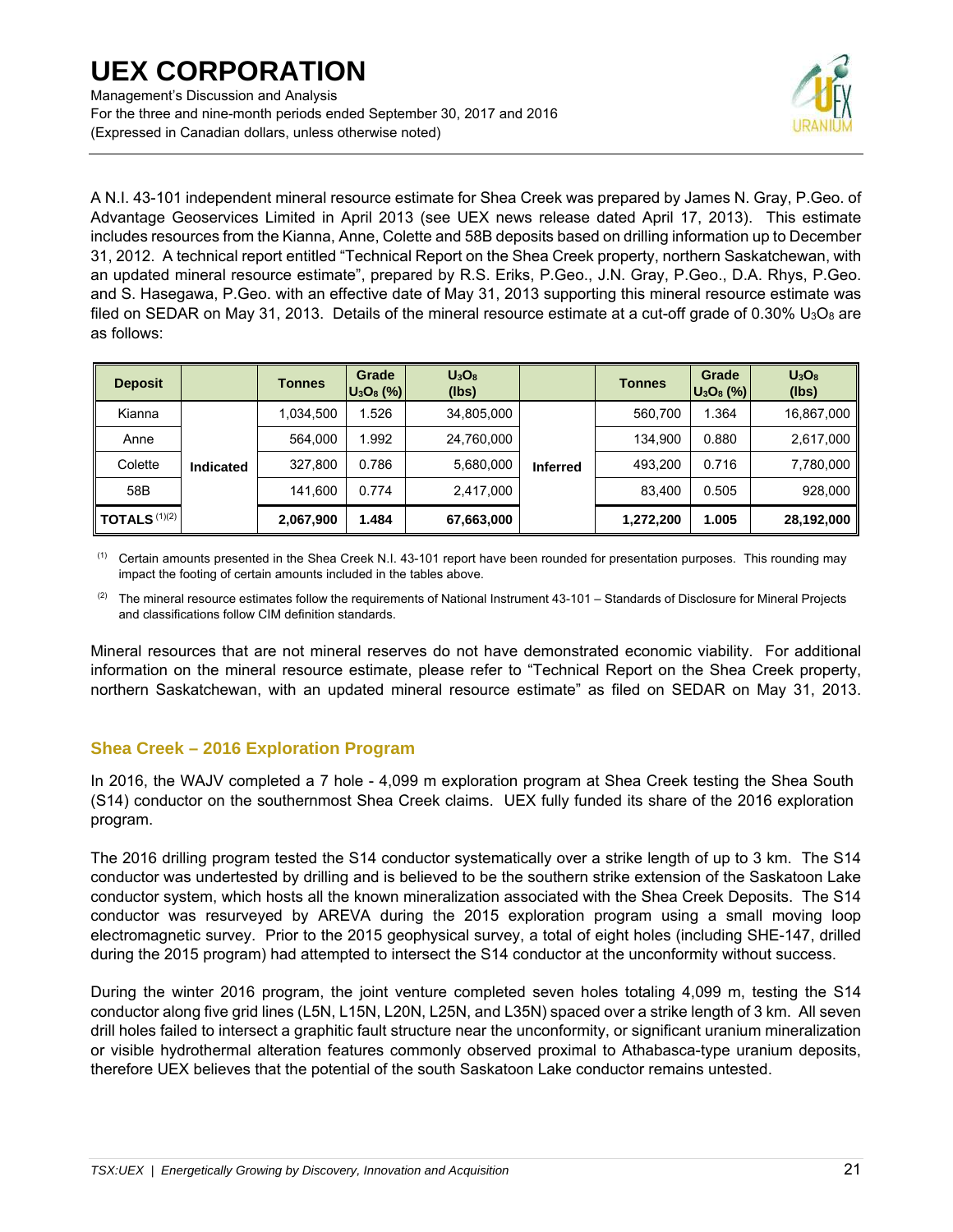Management's Discussion and Analysis For the three and nine-month periods ended September 30, 2017 and 2016 (Expressed in Canadian dollars, unless otherwise noted)



A N.I. 43-101 independent mineral resource estimate for Shea Creek was prepared by James N. Gray, P.Geo. of Advantage Geoservices Limited in April 2013 (see UEX news release dated April 17, 2013). This estimate includes resources from the Kianna, Anne, Colette and 58B deposits based on drilling information up to December 31, 2012. A technical report entitled "Technical Report on the Shea Creek property, northern Saskatchewan, with an updated mineral resource estimate", prepared by R.S. Eriks, P.Geo., J.N. Gray, P.Geo., D.A. Rhys, P.Geo. and S. Hasegawa, P.Geo. with an effective date of May 31, 2013 supporting this mineral resource estimate was filed on SEDAR on May 31, 2013. Details of the mineral resource estimate at a cut-off grade of 0.30% U<sub>3</sub>O<sub>8</sub> are as follows:

| <b>Deposit</b>                 |                  | Tonnes    | Grade<br>$ U_3O_8(\%) $ | U <sub>3</sub> O <sub>8</sub><br>(lbs) |                 | <b>Tonnes</b> | Grade<br>$ U_3O_8(\%) $ | $U_3O_8$<br>(lbs) |
|--------------------------------|------------------|-----------|-------------------------|----------------------------------------|-----------------|---------------|-------------------------|-------------------|
| Kianna                         |                  | 1,034,500 | .526                    | 34,805,000                             |                 | 560.700       | 1.364                   | 16,867,000        |
| Anne                           |                  | 564,000   | .992                    | 24,760,000                             | <b>Inferred</b> | 134,900       | 0.880                   | 2,617,000         |
| Colette                        | <b>Indicated</b> | 327,800   | 0.786                   | 5,680,000                              |                 | 493.200       | 0.716                   | 7,780,000         |
| 58B                            |                  | 141,600   | 0.774                   | 2,417,000                              |                 | 83.400        | 0.505                   | 928,000           |
| $\parallel$ TOTALS $^{(1)(2)}$ |                  | 2,067,900 | .484،                   | 67,663,000                             |                 | 1,272,200     | 1.005                   | 28,192,000        |

(1) Certain amounts presented in the Shea Creek N.I. 43-101 report have been rounded for presentation purposes. This rounding may impact the footing of certain amounts included in the tables above.

(2) The mineral resource estimates follow the requirements of National Instrument 43-101 – Standards of Disclosure for Mineral Projects and classifications follow CIM definition standards.

Mineral resources that are not mineral reserves do not have demonstrated economic viability. For additional information on the mineral resource estimate, please refer to "Technical Report on the Shea Creek property, northern Saskatchewan, with an updated mineral resource estimate" as filed on SEDAR on May 31, 2013.

## **Shea Creek – 2016 Exploration Program**

In 2016, the WAJV completed a 7 hole - 4,099 m exploration program at Shea Creek testing the Shea South (S14) conductor on the southernmost Shea Creek claims. UEX fully funded its share of the 2016 exploration program.

The 2016 drilling program tested the S14 conductor systematically over a strike length of up to 3 km. The S14 conductor was undertested by drilling and is believed to be the southern strike extension of the Saskatoon Lake conductor system, which hosts all the known mineralization associated with the Shea Creek Deposits. The S14 conductor was resurveyed by AREVA during the 2015 exploration program using a small moving loop electromagnetic survey. Prior to the 2015 geophysical survey, a total of eight holes (including SHE-147, drilled during the 2015 program) had attempted to intersect the S14 conductor at the unconformity without success.

During the winter 2016 program, the joint venture completed seven holes totaling 4,099 m, testing the S14 conductor along five grid lines (L5N, L15N, L20N, L25N, and L35N) spaced over a strike length of 3 km. All seven drill holes failed to intersect a graphitic fault structure near the unconformity, or significant uranium mineralization or visible hydrothermal alteration features commonly observed proximal to Athabasca-type uranium deposits, therefore UEX believes that the potential of the south Saskatoon Lake conductor remains untested.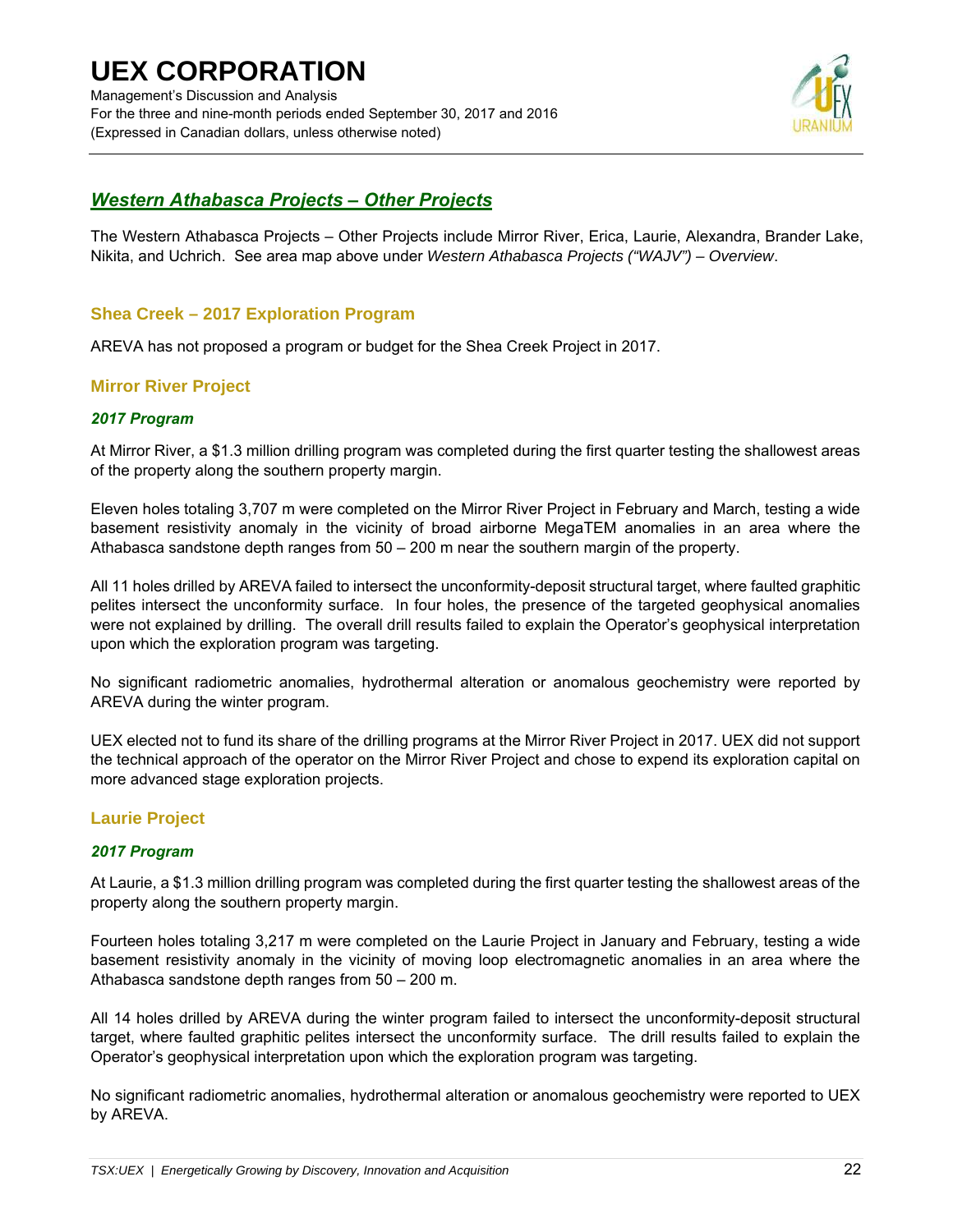## **UEX CORPORATION**  Management's Discussion and Analysis For the three and nine-month periods ended September 30, 2017 and 2016 (Expressed in Canadian dollars, unless otherwise noted)



## *Western Athabasca Projects – Other Projects*

The Western Athabasca Projects – Other Projects include Mirror River, Erica, Laurie, Alexandra, Brander Lake, Nikita, and Uchrich. See area map above under *Western Athabasca Projects ("WAJV") – Overview*.

## **Shea Creek – 2017 Exploration Program**

AREVA has not proposed a program or budget for the Shea Creek Project in 2017.

### **Mirror River Project**

### *2017 Program*

At Mirror River, a \$1.3 million drilling program was completed during the first quarter testing the shallowest areas of the property along the southern property margin.

Eleven holes totaling 3,707 m were completed on the Mirror River Project in February and March, testing a wide basement resistivity anomaly in the vicinity of broad airborne MegaTEM anomalies in an area where the Athabasca sandstone depth ranges from 50 – 200 m near the southern margin of the property.

All 11 holes drilled by AREVA failed to intersect the unconformity-deposit structural target, where faulted graphitic pelites intersect the unconformity surface. In four holes, the presence of the targeted geophysical anomalies were not explained by drilling. The overall drill results failed to explain the Operator's geophysical interpretation upon which the exploration program was targeting.

No significant radiometric anomalies, hydrothermal alteration or anomalous geochemistry were reported by AREVA during the winter program.

UEX elected not to fund its share of the drilling programs at the Mirror River Project in 2017. UEX did not support the technical approach of the operator on the Mirror River Project and chose to expend its exploration capital on more advanced stage exploration projects.

## **Laurie Project**

### *2017 Program*

At Laurie, a \$1.3 million drilling program was completed during the first quarter testing the shallowest areas of the property along the southern property margin.

Fourteen holes totaling 3,217 m were completed on the Laurie Project in January and February, testing a wide basement resistivity anomaly in the vicinity of moving loop electromagnetic anomalies in an area where the Athabasca sandstone depth ranges from 50 – 200 m.

All 14 holes drilled by AREVA during the winter program failed to intersect the unconformity-deposit structural target, where faulted graphitic pelites intersect the unconformity surface. The drill results failed to explain the Operator's geophysical interpretation upon which the exploration program was targeting.

No significant radiometric anomalies, hydrothermal alteration or anomalous geochemistry were reported to UEX by AREVA.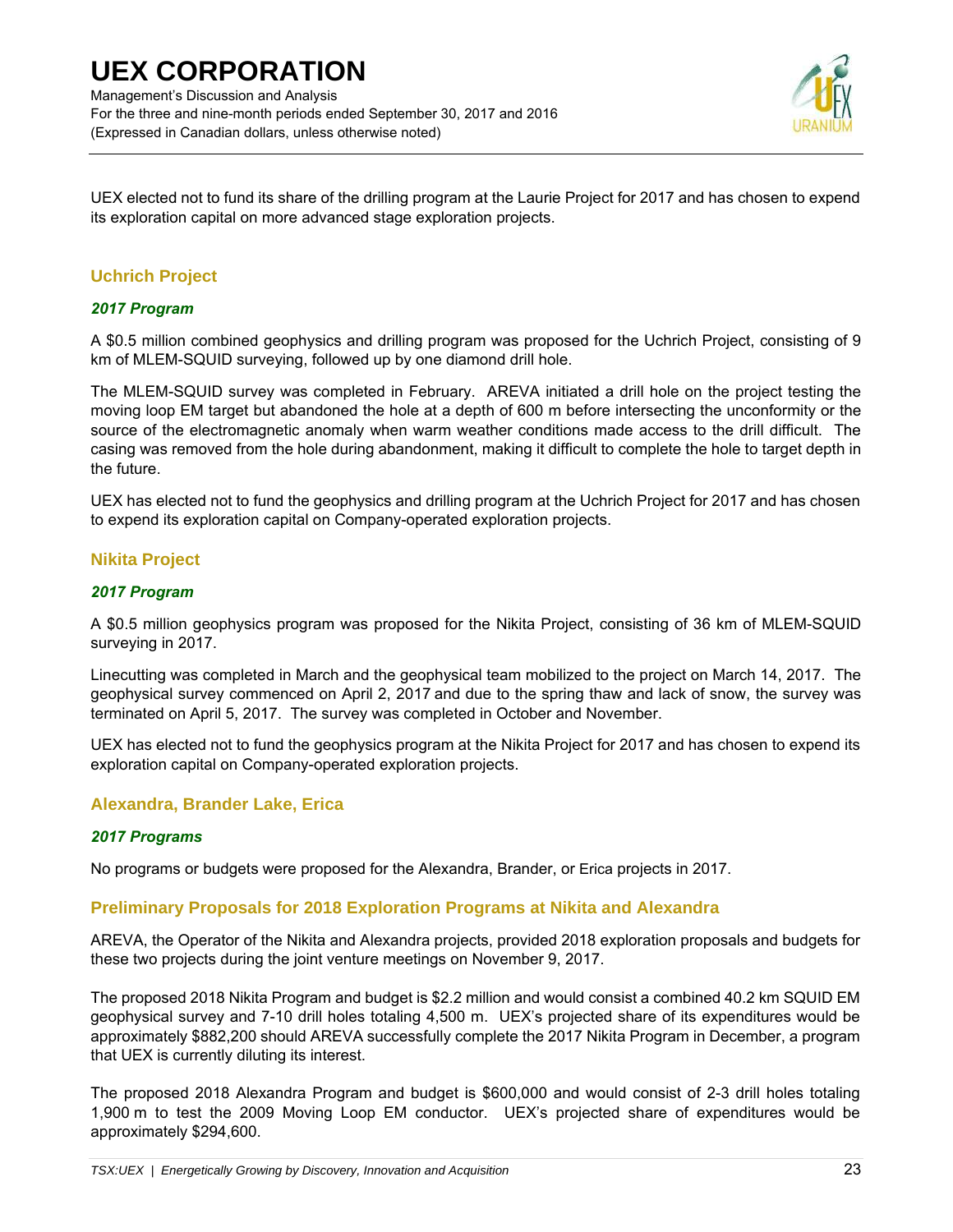Management's Discussion and Analysis For the three and nine-month periods ended September 30, 2017 and 2016 (Expressed in Canadian dollars, unless otherwise noted)



UEX elected not to fund its share of the drilling program at the Laurie Project for 2017 and has chosen to expend its exploration capital on more advanced stage exploration projects.

### **Uchrich Project**

### *2017 Program*

A \$0.5 million combined geophysics and drilling program was proposed for the Uchrich Project, consisting of 9 km of MLEM-SQUID surveying, followed up by one diamond drill hole.

The MLEM-SQUID survey was completed in February. AREVA initiated a drill hole on the project testing the moving loop EM target but abandoned the hole at a depth of 600 m before intersecting the unconformity or the source of the electromagnetic anomaly when warm weather conditions made access to the drill difficult. The casing was removed from the hole during abandonment, making it difficult to complete the hole to target depth in the future.

UEX has elected not to fund the geophysics and drilling program at the Uchrich Project for 2017 and has chosen to expend its exploration capital on Company-operated exploration projects.

### **Nikita Project**

### *2017 Program*

A \$0.5 million geophysics program was proposed for the Nikita Project, consisting of 36 km of MLEM-SQUID surveying in 2017.

Linecutting was completed in March and the geophysical team mobilized to the project on March 14, 2017. The geophysical survey commenced on April 2, 2017 and due to the spring thaw and lack of snow, the survey was terminated on April 5, 2017. The survey was completed in October and November.

UEX has elected not to fund the geophysics program at the Nikita Project for 2017 and has chosen to expend its exploration capital on Company-operated exploration projects.

### **Alexandra, Brander Lake, Erica**

#### *2017 Programs*

No programs or budgets were proposed for the Alexandra, Brander, or Erica projects in 2017.

#### **Preliminary Proposals for 2018 Exploration Programs at Nikita and Alexandra**

AREVA, the Operator of the Nikita and Alexandra projects, provided 2018 exploration proposals and budgets for these two projects during the joint venture meetings on November 9, 2017.

The proposed 2018 Nikita Program and budget is \$2.2 million and would consist a combined 40.2 km SQUID EM geophysical survey and 7-10 drill holes totaling 4,500 m. UEX's projected share of its expenditures would be approximately \$882,200 should AREVA successfully complete the 2017 Nikita Program in December, a program that UEX is currently diluting its interest.

The proposed 2018 Alexandra Program and budget is \$600,000 and would consist of 2-3 drill holes totaling 1,900 m to test the 2009 Moving Loop EM conductor. UEX's projected share of expenditures would be approximately \$294,600.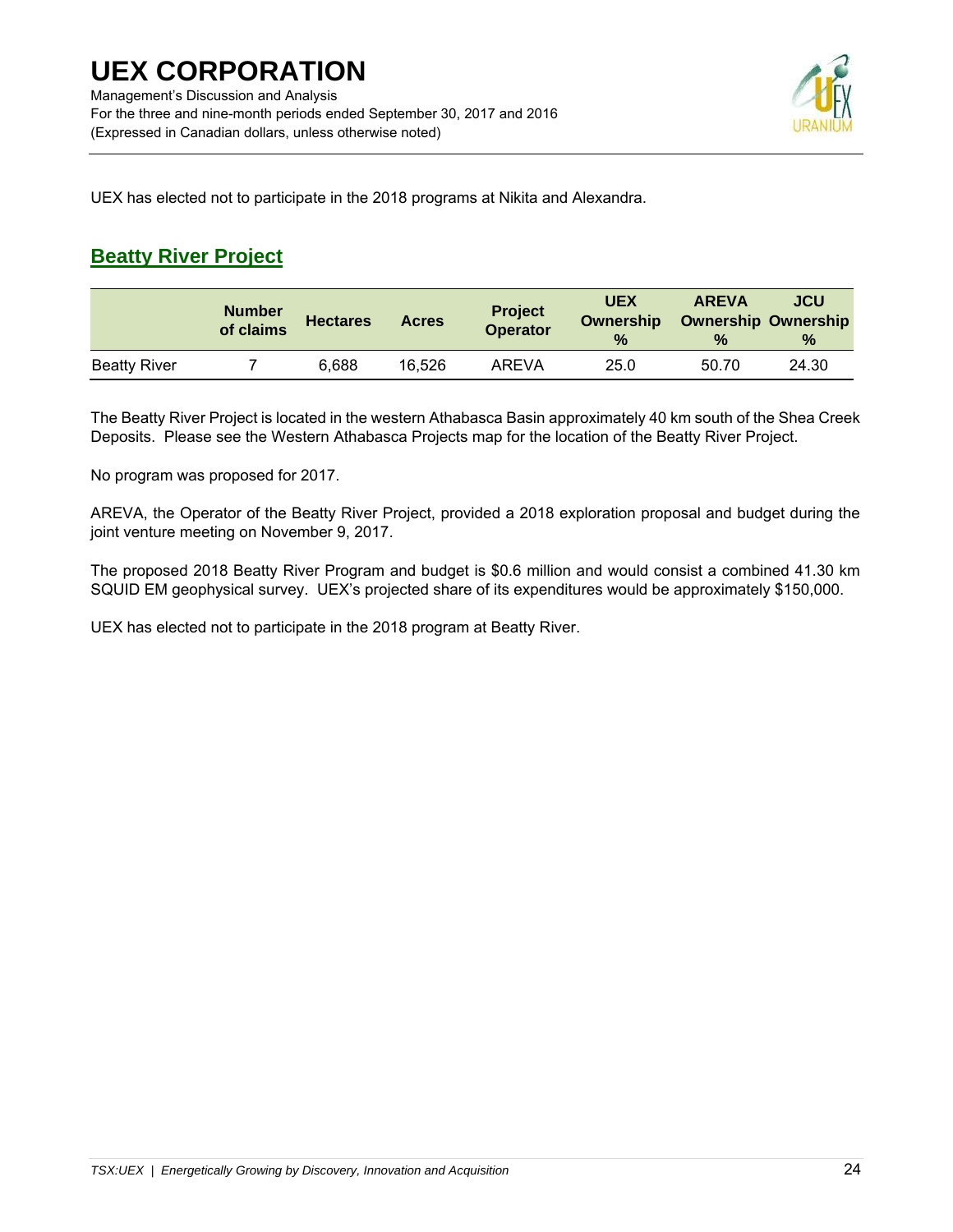

UEX has elected not to participate in the 2018 programs at Nikita and Alexandra.

## **Beatty River Project**

|                     | <b>Number</b><br>of claims | <b>Hectares</b> | <b>Acres</b> | <b>Project</b><br><b>Operator</b> | <b>UEX</b><br><b>Ownership</b><br>$\frac{0}{2}$ | <b>AREVA</b><br>$\frac{9}{6}$ | JCU<br><b>Ownership Ownership</b><br>$\%$ |
|---------------------|----------------------------|-----------------|--------------|-----------------------------------|-------------------------------------------------|-------------------------------|-------------------------------------------|
| <b>Beatty River</b> |                            | 6.688           | 16,526       | AREVA                             | 25.0                                            | 50.70                         | 24.30                                     |

The Beatty River Project is located in the western Athabasca Basin approximately 40 km south of the Shea Creek Deposits. Please see the Western Athabasca Projects map for the location of the Beatty River Project.

No program was proposed for 2017.

AREVA, the Operator of the Beatty River Project, provided a 2018 exploration proposal and budget during the joint venture meeting on November 9, 2017.

The proposed 2018 Beatty River Program and budget is \$0.6 million and would consist a combined 41.30 km SQUID EM geophysical survey. UEX's projected share of its expenditures would be approximately \$150,000.

UEX has elected not to participate in the 2018 program at Beatty River.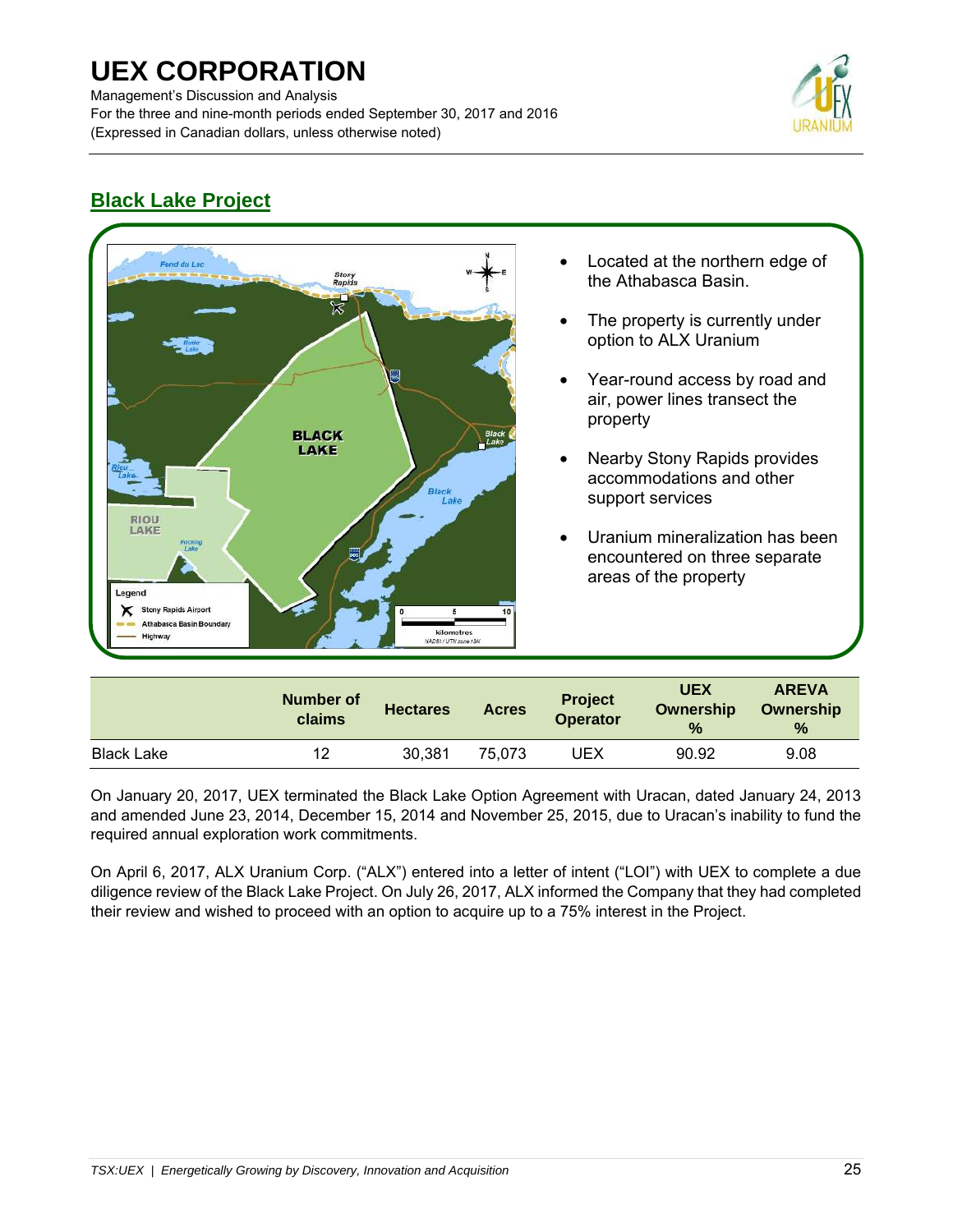Management's Discussion and Analysis For the three and nine-month periods ended September 30, 2017 and 2016 (Expressed in Canadian dollars, unless otherwise noted)



## **Black Lake Project**



|                   | <b>Number of</b><br>claims | <b>Hectares</b> | <b>Acres</b> | <b>Project</b><br><b>Operator</b> | <b>UEX</b><br>Ownership<br>$\frac{9}{6}$ | <b>AREVA</b><br>Ownership<br>$\%$ |
|-------------------|----------------------------|-----------------|--------------|-----------------------------------|------------------------------------------|-----------------------------------|
| <b>Black Lake</b> | 12                         | 30,381          | 75.073       | UEX                               | 90.92                                    | 9.08                              |

On January 20, 2017, UEX terminated the Black Lake Option Agreement with Uracan, dated January 24, 2013 and amended June 23, 2014, December 15, 2014 and November 25, 2015, due to Uracan's inability to fund the required annual exploration work commitments.

On April 6, 2017, ALX Uranium Corp. ("ALX") entered into a letter of intent ("LOI") with UEX to complete a due diligence review of the Black Lake Project. On July 26, 2017, ALX informed the Company that they had completed their review and wished to proceed with an option to acquire up to a 75% interest in the Project.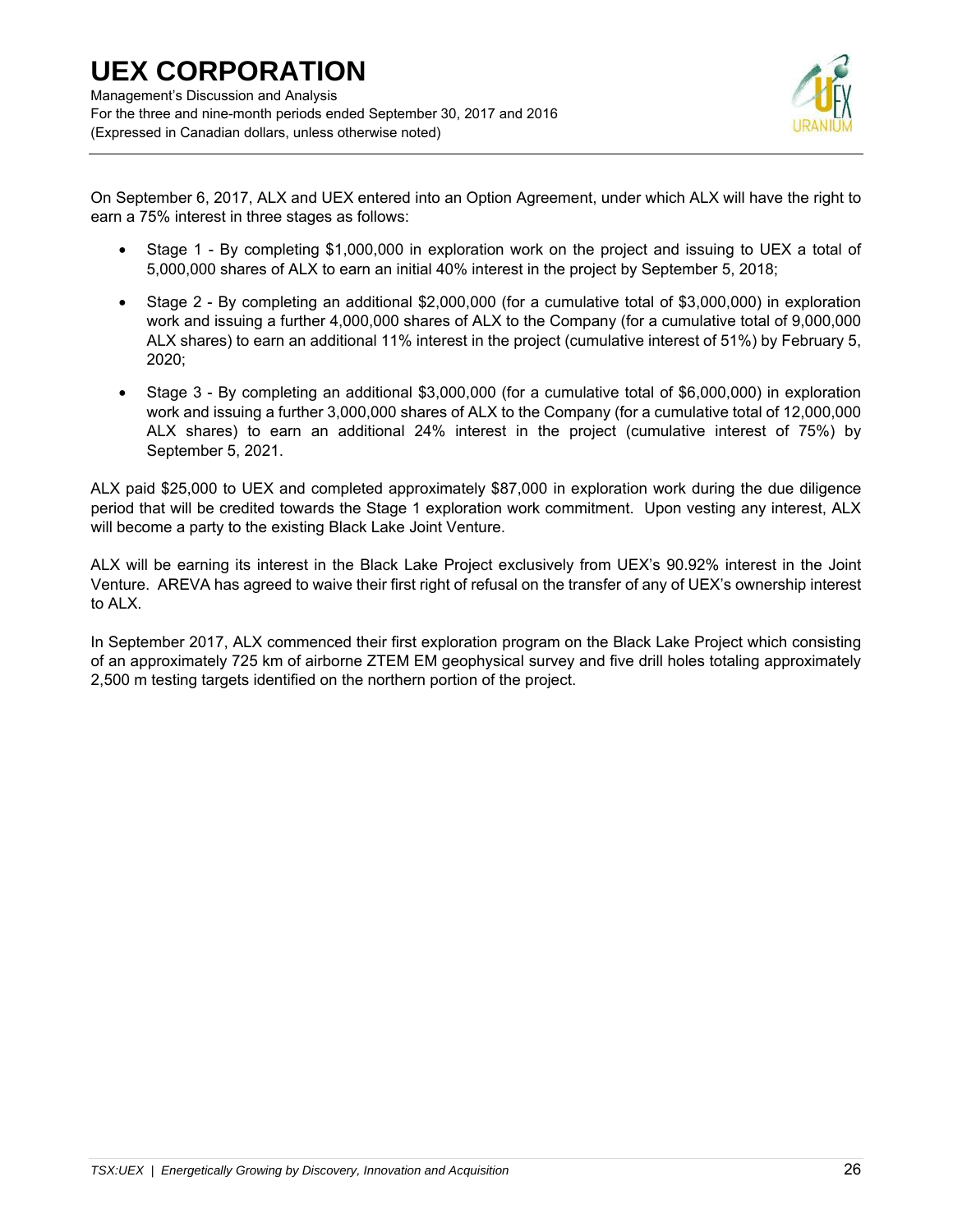

On September 6, 2017, ALX and UEX entered into an Option Agreement, under which ALX will have the right to earn a 75% interest in three stages as follows:

- Stage 1 By completing \$1,000,000 in exploration work on the project and issuing to UEX a total of 5,000,000 shares of ALX to earn an initial 40% interest in the project by September 5, 2018;
- Stage 2 By completing an additional \$2,000,000 (for a cumulative total of \$3,000,000) in exploration work and issuing a further 4,000,000 shares of ALX to the Company (for a cumulative total of 9,000,000 ALX shares) to earn an additional 11% interest in the project (cumulative interest of 51%) by February 5, 2020;
- Stage 3 By completing an additional \$3,000,000 (for a cumulative total of \$6,000,000) in exploration work and issuing a further 3,000,000 shares of ALX to the Company (for a cumulative total of 12,000,000 ALX shares) to earn an additional 24% interest in the project (cumulative interest of 75%) by September 5, 2021.

ALX paid \$25,000 to UEX and completed approximately \$87,000 in exploration work during the due diligence period that will be credited towards the Stage 1 exploration work commitment. Upon vesting any interest, ALX will become a party to the existing Black Lake Joint Venture.

ALX will be earning its interest in the Black Lake Project exclusively from UEX's 90.92% interest in the Joint Venture. AREVA has agreed to waive their first right of refusal on the transfer of any of UEX's ownership interest to ALX.

In September 2017, ALX commenced their first exploration program on the Black Lake Project which consisting of an approximately 725 km of airborne ZTEM EM geophysical survey and five drill holes totaling approximately 2,500 m testing targets identified on the northern portion of the project.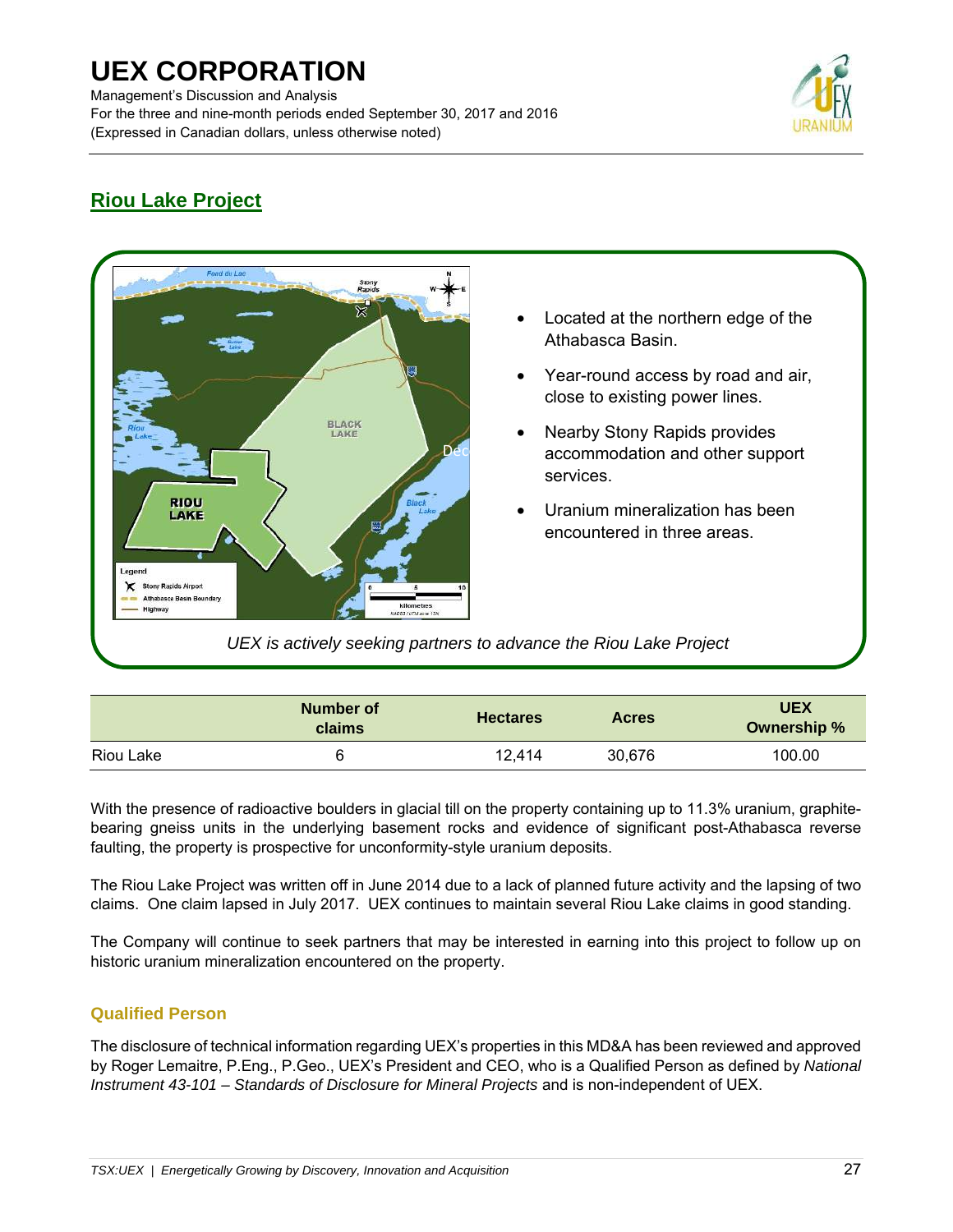Management's Discussion and Analysis For the three and nine-month periods ended September 30, 2017 and 2016 (Expressed in Canadian dollars, unless otherwise noted)



## **Riou Lake Project**



|           | Number of<br>claims | <b>Hectares</b> | <b>Acres</b> | <b>UEX</b><br>Ownership % |
|-----------|---------------------|-----------------|--------------|---------------------------|
| Riou Lake | 6                   | 12.414          | 30,676       | 100.00                    |

With the presence of radioactive boulders in glacial till on the property containing up to 11.3% uranium, graphitebearing gneiss units in the underlying basement rocks and evidence of significant post-Athabasca reverse faulting, the property is prospective for unconformity-style uranium deposits.

The Riou Lake Project was written off in June 2014 due to a lack of planned future activity and the lapsing of two claims. One claim lapsed in July 2017. UEX continues to maintain several Riou Lake claims in good standing.

The Company will continue to seek partners that may be interested in earning into this project to follow up on historic uranium mineralization encountered on the property.

## **Qualified Person**

The disclosure of technical information regarding UEX's properties in this MD&A has been reviewed and approved by Roger Lemaitre, P.Eng., P.Geo., UEX's President and CEO, who is a Qualified Person as defined by *National Instrument 43-101 – Standards of Disclosure for Mineral Projects* and is non-independent of UEX.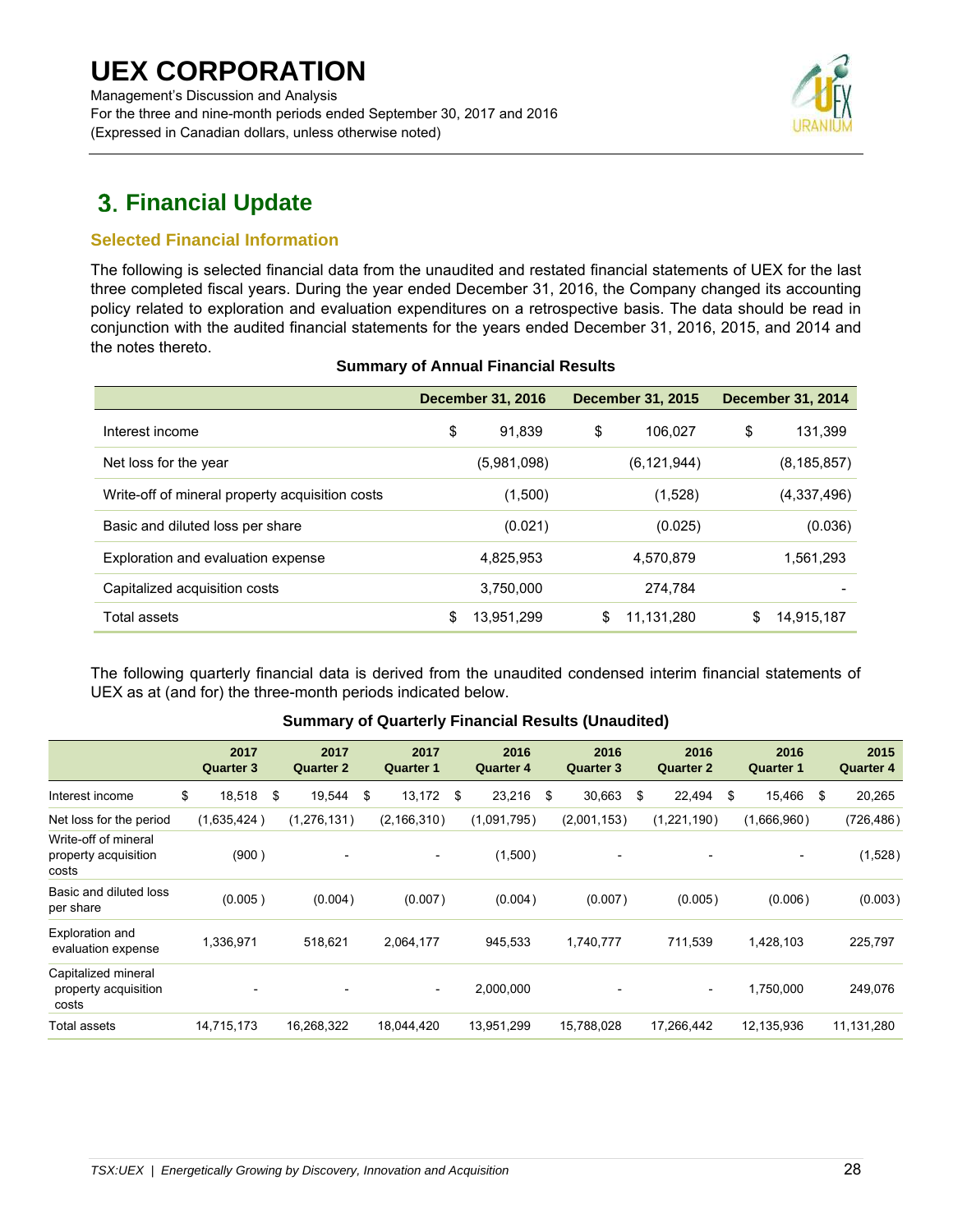Management's Discussion and Analysis For the three and nine-month periods ended September 30, 2017 and 2016 (Expressed in Canadian dollars, unless otherwise noted)



## **Financial Update**

## **Selected Financial Information**

The following is selected financial data from the unaudited and restated financial statements of UEX for the last three completed fiscal years. During the year ended December 31, 2016, the Company changed its accounting policy related to exploration and evaluation expenditures on a retrospective basis. The data should be read in conjunction with the audited financial statements for the years ended December 31, 2016, 2015, and 2014 and the notes thereto.

|                                                 | <b>December 31, 2016</b> |             | <b>December 31, 2015</b> |               | <b>December 31, 2014</b> |
|-------------------------------------------------|--------------------------|-------------|--------------------------|---------------|--------------------------|
| Interest income                                 | \$                       | 91,839      | \$                       | 106,027       | \$<br>131,399            |
| Net loss for the year                           |                          | (5,981,098) |                          | (6, 121, 944) | (8, 185, 857)            |
| Write-off of mineral property acquisition costs |                          | (1,500)     |                          | (1,528)       | (4,337,496)              |
| Basic and diluted loss per share                |                          | (0.021)     |                          | (0.025)       | (0.036)                  |
| Exploration and evaluation expense              |                          | 4,825,953   |                          | 4,570,879     | 1,561,293                |
| Capitalized acquisition costs                   |                          | 3,750,000   |                          | 274.784       |                          |
| Total assets                                    | S                        | 13,951,299  | \$                       | 11,131,280    | \$<br>14,915,187         |

### **Summary of Annual Financial Results**

The following quarterly financial data is derived from the unaudited condensed interim financial statements of UEX as at (and for) the three-month periods indicated below.

#### **Summary of Quarterly Financial Results (Unaudited)**

|                                                       | 2017<br><b>Quarter 3</b> | 2017<br><b>Quarter 2</b> | 2017<br><b>Quarter 1</b> |      | 2016<br><b>Quarter 4</b> |     | 2016<br><b>Quarter 3</b> | 2016<br><b>Quarter 2</b> | 2016<br><b>Quarter 1</b> | 2015<br><b>Quarter 4</b> |
|-------------------------------------------------------|--------------------------|--------------------------|--------------------------|------|--------------------------|-----|--------------------------|--------------------------|--------------------------|--------------------------|
| Interest income                                       | \$<br>18,518             | \$<br>19,544             | \$<br>13,172             | - \$ | 23,216                   | -\$ | 30,663                   | \$<br>22,494             | \$<br>15,466             | \$<br>20,265             |
| Net loss for the period                               | (1,635,424)              | (1, 276, 131)            | (2, 166, 310)            |      | (1,091,795)              |     | (2,001,153)              | (1,221,190)              | (1,666,960)              | (726, 486)               |
| Write-off of mineral<br>property acquisition<br>costs | (900)                    | $\overline{\phantom{a}}$ | $\overline{\phantom{a}}$ |      | (1,500)                  |     | $\overline{\phantom{a}}$ |                          | $\overline{\phantom{a}}$ | (1,528)                  |
| Basic and diluted loss<br>per share                   | (0.005)                  | (0.004)                  | (0.007)                  |      | (0.004)                  |     | (0.007)                  | (0.005)                  | (0.006)                  | (0.003)                  |
| Exploration and<br>evaluation expense                 | 1,336,971                | 518,621                  | 2,064,177                |      | 945,533                  |     | 1,740,777                | 711,539                  | 1,428,103                | 225,797                  |
| Capitalized mineral<br>property acquisition<br>costs  |                          |                          | $\overline{\phantom{a}}$ |      | 2,000,000                |     |                          | $\overline{\phantom{a}}$ | 1,750,000                | 249,076                  |
| <b>Total assets</b>                                   | 14,715,173               | 16,268,322               | 18,044,420               |      | 13,951,299               |     | 15,788,028               | 17,266,442               | 12,135,936               | 11,131,280               |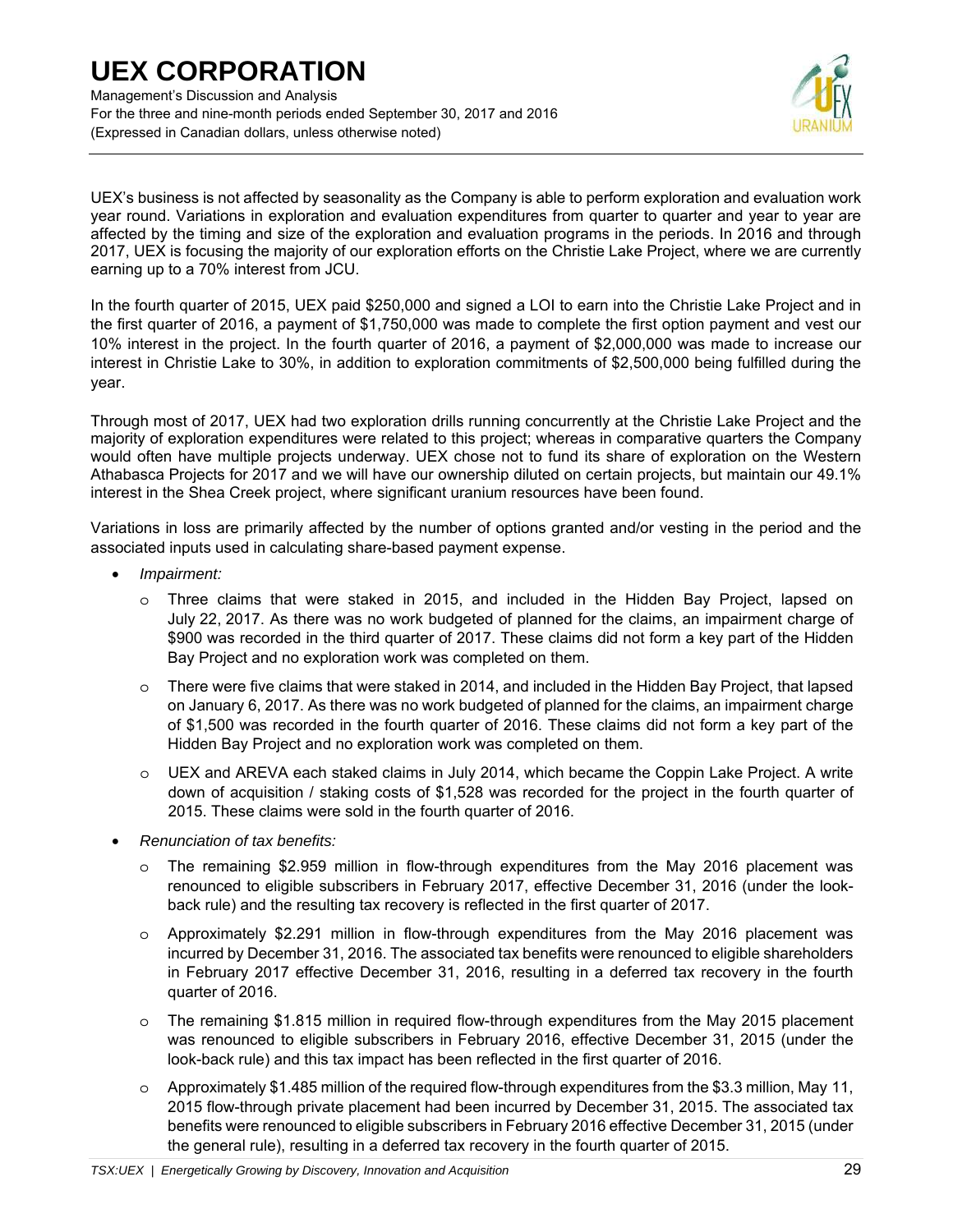Management's Discussion and Analysis For the three and nine-month periods ended September 30, 2017 and 2016 (Expressed in Canadian dollars, unless otherwise noted)



UEX's business is not affected by seasonality as the Company is able to perform exploration and evaluation work year round. Variations in exploration and evaluation expenditures from quarter to quarter and year to year are affected by the timing and size of the exploration and evaluation programs in the periods. In 2016 and through 2017, UEX is focusing the majority of our exploration efforts on the Christie Lake Project, where we are currently earning up to a 70% interest from JCU.

In the fourth quarter of 2015, UEX paid \$250,000 and signed a LOI to earn into the Christie Lake Project and in the first quarter of 2016, a payment of \$1,750,000 was made to complete the first option payment and vest our 10% interest in the project. In the fourth quarter of 2016, a payment of \$2,000,000 was made to increase our interest in Christie Lake to 30%, in addition to exploration commitments of \$2,500,000 being fulfilled during the year.

Through most of 2017, UEX had two exploration drills running concurrently at the Christie Lake Project and the majority of exploration expenditures were related to this project; whereas in comparative quarters the Company would often have multiple projects underway. UEX chose not to fund its share of exploration on the Western Athabasca Projects for 2017 and we will have our ownership diluted on certain projects, but maintain our 49.1% interest in the Shea Creek project, where significant uranium resources have been found.

Variations in loss are primarily affected by the number of options granted and/or vesting in the period and the associated inputs used in calculating share-based payment expense.

- *Impairment:*
	- o Three claims that were staked in 2015, and included in the Hidden Bay Project, lapsed on July 22, 2017. As there was no work budgeted of planned for the claims, an impairment charge of \$900 was recorded in the third quarter of 2017. These claims did not form a key part of the Hidden Bay Project and no exploration work was completed on them.
	- $\circ$  There were five claims that were staked in 2014, and included in the Hidden Bay Project, that lapsed on January 6, 2017. As there was no work budgeted of planned for the claims, an impairment charge of \$1,500 was recorded in the fourth quarter of 2016. These claims did not form a key part of the Hidden Bay Project and no exploration work was completed on them.
	- $\circ$  UEX and AREVA each staked claims in July 2014, which became the Coppin Lake Project. A write down of acquisition / staking costs of \$1,528 was recorded for the project in the fourth quarter of 2015. These claims were sold in the fourth quarter of 2016.
- *Renunciation of tax benefits:* 
	- $\circ$  The remaining \$2.959 million in flow-through expenditures from the May 2016 placement was renounced to eligible subscribers in February 2017, effective December 31, 2016 (under the lookback rule) and the resulting tax recovery is reflected in the first quarter of 2017.
	- $\circ$  Approximately \$2.291 million in flow-through expenditures from the May 2016 placement was incurred by December 31, 2016. The associated tax benefits were renounced to eligible shareholders in February 2017 effective December 31, 2016, resulting in a deferred tax recovery in the fourth quarter of 2016.
	- o The remaining \$1.815 million in required flow-through expenditures from the May 2015 placement was renounced to eligible subscribers in February 2016, effective December 31, 2015 (under the look-back rule) and this tax impact has been reflected in the first quarter of 2016.
	- $\circ$  Approximately \$1.485 million of the required flow-through expenditures from the \$3.3 million, May 11, 2015 flow-through private placement had been incurred by December 31, 2015. The associated tax benefits were renounced to eligible subscribers in February 2016 effective December 31, 2015 (under the general rule), resulting in a deferred tax recovery in the fourth quarter of 2015.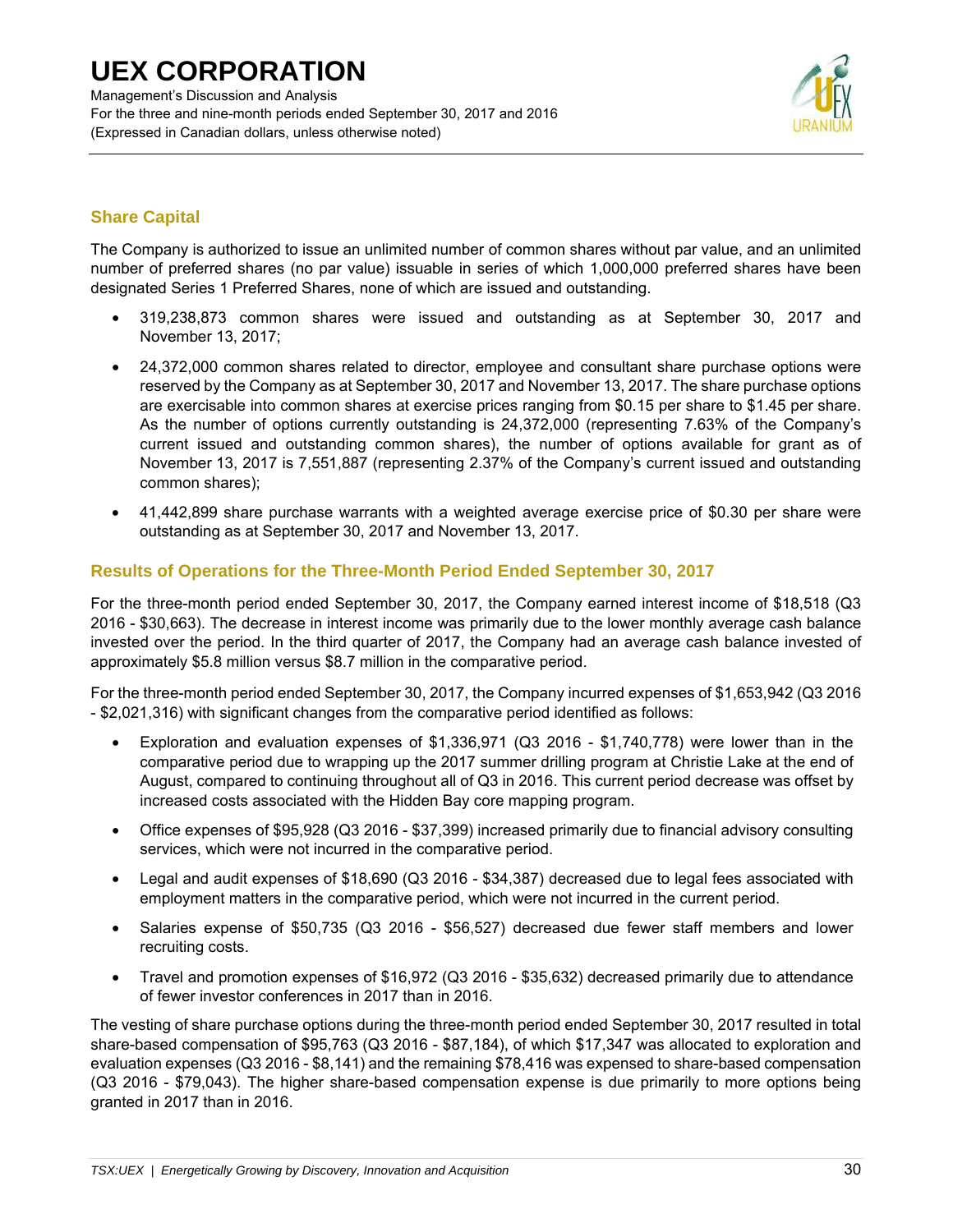Management's Discussion and Analysis For the three and nine-month periods ended September 30, 2017 and 2016 (Expressed in Canadian dollars, unless otherwise noted)



## **Share Capital**

The Company is authorized to issue an unlimited number of common shares without par value, and an unlimited number of preferred shares (no par value) issuable in series of which 1,000,000 preferred shares have been designated Series 1 Preferred Shares, none of which are issued and outstanding.

- 319,238,873 common shares were issued and outstanding as at September 30, 2017 and November 13, 2017;
- 24,372,000 common shares related to director, employee and consultant share purchase options were reserved by the Company as at September 30, 2017 and November 13, 2017. The share purchase options are exercisable into common shares at exercise prices ranging from \$0.15 per share to \$1.45 per share. As the number of options currently outstanding is 24,372,000 (representing 7.63% of the Company's current issued and outstanding common shares), the number of options available for grant as of November 13, 2017 is 7,551,887 (representing 2.37% of the Company's current issued and outstanding common shares);
- 41,442,899 share purchase warrants with a weighted average exercise price of \$0.30 per share were outstanding as at September 30, 2017 and November 13, 2017.

## **Results of Operations for the Three-Month Period Ended September 30, 2017**

For the three-month period ended September 30, 2017, the Company earned interest income of \$18,518 (Q3 2016 - \$30,663). The decrease in interest income was primarily due to the lower monthly average cash balance invested over the period. In the third quarter of 2017, the Company had an average cash balance invested of approximately \$5.8 million versus \$8.7 million in the comparative period.

For the three-month period ended September 30, 2017, the Company incurred expenses of \$1,653,942 (Q3 2016 - \$2,021,316) with significant changes from the comparative period identified as follows:

- Exploration and evaluation expenses of \$1,336,971 (Q3 2016 \$1,740,778) were lower than in the comparative period due to wrapping up the 2017 summer drilling program at Christie Lake at the end of August, compared to continuing throughout all of Q3 in 2016. This current period decrease was offset by increased costs associated with the Hidden Bay core mapping program.
- Office expenses of \$95,928 (Q3 2016 \$37,399) increased primarily due to financial advisory consulting services, which were not incurred in the comparative period.
- Legal and audit expenses of \$18,690 (Q3 2016 \$34,387) decreased due to legal fees associated with employment matters in the comparative period, which were not incurred in the current period.
- Salaries expense of \$50,735 (Q3 2016 \$56,527) decreased due fewer staff members and lower recruiting costs.
- Travel and promotion expenses of \$16,972 (Q3 2016 \$35,632) decreased primarily due to attendance of fewer investor conferences in 2017 than in 2016.

The vesting of share purchase options during the three-month period ended September 30, 2017 resulted in total share-based compensation of \$95,763 (Q3 2016 - \$87,184), of which \$17,347 was allocated to exploration and evaluation expenses (Q3 2016 - \$8,141) and the remaining \$78,416 was expensed to share-based compensation (Q3 2016 - \$79,043). The higher share-based compensation expense is due primarily to more options being granted in 2017 than in 2016.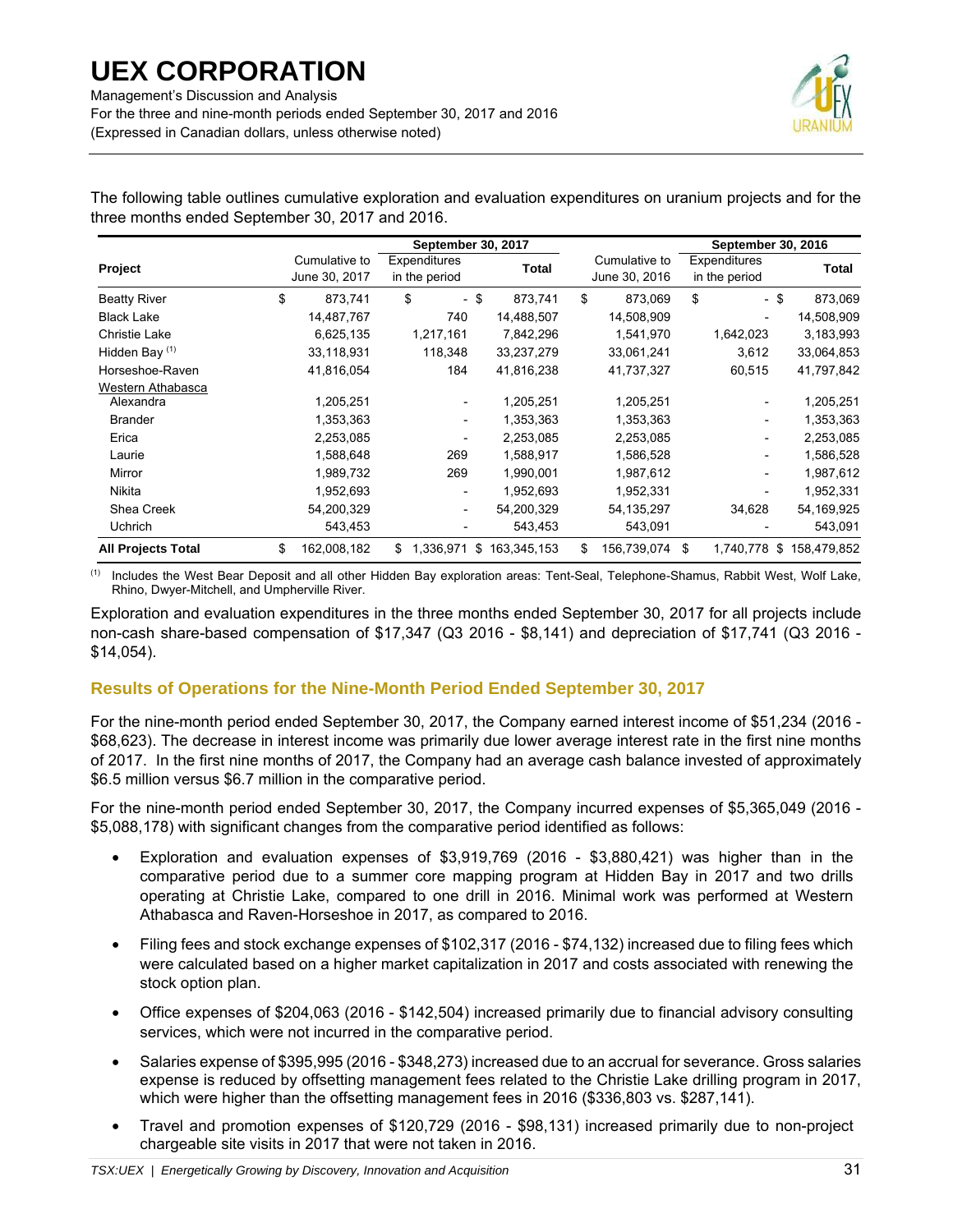

The following table outlines cumulative exploration and evaluation expenditures on uranium projects and for the three months ended September 30, 2017 and 2016.

|                           |                                | September 30, 2017 |                               |      |             | September 30, 2016 |                                |    |                               |  |            |
|---------------------------|--------------------------------|--------------------|-------------------------------|------|-------------|--------------------|--------------------------------|----|-------------------------------|--|------------|
| Project                   | Cumulative to<br>June 30, 2017 |                    | Expenditures<br>in the period |      | Total       |                    | Cumulative to<br>June 30, 2016 |    | Expenditures<br>in the period |  | Total      |
| <b>Beatty River</b>       | \$<br>873,741                  | \$                 |                               | - \$ | 873,741     | \$                 | 873,069                        | \$ | - \$                          |  | 873,069    |
| <b>Black Lake</b>         | 14,487,767                     |                    | 740                           |      | 14,488,507  |                    | 14,508,909                     |    |                               |  | 14,508,909 |
| Christie Lake             | 6,625,135                      |                    | 1,217,161                     |      | 7,842,296   |                    | 1,541,970                      |    | 1,642,023                     |  | 3,183,993  |
| Hidden Bay <sup>(1)</sup> | 33,118,931                     |                    | 118,348                       |      | 33,237,279  |                    | 33,061,241                     |    | 3,612                         |  | 33,064,853 |
| Horseshoe-Raven           | 41,816,054                     |                    | 184                           |      | 41,816,238  |                    | 41,737,327                     |    | 60,515                        |  | 41,797,842 |
| Western Athabasca         |                                |                    |                               |      |             |                    |                                |    |                               |  |            |
| Alexandra                 | 1,205,251                      |                    |                               |      | 1,205,251   |                    | 1,205,251                      |    |                               |  | 1,205,251  |
| <b>Brander</b>            | 1,353,363                      |                    |                               |      | 1,353,363   |                    | 1,353,363                      |    |                               |  | 1,353,363  |
| Erica                     | 2,253,085                      |                    |                               |      | 2,253,085   |                    | 2,253,085                      |    | $\overline{\phantom{0}}$      |  | 2,253,085  |
| Laurie                    | 1,588,648                      |                    | 269                           |      | 1,588,917   |                    | 1,586,528                      |    | $\overline{\phantom{a}}$      |  | 1,586,528  |
| Mirror                    | 1,989,732                      |                    | 269                           |      | 1,990,001   |                    | 1,987,612                      |    | $\overline{\phantom{a}}$      |  | 1,987,612  |
| <b>Nikita</b>             | 1,952,693                      |                    |                               |      | 1,952,693   |                    | 1,952,331                      |    |                               |  | 1,952,331  |
| Shea Creek                | 54,200,329                     |                    | $\overline{\phantom{a}}$      |      | 54,200,329  |                    | 54, 135, 297                   |    | 34,628                        |  | 54,169,925 |
| <b>Uchrich</b>            | 543,453                        |                    |                               |      | 543,453     |                    | 543,091                        |    |                               |  | 543,091    |
| <b>All Projects Total</b> | \$<br>162,008,182              | \$                 | 1,336,971                     | \$   | 163,345,153 | \$                 | 156,739,074                    | \$ | 1,740,778 \$ 158,479,852      |  |            |

(1) Includes the West Bear Deposit and all other Hidden Bay exploration areas: Tent-Seal, Telephone-Shamus, Rabbit West, Wolf Lake, Rhino, Dwyer-Mitchell, and Umpherville River.

Exploration and evaluation expenditures in the three months ended September 30, 2017 for all projects include non-cash share-based compensation of \$17,347 (Q3 2016 - \$8,141) and depreciation of \$17,741 (Q3 2016 - \$14,054).

## **Results of Operations for the Nine-Month Period Ended September 30, 2017**

For the nine-month period ended September 30, 2017, the Company earned interest income of \$51,234 (2016 - \$68,623). The decrease in interest income was primarily due lower average interest rate in the first nine months of 2017. In the first nine months of 2017, the Company had an average cash balance invested of approximately \$6.5 million versus \$6.7 million in the comparative period.

For the nine-month period ended September 30, 2017, the Company incurred expenses of \$5,365,049 (2016 - \$5,088,178) with significant changes from the comparative period identified as follows:

- Exploration and evaluation expenses of \$3,919,769 (2016 \$3,880,421) was higher than in the comparative period due to a summer core mapping program at Hidden Bay in 2017 and two drills operating at Christie Lake, compared to one drill in 2016. Minimal work was performed at Western Athabasca and Raven-Horseshoe in 2017, as compared to 2016.
- Filing fees and stock exchange expenses of \$102,317 (2016 \$74,132) increased due to filing fees which were calculated based on a higher market capitalization in 2017 and costs associated with renewing the stock option plan.
- Office expenses of \$204,063 (2016 \$142,504) increased primarily due to financial advisory consulting services, which were not incurred in the comparative period.
- Salaries expense of \$395,995 (2016 \$348,273) increased due to an accrual for severance. Gross salaries expense is reduced by offsetting management fees related to the Christie Lake drilling program in 2017, which were higher than the offsetting management fees in 2016 (\$336,803 vs. \$287,141).
- Travel and promotion expenses of \$120,729 (2016 \$98,131) increased primarily due to non-project chargeable site visits in 2017 that were not taken in 2016.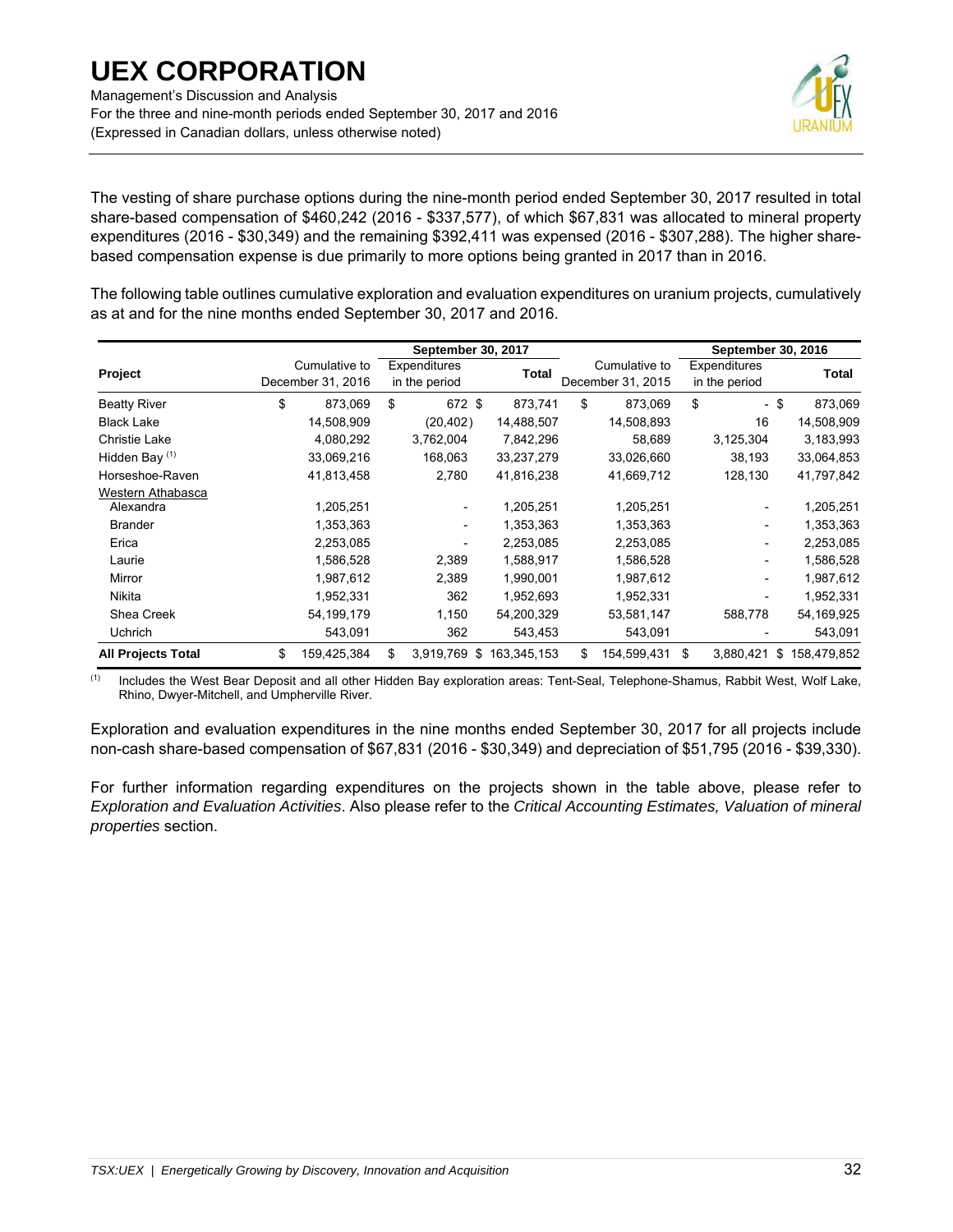Management's Discussion and Analysis For the three and nine-month periods ended September 30, 2017 and 2016 (Expressed in Canadian dollars, unless otherwise noted)



The vesting of share purchase options during the nine-month period ended September 30, 2017 resulted in total share-based compensation of \$460,242 (2016 - \$337,577), of which \$67,831 was allocated to mineral property expenditures (2016 - \$30,349) and the remaining \$392,411 was expensed (2016 - \$307,288). The higher sharebased compensation expense is due primarily to more options being granted in 2017 than in 2016.

The following table outlines cumulative exploration and evaluation expenditures on uranium projects, cumulatively as at and for the nine months ended September 30, 2017 and 2016.

|                           |                                    | September 30, 2017            |             |                                    | September 30, 2016 |                               |      |              |
|---------------------------|------------------------------------|-------------------------------|-------------|------------------------------------|--------------------|-------------------------------|------|--------------|
| Project                   | Cumulative to<br>December 31, 2016 | Expenditures<br>in the period | Total       | Cumulative to<br>December 31, 2015 |                    | Expenditures<br>in the period |      | <b>Total</b> |
| <b>Beatty River</b>       | \$<br>873,069                      | \$<br>672 \$                  | 873,741     | \$<br>873,069                      | \$                 | $\overline{\phantom{0}}$      | - \$ | 873,069      |
| <b>Black Lake</b>         | 14,508,909                         | (20, 402)                     | 14,488,507  | 14,508,893                         |                    | 16                            |      | 14,508,909   |
| Christie Lake             | 4,080,292                          | 3,762,004                     | 7,842,296   | 58,689                             |                    | 3,125,304                     |      | 3,183,993    |
| Hidden Bay <sup>(1)</sup> | 33,069,216                         | 168,063                       | 33,237,279  | 33,026,660                         |                    | 38,193                        |      | 33,064,853   |
| Horseshoe-Raven           | 41,813,458                         | 2,780                         | 41,816,238  | 41,669,712                         |                    | 128,130                       |      | 41,797,842   |
| Western Athabasca         |                                    |                               |             |                                    |                    |                               |      |              |
| Alexandra                 | 1,205,251                          |                               | 1,205,251   | 1,205,251                          |                    |                               |      | 1,205,251    |
| <b>Brander</b>            | 1,353,363                          |                               | 1,353,363   | 1,353,363                          |                    | $\qquad \qquad -$             |      | 1,353,363    |
| Erica                     | 2,253,085                          |                               | 2,253,085   | 2,253,085                          |                    | $\qquad \qquad -$             |      | 2,253,085    |
| Laurie                    | 1,586,528                          | 2,389                         | 1,588,917   | 1,586,528                          |                    | $\qquad \qquad \blacksquare$  |      | 1,586,528    |
| Mirror                    | 1,987,612                          | 2,389                         | 1,990,001   | 1,987,612                          |                    | $\qquad \qquad \blacksquare$  |      | 1,987,612    |
| Nikita                    | 1,952,331                          | 362                           | 1,952,693   | 1,952,331                          |                    | $\qquad \qquad -$             |      | 1,952,331    |
| Shea Creek                | 54,199,179                         | 1,150                         | 54,200,329  | 53,581,147                         |                    | 588,778                       |      | 54,169,925   |
| Uchrich                   | 543,091                            | 362                           | 543,453     | 543,091                            |                    |                               |      | 543,091      |
| <b>All Projects Total</b> | \$<br>159,425,384                  | \$<br>3,919,769<br>\$         | 163,345,153 | \$<br>154,599,431                  | \$                 | 3,880,421                     | \$   | 158,479,852  |

(1) Includes the West Bear Deposit and all other Hidden Bay exploration areas: Tent-Seal, Telephone-Shamus, Rabbit West, Wolf Lake, Rhino, Dwyer-Mitchell, and Umpherville River.

Exploration and evaluation expenditures in the nine months ended September 30, 2017 for all projects include non-cash share-based compensation of \$67,831 (2016 - \$30,349) and depreciation of \$51,795 (2016 - \$39,330).

For further information regarding expenditures on the projects shown in the table above, please refer to *Exploration and Evaluation Activities*. Also please refer to the *Critical Accounting Estimates, Valuation of mineral properties* section.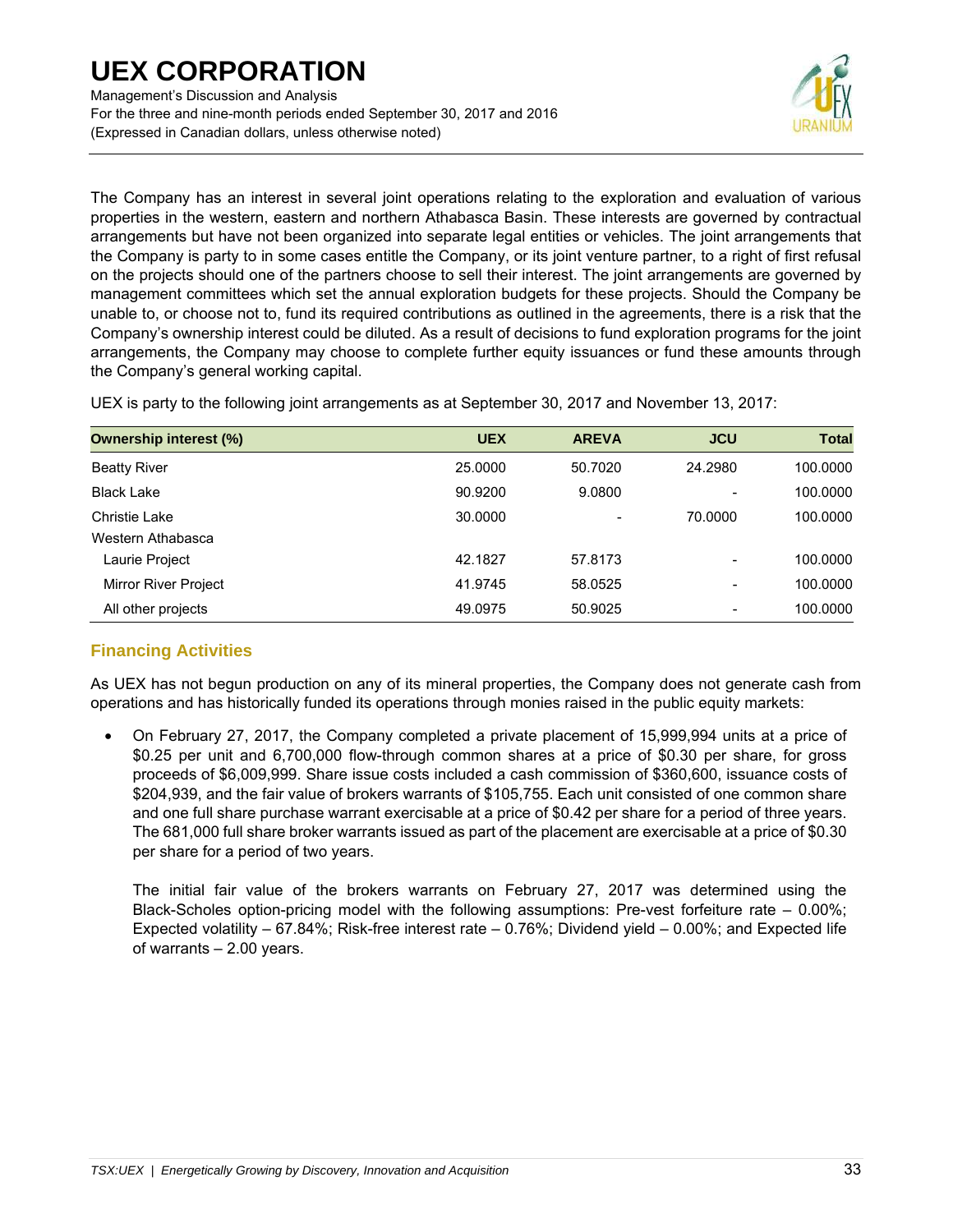Management's Discussion and Analysis For the three and nine-month periods ended September 30, 2017 and 2016 (Expressed in Canadian dollars, unless otherwise noted)



The Company has an interest in several joint operations relating to the exploration and evaluation of various properties in the western, eastern and northern Athabasca Basin. These interests are governed by contractual arrangements but have not been organized into separate legal entities or vehicles. The joint arrangements that the Company is party to in some cases entitle the Company, or its joint venture partner, to a right of first refusal on the projects should one of the partners choose to sell their interest. The joint arrangements are governed by management committees which set the annual exploration budgets for these projects. Should the Company be unable to, or choose not to, fund its required contributions as outlined in the agreements, there is a risk that the Company's ownership interest could be diluted. As a result of decisions to fund exploration programs for the joint arrangements, the Company may choose to complete further equity issuances or fund these amounts through the Company's general working capital.

| <b>Ownership interest (%)</b> | <b>UEX</b> | <b>AREVA</b> | <b>JCU</b>               | <b>Total</b> |
|-------------------------------|------------|--------------|--------------------------|--------------|
| <b>Beatty River</b>           | 25,0000    | 50.7020      | 24.2980                  | 100.0000     |
| <b>Black Lake</b>             | 90.9200    | 9.0800       | -                        | 100.0000     |
| <b>Christie Lake</b>          | 30,0000    | -            | 70.0000                  | 100.0000     |
| Western Athabasca             |            |              |                          |              |
| Laurie Project                | 42.1827    | 57.8173      |                          | 100.0000     |
| <b>Mirror River Project</b>   | 41.9745    | 58.0525      |                          | 100.0000     |
| All other projects            | 49.0975    | 50.9025      | $\overline{\phantom{0}}$ | 100.0000     |

UEX is party to the following joint arrangements as at September 30, 2017 and November 13, 2017:

## **Financing Activities**

As UEX has not begun production on any of its mineral properties, the Company does not generate cash from operations and has historically funded its operations through monies raised in the public equity markets:

• On February 27, 2017, the Company completed a private placement of 15,999,994 units at a price of \$0.25 per unit and 6,700,000 flow-through common shares at a price of \$0.30 per share, for gross proceeds of \$6,009,999. Share issue costs included a cash commission of \$360,600, issuance costs of \$204,939, and the fair value of brokers warrants of \$105,755. Each unit consisted of one common share and one full share purchase warrant exercisable at a price of \$0.42 per share for a period of three years. The 681,000 full share broker warrants issued as part of the placement are exercisable at a price of \$0.30 per share for a period of two years.

The initial fair value of the brokers warrants on February 27, 2017 was determined using the Black-Scholes option-pricing model with the following assumptions: Pre-vest forfeiture rate – 0.00%; Expected volatility – 67.84%; Risk-free interest rate – 0.76%; Dividend yield – 0.00%; and Expected life of warrants – 2.00 years.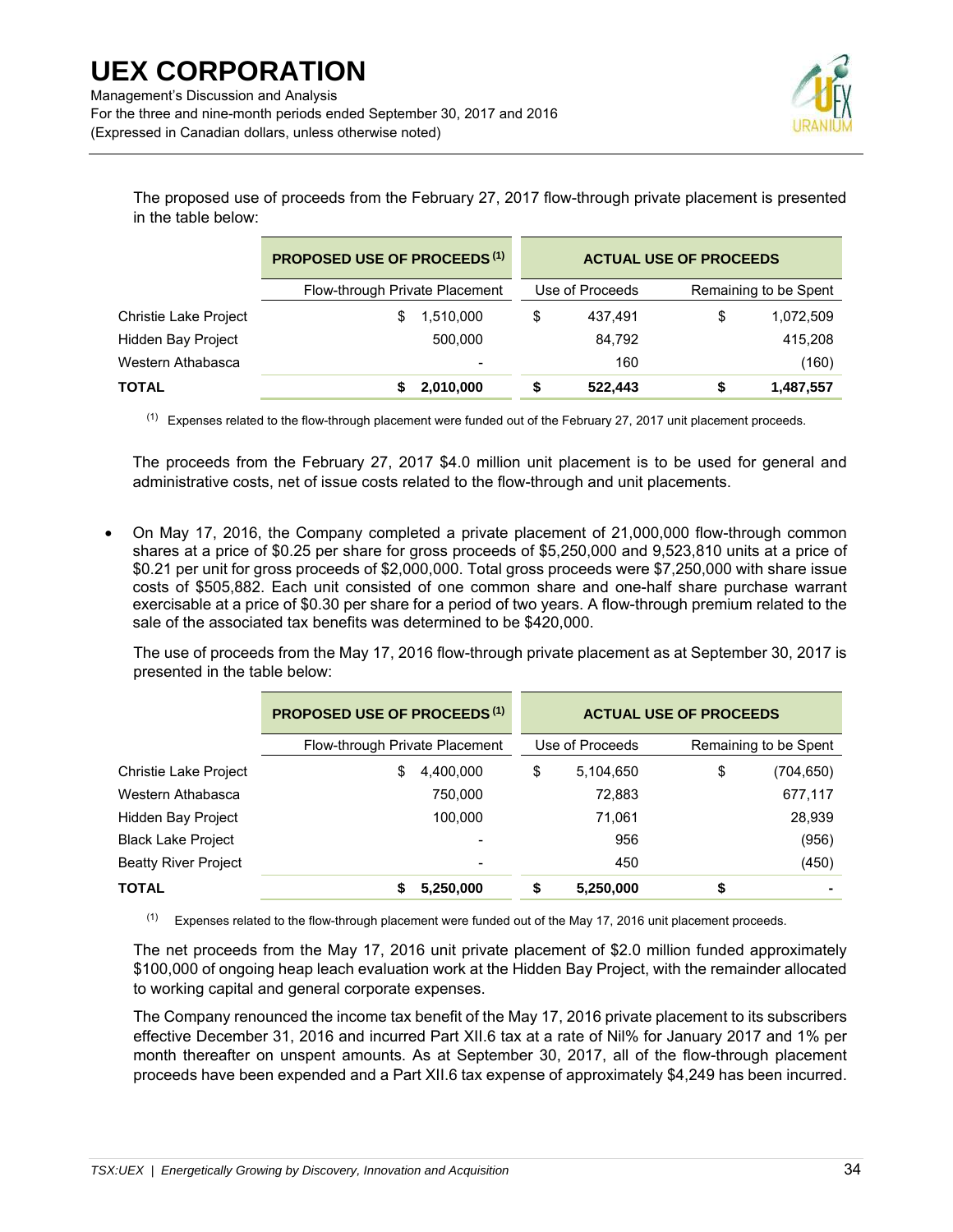For the three and nine-month periods ended September 30, 2017 and 2016 (Expressed in Canadian dollars, unless otherwise noted)



The proposed use of proceeds from the February 27, 2017 flow-through private placement is presented in the table below:

|                           | <b>PROPOSED USE OF PROCEEDS (1)</b> |                          |   | <b>ACTUAL USE OF PROCEEDS</b> |    |                       |  |  |  |  |
|---------------------------|-------------------------------------|--------------------------|---|-------------------------------|----|-----------------------|--|--|--|--|
|                           | Flow-through Private Placement      |                          |   | Use of Proceeds               |    | Remaining to be Spent |  |  |  |  |
| Christie Lake Project     |                                     | 1,510,000                | S | 437.491                       | \$ | 1,072,509             |  |  |  |  |
| <b>Hidden Bay Project</b> |                                     | 500.000                  |   | 84,792                        |    | 415,208               |  |  |  |  |
| Western Athabasca         |                                     | $\overline{\phantom{0}}$ |   | 160                           |    | (160)                 |  |  |  |  |
| <b>TOTAL</b>              |                                     | 2,010,000                |   | 522.443                       | S  | 1,487,557             |  |  |  |  |

 $<sup>(1)</sup>$  Expenses related to the flow-through placement were funded out of the February 27, 2017 unit placement proceeds.</sup>

The proceeds from the February 27, 2017 \$4.0 million unit placement is to be used for general and administrative costs, net of issue costs related to the flow-through and unit placements.

• On May 17, 2016, the Company completed a private placement of 21,000,000 flow-through common shares at a price of \$0.25 per share for gross proceeds of \$5,250,000 and 9,523,810 units at a price of \$0.21 per unit for gross proceeds of \$2,000,000. Total gross proceeds were \$7,250,000 with share issue costs of \$505,882. Each unit consisted of one common share and one-half share purchase warrant exercisable at a price of \$0.30 per share for a period of two years. A flow-through premium related to the sale of the associated tax benefits was determined to be \$420,000.

The use of proceeds from the May 17, 2016 flow-through private placement as at September 30, 2017 is presented in the table below:

|                             | <b>PROPOSED USE OF PROCEEDS (1)</b> | <b>ACTUAL USE OF PROCEEDS</b> |                 |    |                       |  |  |  |
|-----------------------------|-------------------------------------|-------------------------------|-----------------|----|-----------------------|--|--|--|
|                             | Flow-through Private Placement      |                               | Use of Proceeds |    | Remaining to be Spent |  |  |  |
| Christie Lake Project       | 4,400,000<br>\$                     | \$                            | 5,104,650       | \$ | (704,650)             |  |  |  |
| Western Athabasca           | 750,000                             |                               | 72,883          |    | 677,117               |  |  |  |
| Hidden Bay Project          | 100.000                             |                               | 71,061          |    | 28,939                |  |  |  |
| <b>Black Lake Project</b>   |                                     |                               | 956             |    | (956)                 |  |  |  |
| <b>Beatty River Project</b> |                                     |                               | 450             |    | (450)                 |  |  |  |
| TOTAL                       | 5,250,000                           |                               | 5,250,000       | \$ |                       |  |  |  |

 $(1)$  Expenses related to the flow-through placement were funded out of the May 17, 2016 unit placement proceeds.

The net proceeds from the May 17, 2016 unit private placement of \$2.0 million funded approximately \$100,000 of ongoing heap leach evaluation work at the Hidden Bay Project, with the remainder allocated to working capital and general corporate expenses.

The Company renounced the income tax benefit of the May 17, 2016 private placement to its subscribers effective December 31, 2016 and incurred Part XII.6 tax at a rate of Nil% for January 2017 and 1% per month thereafter on unspent amounts. As at September 30, 2017, all of the flow-through placement proceeds have been expended and a Part XII.6 tax expense of approximately \$4,249 has been incurred.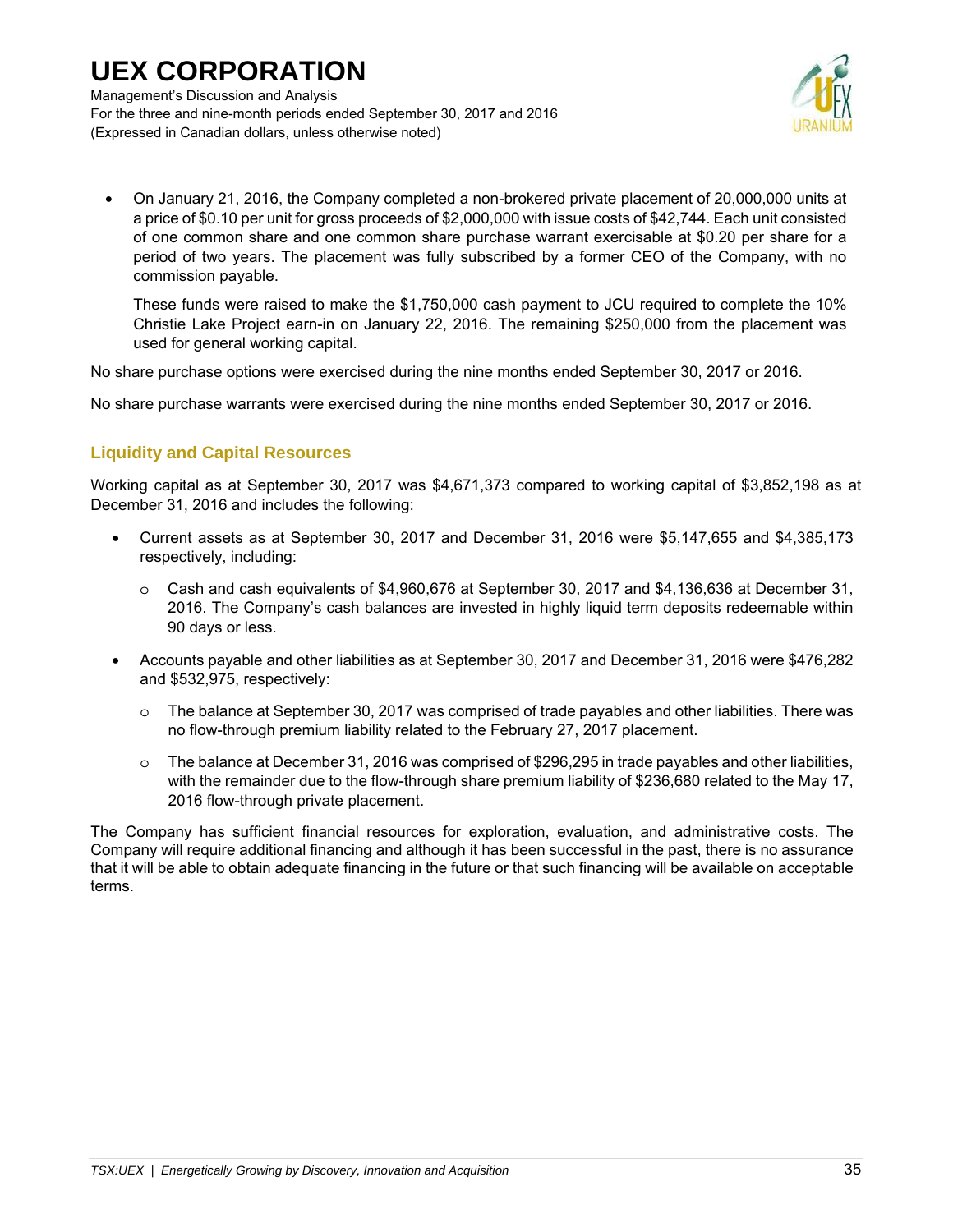

• On January 21, 2016, the Company completed a non-brokered private placement of 20,000,000 units at a price of \$0.10 per unit for gross proceeds of \$2,000,000 with issue costs of \$42,744. Each unit consisted of one common share and one common share purchase warrant exercisable at \$0.20 per share for a period of two years. The placement was fully subscribed by a former CEO of the Company, with no commission payable.

These funds were raised to make the \$1,750,000 cash payment to JCU required to complete the 10% Christie Lake Project earn-in on January 22, 2016. The remaining \$250,000 from the placement was used for general working capital.

No share purchase options were exercised during the nine months ended September 30, 2017 or 2016.

No share purchase warrants were exercised during the nine months ended September 30, 2017 or 2016.

## **Liquidity and Capital Resources**

Working capital as at September 30, 2017 was \$4,671,373 compared to working capital of \$3,852,198 as at December 31, 2016 and includes the following:

- Current assets as at September 30, 2017 and December 31, 2016 were \$5,147,655 and \$4,385,173 respectively, including:
	- o Cash and cash equivalents of \$4,960,676 at September 30, 2017 and \$4,136,636 at December 31, 2016. The Company's cash balances are invested in highly liquid term deposits redeemable within 90 days or less.
- Accounts payable and other liabilities as at September 30, 2017 and December 31, 2016 were \$476,282 and \$532,975, respectively:
	- o The balance at September 30, 2017 was comprised of trade payables and other liabilities. There was no flow-through premium liability related to the February 27, 2017 placement.
	- o The balance at December 31, 2016 was comprised of \$296,295 in trade payables and other liabilities, with the remainder due to the flow-through share premium liability of \$236,680 related to the May 17, 2016 flow-through private placement.

The Company has sufficient financial resources for exploration, evaluation, and administrative costs. The Company will require additional financing and although it has been successful in the past, there is no assurance that it will be able to obtain adequate financing in the future or that such financing will be available on acceptable terms.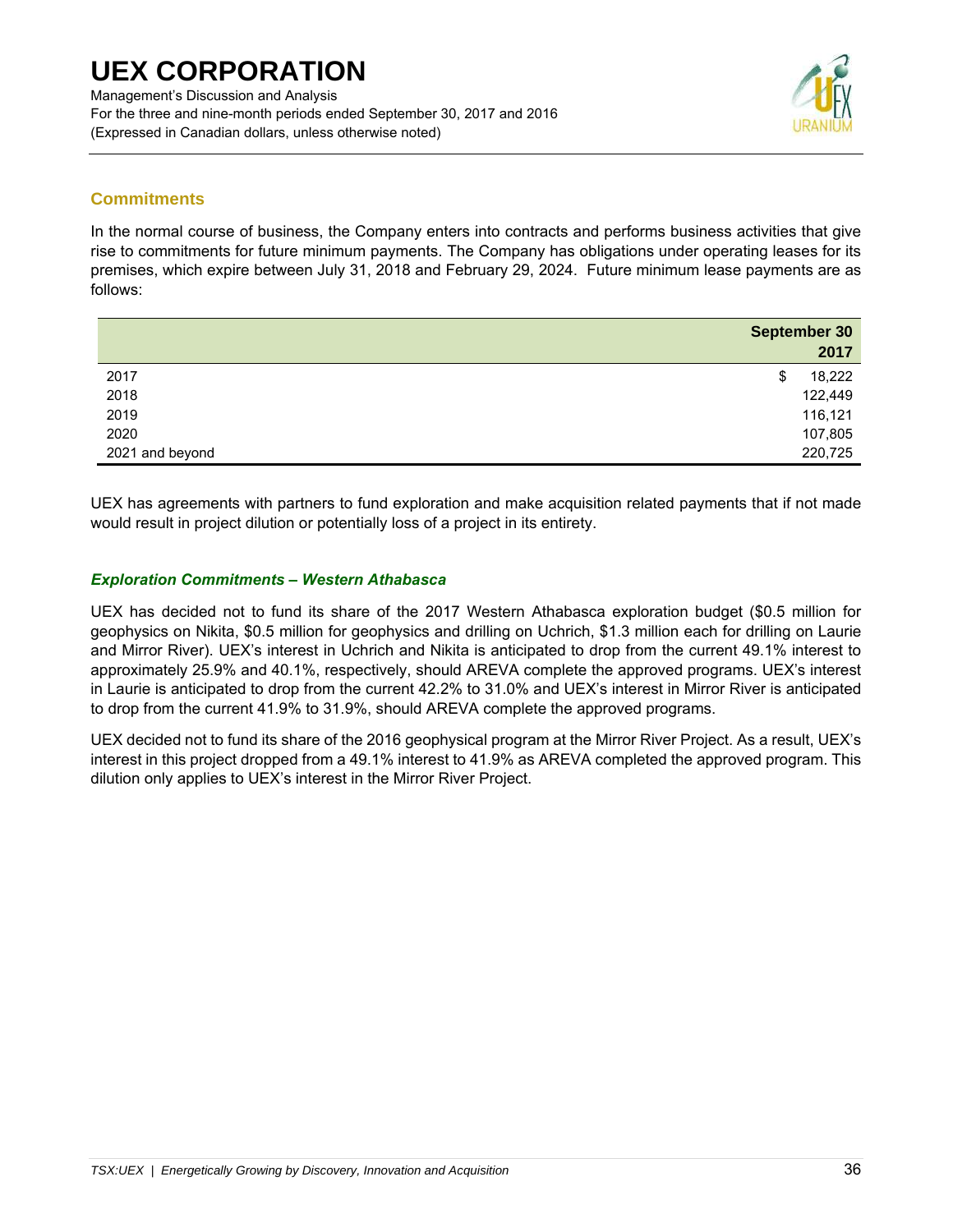

## **Commitments**

In the normal course of business, the Company enters into contracts and performs business activities that give rise to commitments for future minimum payments. The Company has obligations under operating leases for its premises, which expire between July 31, 2018 and February 29, 2024. Future minimum lease payments are as follows:

|                 | <b>September 30</b> |
|-----------------|---------------------|
|                 | 2017                |
| 2017            | 18,222<br>Φ         |
| 2018            | 122,449             |
| 2019            | 116,121             |
| 2020            | 107,805             |
| 2021 and beyond | 220,725             |

UEX has agreements with partners to fund exploration and make acquisition related payments that if not made would result in project dilution or potentially loss of a project in its entirety.

### *Exploration Commitments – Western Athabasca*

UEX has decided not to fund its share of the 2017 Western Athabasca exploration budget (\$0.5 million for geophysics on Nikita, \$0.5 million for geophysics and drilling on Uchrich, \$1.3 million each for drilling on Laurie and Mirror River). UEX's interest in Uchrich and Nikita is anticipated to drop from the current 49.1% interest to approximately 25.9% and 40.1%, respectively, should AREVA complete the approved programs. UEX's interest in Laurie is anticipated to drop from the current 42.2% to 31.0% and UEX's interest in Mirror River is anticipated to drop from the current 41.9% to 31.9%, should AREVA complete the approved programs.

UEX decided not to fund its share of the 2016 geophysical program at the Mirror River Project. As a result, UEX's interest in this project dropped from a 49.1% interest to 41.9% as AREVA completed the approved program. This dilution only applies to UEX's interest in the Mirror River Project.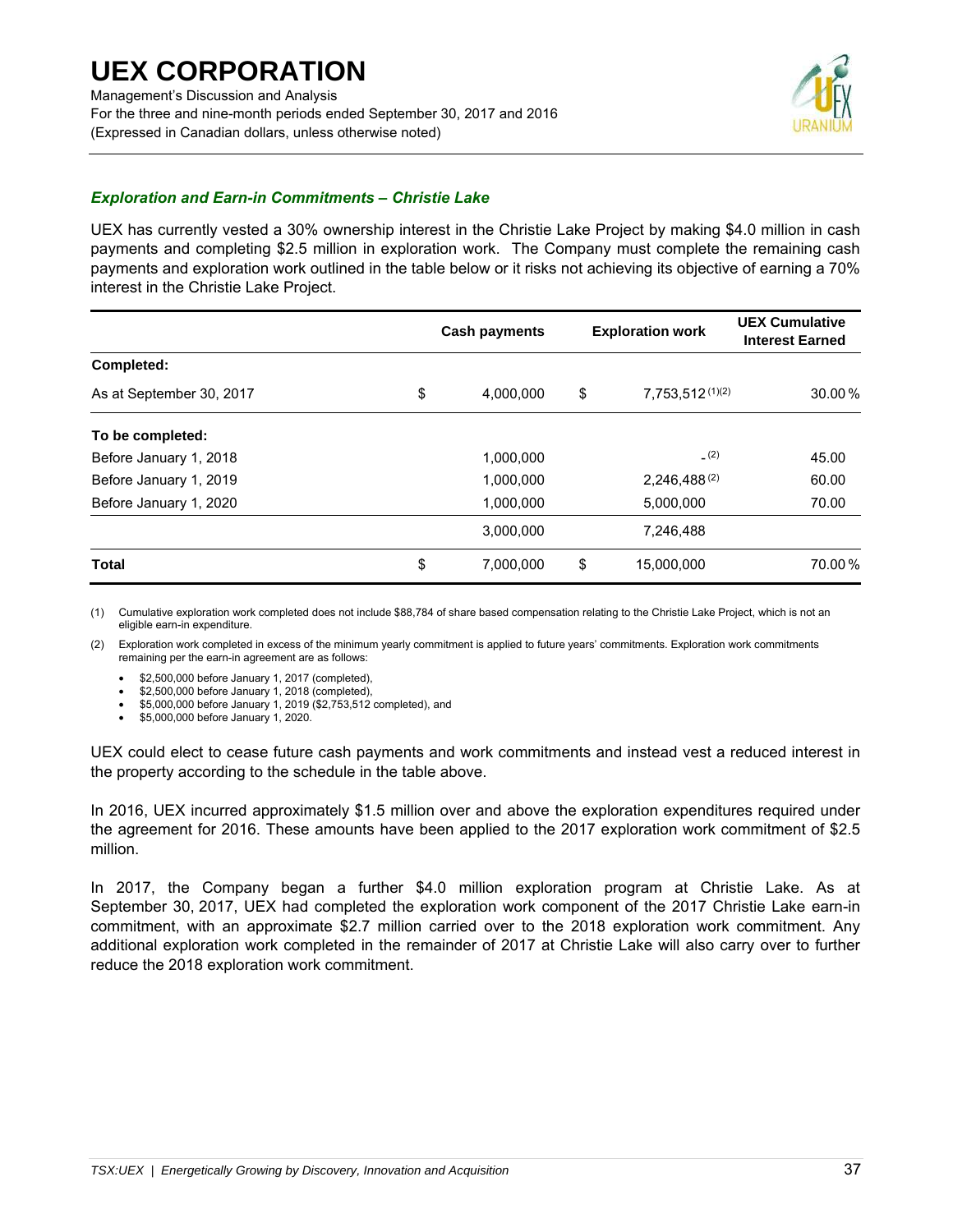

### *Exploration and Earn-in Commitments – Christie Lake*

UEX has currently vested a 30% ownership interest in the Christie Lake Project by making \$4.0 million in cash payments and completing \$2.5 million in exploration work. The Company must complete the remaining cash payments and exploration work outlined in the table below or it risks not achieving its objective of earning a 70% interest in the Christie Lake Project.

|                          | <b>Cash payments</b> | <b>Exploration work</b> |                      | <b>UEX Cumulative</b><br><b>Interest Earned</b> |
|--------------------------|----------------------|-------------------------|----------------------|-------------------------------------------------|
| Completed:               |                      |                         |                      |                                                 |
| As at September 30, 2017 | \$<br>4,000,000      | \$                      | $7,753,512^{(1)(2)}$ | 30.00%                                          |
| To be completed:         |                      |                         |                      |                                                 |
| Before January 1, 2018   | 1,000,000            |                         | (2)                  | 45.00                                           |
| Before January 1, 2019   | 1,000,000            |                         | $2,246,488^{(2)}$    | 60.00                                           |
| Before January 1, 2020   | 1,000,000            |                         | 5,000,000            | 70.00                                           |
|                          | 3,000,000            |                         | 7,246,488            |                                                 |
| <b>Total</b>             | \$<br>7,000,000      | \$                      | 15,000,000           | 70.00%                                          |

(1) Cumulative exploration work completed does not include \$88,784 of share based compensation relating to the Christie Lake Project, which is not an eligible earn-in expenditure.

(2) Exploration work completed in excess of the minimum yearly commitment is applied to future years' commitments. Exploration work commitments remaining per the earn-in agreement are as follows:

• \$2,500,000 before January 1, 2017 (completed),

• \$2,500,000 before January 1, 2018 (completed),

• \$5,000,000 before January 1, 2019 (\$2,753,512 completed), and

• \$5,000,000 before January 1, 2020.

UEX could elect to cease future cash payments and work commitments and instead vest a reduced interest in the property according to the schedule in the table above.

In 2016, UEX incurred approximately \$1.5 million over and above the exploration expenditures required under the agreement for 2016. These amounts have been applied to the 2017 exploration work commitment of \$2.5 million.

In 2017, the Company began a further \$4.0 million exploration program at Christie Lake. As at September 30, 2017, UEX had completed the exploration work component of the 2017 Christie Lake earn-in commitment, with an approximate \$2.7 million carried over to the 2018 exploration work commitment. Any additional exploration work completed in the remainder of 2017 at Christie Lake will also carry over to further reduce the 2018 exploration work commitment.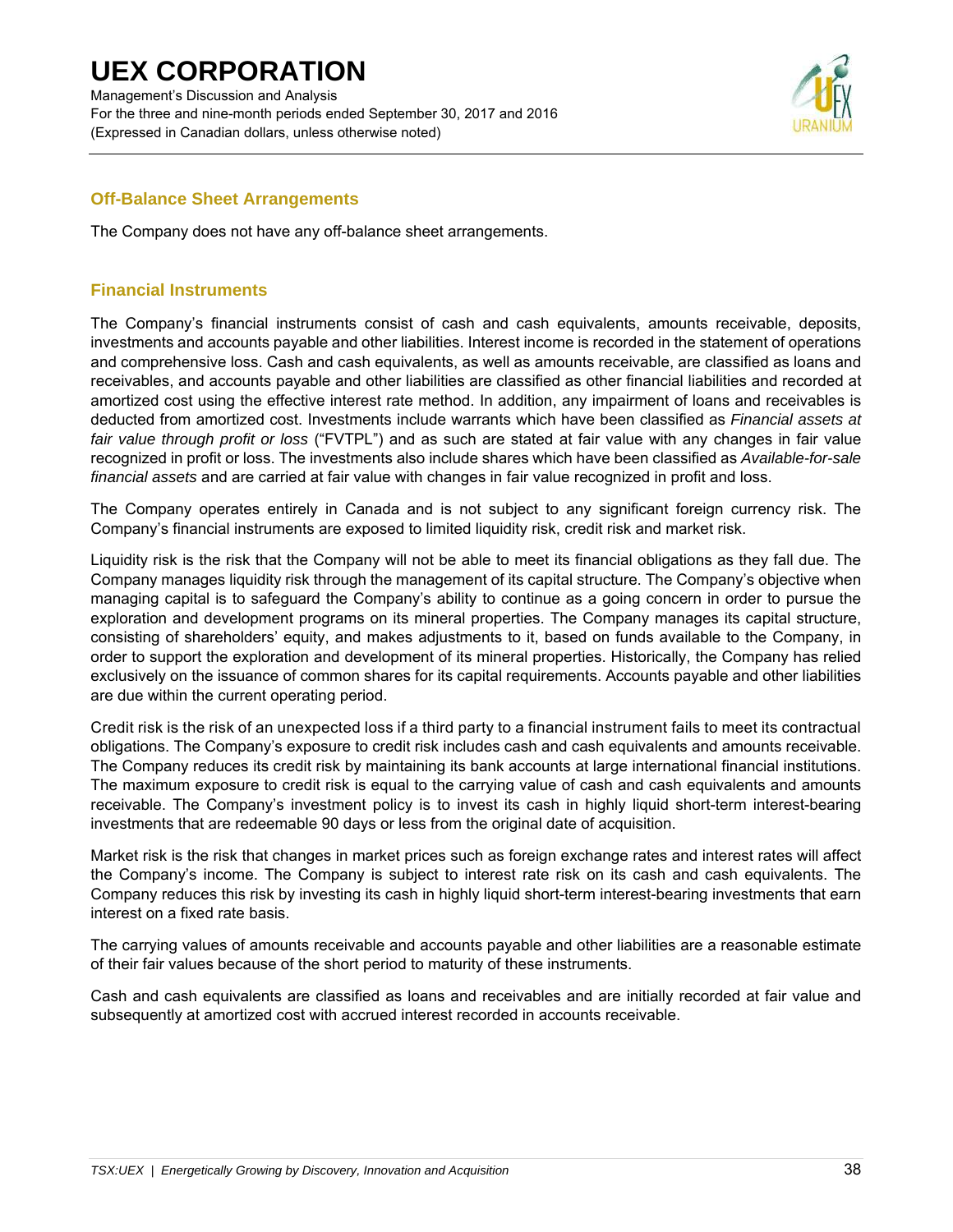Management's Discussion and Analysis For the three and nine-month periods ended September 30, 2017 and 2016 (Expressed in Canadian dollars, unless otherwise noted)



### **Off-Balance Sheet Arrangements**

The Company does not have any off-balance sheet arrangements.

### **Financial Instruments**

The Company's financial instruments consist of cash and cash equivalents, amounts receivable, deposits, investments and accounts payable and other liabilities. Interest income is recorded in the statement of operations and comprehensive loss. Cash and cash equivalents, as well as amounts receivable, are classified as loans and receivables, and accounts payable and other liabilities are classified as other financial liabilities and recorded at amortized cost using the effective interest rate method. In addition, any impairment of loans and receivables is deducted from amortized cost. Investments include warrants which have been classified as *Financial assets at fair value through profit or loss* ("FVTPL") and as such are stated at fair value with any changes in fair value recognized in profit or loss. The investments also include shares which have been classified as *Available-for-sale financial assets* and are carried at fair value with changes in fair value recognized in profit and loss.

The Company operates entirely in Canada and is not subject to any significant foreign currency risk. The Company's financial instruments are exposed to limited liquidity risk, credit risk and market risk.

Liquidity risk is the risk that the Company will not be able to meet its financial obligations as they fall due. The Company manages liquidity risk through the management of its capital structure. The Company's objective when managing capital is to safeguard the Company's ability to continue as a going concern in order to pursue the exploration and development programs on its mineral properties. The Company manages its capital structure, consisting of shareholders' equity, and makes adjustments to it, based on funds available to the Company, in order to support the exploration and development of its mineral properties. Historically, the Company has relied exclusively on the issuance of common shares for its capital requirements. Accounts payable and other liabilities are due within the current operating period.

Credit risk is the risk of an unexpected loss if a third party to a financial instrument fails to meet its contractual obligations. The Company's exposure to credit risk includes cash and cash equivalents and amounts receivable. The Company reduces its credit risk by maintaining its bank accounts at large international financial institutions. The maximum exposure to credit risk is equal to the carrying value of cash and cash equivalents and amounts receivable. The Company's investment policy is to invest its cash in highly liquid short-term interest-bearing investments that are redeemable 90 days or less from the original date of acquisition.

Market risk is the risk that changes in market prices such as foreign exchange rates and interest rates will affect the Company's income. The Company is subject to interest rate risk on its cash and cash equivalents. The Company reduces this risk by investing its cash in highly liquid short-term interest-bearing investments that earn interest on a fixed rate basis.

The carrying values of amounts receivable and accounts payable and other liabilities are a reasonable estimate of their fair values because of the short period to maturity of these instruments.

Cash and cash equivalents are classified as loans and receivables and are initially recorded at fair value and subsequently at amortized cost with accrued interest recorded in accounts receivable.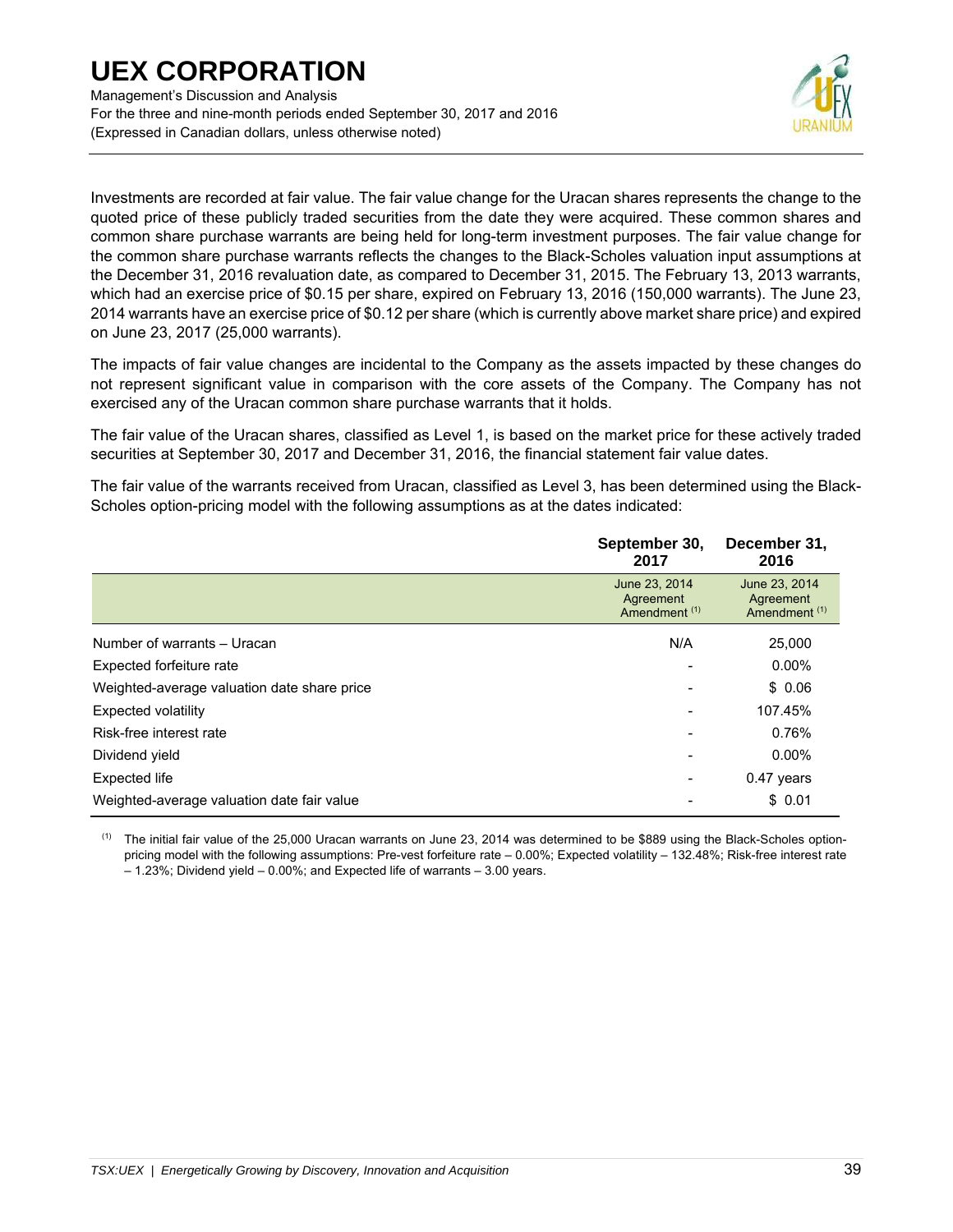Management's Discussion and Analysis For the three and nine-month periods ended September 30, 2017 and 2016 (Expressed in Canadian dollars, unless otherwise noted)



Investments are recorded at fair value. The fair value change for the Uracan shares represents the change to the quoted price of these publicly traded securities from the date they were acquired. These common shares and common share purchase warrants are being held for long-term investment purposes. The fair value change for the common share purchase warrants reflects the changes to the Black-Scholes valuation input assumptions at the December 31, 2016 revaluation date, as compared to December 31, 2015. The February 13, 2013 warrants, which had an exercise price of \$0.15 per share, expired on February 13, 2016 (150,000 warrants). The June 23, 2014 warrants have an exercise price of \$0.12 per share (which is currently above market share price) and expired on June 23, 2017 (25,000 warrants).

The impacts of fair value changes are incidental to the Company as the assets impacted by these changes do not represent significant value in comparison with the core assets of the Company. The Company has not exercised any of the Uracan common share purchase warrants that it holds.

The fair value of the Uracan shares, classified as Level 1, is based on the market price for these actively traded securities at September 30, 2017 and December 31, 2016, the financial statement fair value dates.

The fair value of the warrants received from Uracan, classified as Level 3, has been determined using the Black-Scholes option-pricing model with the following assumptions as at the dates indicated:

|                                             | September 30,<br>2017                                  | December 31,<br>2016                                   |
|---------------------------------------------|--------------------------------------------------------|--------------------------------------------------------|
|                                             | June 23, 2014<br>Agreement<br>Amendment <sup>(1)</sup> | June 23, 2014<br>Agreement<br>Amendment <sup>(1)</sup> |
| Number of warrants - Uracan                 | N/A                                                    | 25,000                                                 |
| Expected forfeiture rate                    |                                                        | $0.00\%$                                               |
| Weighted-average valuation date share price |                                                        | \$0.06                                                 |
| Expected volatility                         | $\overline{\phantom{0}}$                               | 107.45%                                                |
| Risk-free interest rate                     | $\overline{\phantom{0}}$                               | 0.76%                                                  |
| Dividend yield                              |                                                        | $0.00\%$                                               |
| <b>Expected life</b>                        | $\overline{\phantom{0}}$                               | $0.47$ years                                           |
| Weighted-average valuation date fair value  |                                                        | \$0.01                                                 |

 $<sup>(1)</sup>$  The initial fair value of the 25,000 Uracan warrants on June 23, 2014 was determined to be \$889 using the Black-Scholes option-</sup> pricing model with the following assumptions: Pre-vest forfeiture rate – 0.00%; Expected volatility – 132.48%; Risk-free interest rate – 1.23%; Dividend yield – 0.00%; and Expected life of warrants – 3.00 years.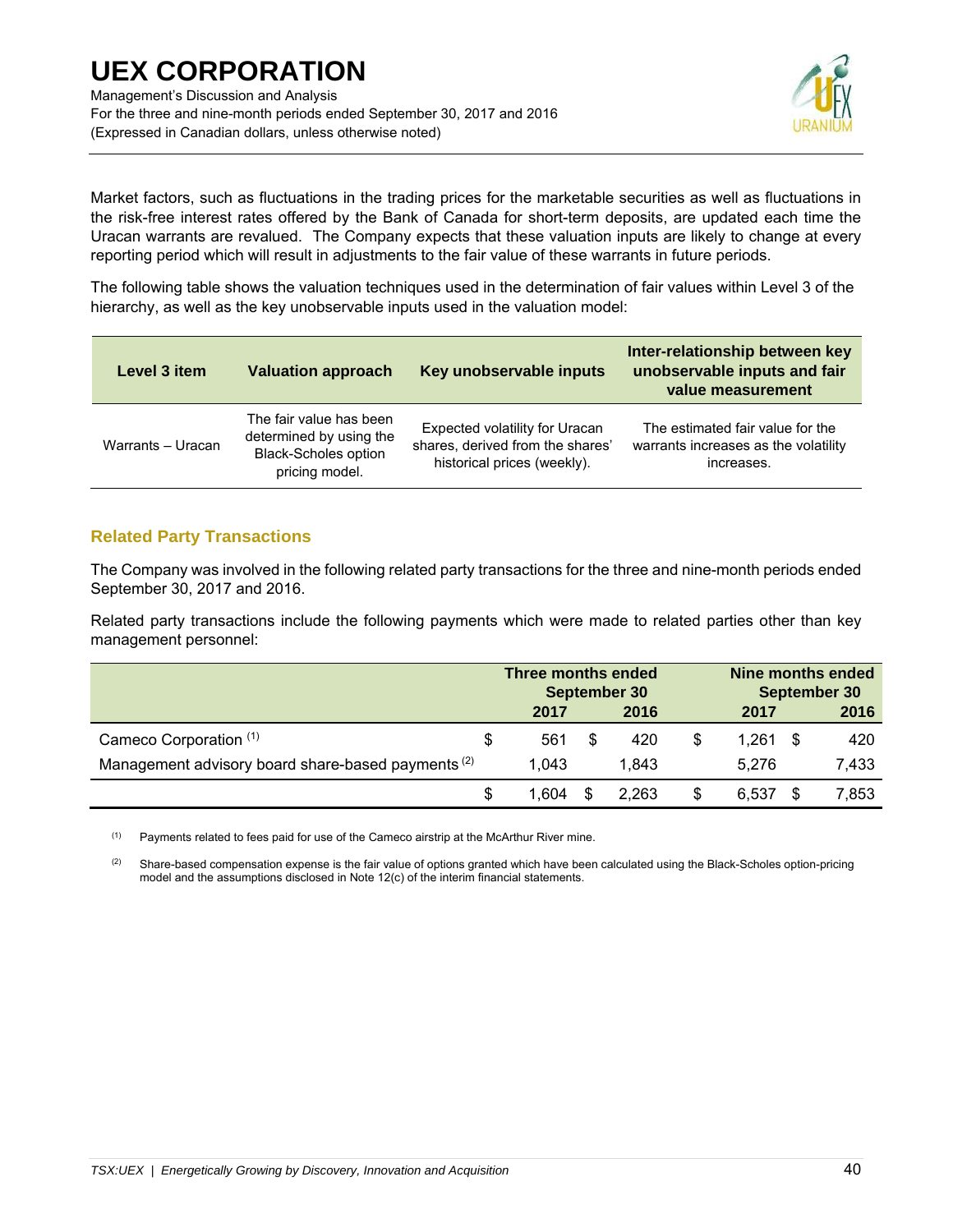

Market factors, such as fluctuations in the trading prices for the marketable securities as well as fluctuations in the risk-free interest rates offered by the Bank of Canada for short-term deposits, are updated each time the Uracan warrants are revalued. The Company expects that these valuation inputs are likely to change at every reporting period which will result in adjustments to the fair value of these warrants in future periods.

The following table shows the valuation techniques used in the determination of fair values within Level 3 of the hierarchy, as well as the key unobservable inputs used in the valuation model:

| Level 3 item      | <b>Valuation approach</b>                                                                           | Key unobservable inputs                                                                                  | Inter-relationship between key<br>unobservable inputs and fair<br>value measurement    |
|-------------------|-----------------------------------------------------------------------------------------------------|----------------------------------------------------------------------------------------------------------|----------------------------------------------------------------------------------------|
| Warrants - Uracan | The fair value has been<br>determined by using the<br><b>Black-Scholes option</b><br>pricing model. | <b>Expected volatility for Uracan</b><br>shares, derived from the shares'<br>historical prices (weekly). | The estimated fair value for the<br>warrants increases as the volatility<br>increases. |

## **Related Party Transactions**

The Company was involved in the following related party transactions for the three and nine-month periods ended September 30, 2017 and 2016.

Related party transactions include the following payments which were made to related parties other than key management personnel:

|                                                               |    | Three months ended<br>September 30 |   |       |    | Nine months ended<br>September 30 |      |       |  |
|---------------------------------------------------------------|----|------------------------------------|---|-------|----|-----------------------------------|------|-------|--|
|                                                               |    | 2017                               |   | 2016  |    | 2017                              |      | 2016  |  |
| Cameco Corporation (1)                                        | S  | 561                                | S | 420   | S. | 1.261                             | - \$ | 420   |  |
| Management advisory board share-based payments <sup>(2)</sup> |    | 1.043                              |   | 1.843 |    | 5.276                             |      | 7,433 |  |
|                                                               | \$ | 1.604                              |   | 2.263 | \$ | 6.537                             |      | 7,853 |  |

 $(1)$  Payments related to fees paid for use of the Cameco airstrip at the McArthur River mine.

 $(2)$  Share-based compensation expense is the fair value of options granted which have been calculated using the Black-Scholes option-pricing model and the assumptions disclosed in Note 12(c) of the interim financial statements.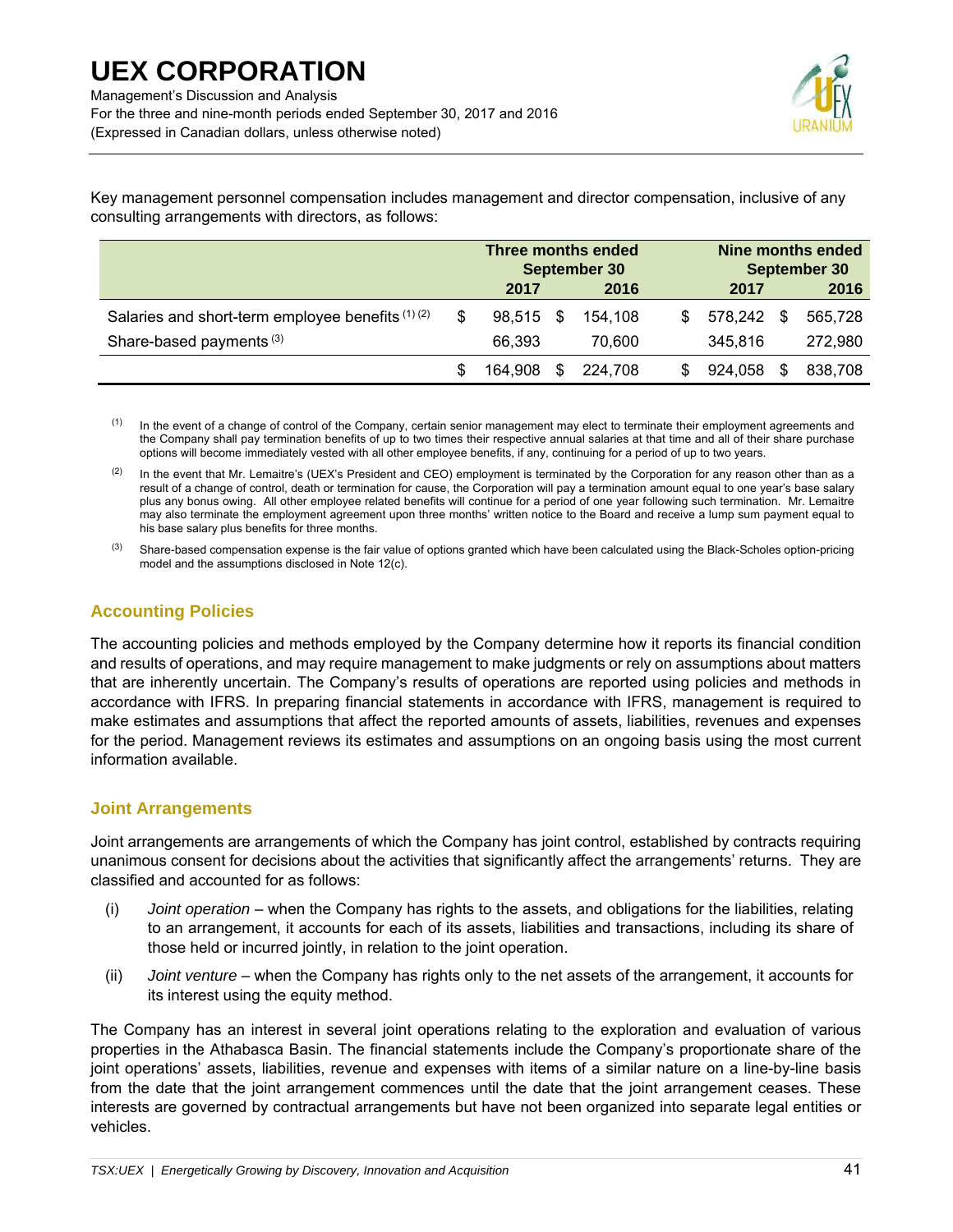For the three and nine-month periods ended September 30, 2017 and 2016 (Expressed in Canadian dollars, unless otherwise noted)



Key management personnel compensation includes management and director compensation, inclusive of any consulting arrangements with directors, as follows:

|                                                  |     | Three months ended<br>September 30 |    |         |    | Nine months ended<br>September 30 |   |         |  |
|--------------------------------------------------|-----|------------------------------------|----|---------|----|-----------------------------------|---|---------|--|
|                                                  |     | 2017                               |    | 2016    |    | 2017                              |   | 2016    |  |
| Salaries and short-term employee benefits (1)(2) | \$. | 98.515                             | -S | 154.108 | S. | 578,242                           | S | 565,728 |  |
| Share-based payments <sup>(3)</sup>              |     | 66.393                             |    | 70.600  |    | 345.816                           |   | 272,980 |  |
|                                                  |     | 164,908                            | -S | 224.708 | S. | 924,058                           | S | 838.708 |  |

<sup>(1)</sup> In the event of a change of control of the Company, certain senior management may elect to terminate their employment agreements and the Company shall pay termination benefits of up to two times their respective annual salaries at that time and all of their share purchase options will become immediately vested with all other employee benefits, if any, continuing for a period of up to two years.

 $(2)$  In the event that Mr. Lemaitre's (UEX's President and CEO) employment is terminated by the Corporation for any reason other than as a result of a change of control, death or termination for cause, the Corporation will pay a termination amount equal to one year's base salary plus any bonus owing. All other employee related benefits will continue for a period of one year following such termination. Mr. Lemaitre may also terminate the employment agreement upon three months' written notice to the Board and receive a lump sum payment equal to his base salary plus benefits for three months.

 $^{(3)}$  Share-based compensation expense is the fair value of options granted which have been calculated using the Black-Scholes option-pricing model and the assumptions disclosed in Note 12(c).

### **Accounting Policies**

The accounting policies and methods employed by the Company determine how it reports its financial condition and results of operations, and may require management to make judgments or rely on assumptions about matters that are inherently uncertain. The Company's results of operations are reported using policies and methods in accordance with IFRS. In preparing financial statements in accordance with IFRS, management is required to make estimates and assumptions that affect the reported amounts of assets, liabilities, revenues and expenses for the period. Management reviews its estimates and assumptions on an ongoing basis using the most current information available.

## **Joint Arrangements**

Joint arrangements are arrangements of which the Company has joint control, established by contracts requiring unanimous consent for decisions about the activities that significantly affect the arrangements' returns. They are classified and accounted for as follows:

- (i) *Joint operation* when the Company has rights to the assets, and obligations for the liabilities, relating to an arrangement, it accounts for each of its assets, liabilities and transactions, including its share of those held or incurred jointly, in relation to the joint operation.
- (ii) *Joint venture* when the Company has rights only to the net assets of the arrangement, it accounts for its interest using the equity method.

The Company has an interest in several joint operations relating to the exploration and evaluation of various properties in the Athabasca Basin. The financial statements include the Company's proportionate share of the joint operations' assets, liabilities, revenue and expenses with items of a similar nature on a line-by-line basis from the date that the joint arrangement commences until the date that the joint arrangement ceases. These interests are governed by contractual arrangements but have not been organized into separate legal entities or vehicles.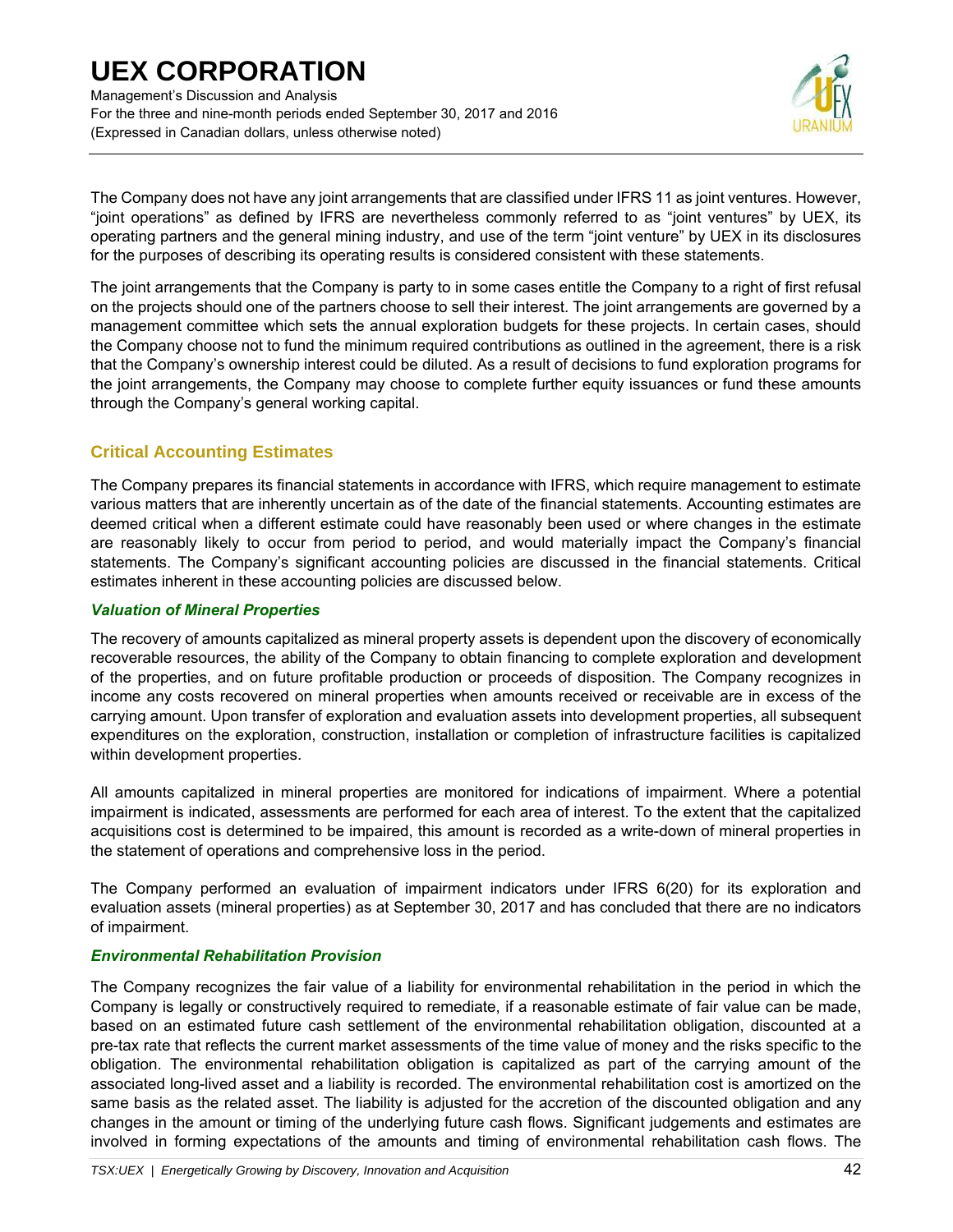Management's Discussion and Analysis For the three and nine-month periods ended September 30, 2017 and 2016 (Expressed in Canadian dollars, unless otherwise noted)



The Company does not have any joint arrangements that are classified under IFRS 11 as joint ventures. However, "joint operations" as defined by IFRS are nevertheless commonly referred to as "joint ventures" by UEX, its operating partners and the general mining industry, and use of the term "joint venture" by UEX in its disclosures for the purposes of describing its operating results is considered consistent with these statements.

The joint arrangements that the Company is party to in some cases entitle the Company to a right of first refusal on the projects should one of the partners choose to sell their interest. The joint arrangements are governed by a management committee which sets the annual exploration budgets for these projects. In certain cases, should the Company choose not to fund the minimum required contributions as outlined in the agreement, there is a risk that the Company's ownership interest could be diluted. As a result of decisions to fund exploration programs for the joint arrangements, the Company may choose to complete further equity issuances or fund these amounts through the Company's general working capital.

## **Critical Accounting Estimates**

The Company prepares its financial statements in accordance with IFRS, which require management to estimate various matters that are inherently uncertain as of the date of the financial statements. Accounting estimates are deemed critical when a different estimate could have reasonably been used or where changes in the estimate are reasonably likely to occur from period to period, and would materially impact the Company's financial statements. The Company's significant accounting policies are discussed in the financial statements. Critical estimates inherent in these accounting policies are discussed below.

### *Valuation of Mineral Properties*

The recovery of amounts capitalized as mineral property assets is dependent upon the discovery of economically recoverable resources, the ability of the Company to obtain financing to complete exploration and development of the properties, and on future profitable production or proceeds of disposition. The Company recognizes in income any costs recovered on mineral properties when amounts received or receivable are in excess of the carrying amount. Upon transfer of exploration and evaluation assets into development properties, all subsequent expenditures on the exploration, construction, installation or completion of infrastructure facilities is capitalized within development properties.

All amounts capitalized in mineral properties are monitored for indications of impairment. Where a potential impairment is indicated, assessments are performed for each area of interest. To the extent that the capitalized acquisitions cost is determined to be impaired, this amount is recorded as a write-down of mineral properties in the statement of operations and comprehensive loss in the period.

The Company performed an evaluation of impairment indicators under IFRS 6(20) for its exploration and evaluation assets (mineral properties) as at September 30, 2017 and has concluded that there are no indicators of impairment.

### *Environmental Rehabilitation Provision*

The Company recognizes the fair value of a liability for environmental rehabilitation in the period in which the Company is legally or constructively required to remediate, if a reasonable estimate of fair value can be made, based on an estimated future cash settlement of the environmental rehabilitation obligation, discounted at a pre-tax rate that reflects the current market assessments of the time value of money and the risks specific to the obligation. The environmental rehabilitation obligation is capitalized as part of the carrying amount of the associated long-lived asset and a liability is recorded. The environmental rehabilitation cost is amortized on the same basis as the related asset. The liability is adjusted for the accretion of the discounted obligation and any changes in the amount or timing of the underlying future cash flows. Significant judgements and estimates are involved in forming expectations of the amounts and timing of environmental rehabilitation cash flows. The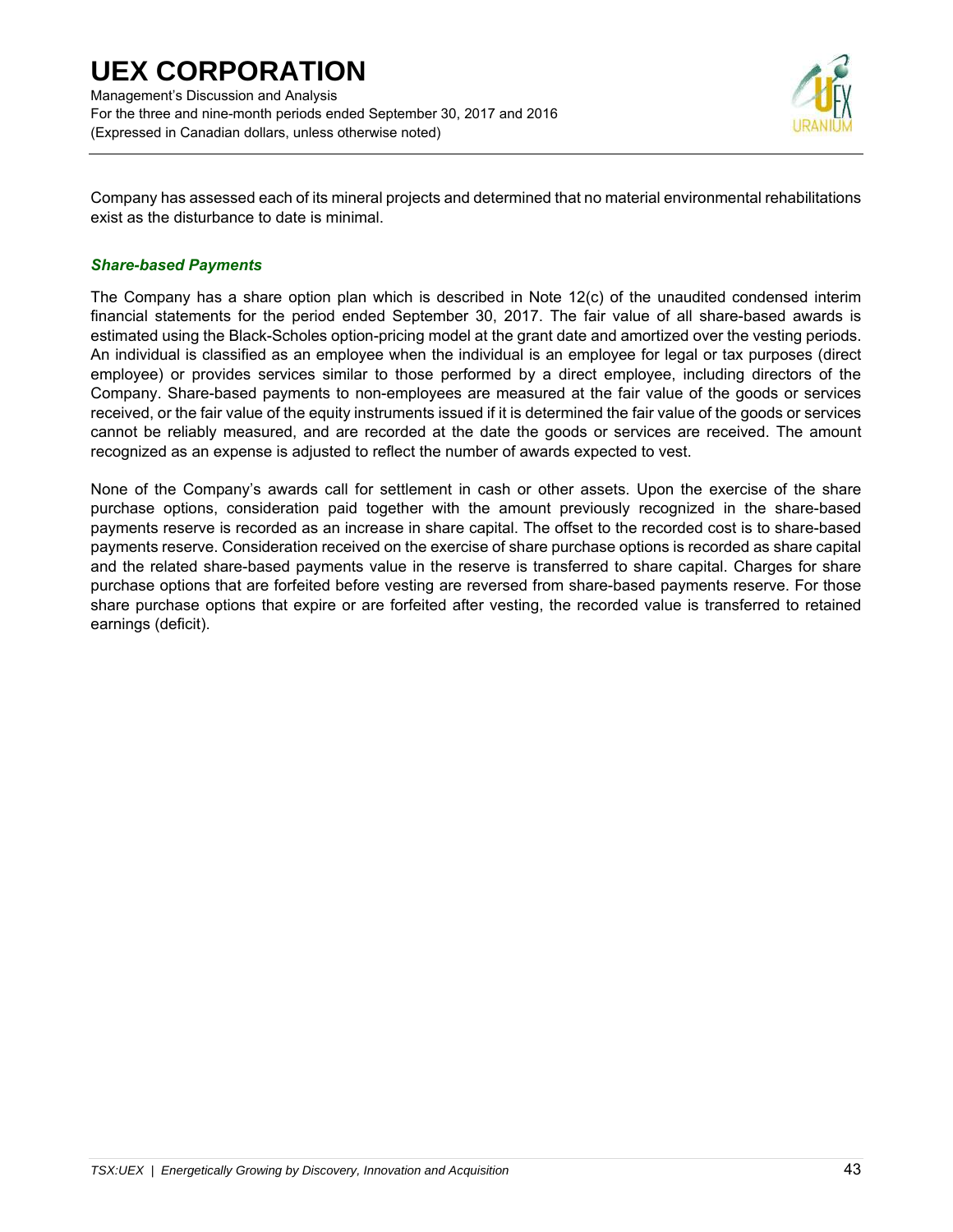Management's Discussion and Analysis For the three and nine-month periods ended September 30, 2017 and 2016 (Expressed in Canadian dollars, unless otherwise noted)



Company has assessed each of its mineral projects and determined that no material environmental rehabilitations exist as the disturbance to date is minimal.

### *Share-based Payments*

The Company has a share option plan which is described in Note 12(c) of the unaudited condensed interim financial statements for the period ended September 30, 2017. The fair value of all share-based awards is estimated using the Black-Scholes option-pricing model at the grant date and amortized over the vesting periods. An individual is classified as an employee when the individual is an employee for legal or tax purposes (direct employee) or provides services similar to those performed by a direct employee, including directors of the Company. Share-based payments to non-employees are measured at the fair value of the goods or services received, or the fair value of the equity instruments issued if it is determined the fair value of the goods or services cannot be reliably measured, and are recorded at the date the goods or services are received. The amount recognized as an expense is adjusted to reflect the number of awards expected to vest.

None of the Company's awards call for settlement in cash or other assets. Upon the exercise of the share purchase options, consideration paid together with the amount previously recognized in the share-based payments reserve is recorded as an increase in share capital. The offset to the recorded cost is to share-based payments reserve. Consideration received on the exercise of share purchase options is recorded as share capital and the related share-based payments value in the reserve is transferred to share capital. Charges for share purchase options that are forfeited before vesting are reversed from share-based payments reserve. For those share purchase options that expire or are forfeited after vesting, the recorded value is transferred to retained earnings (deficit).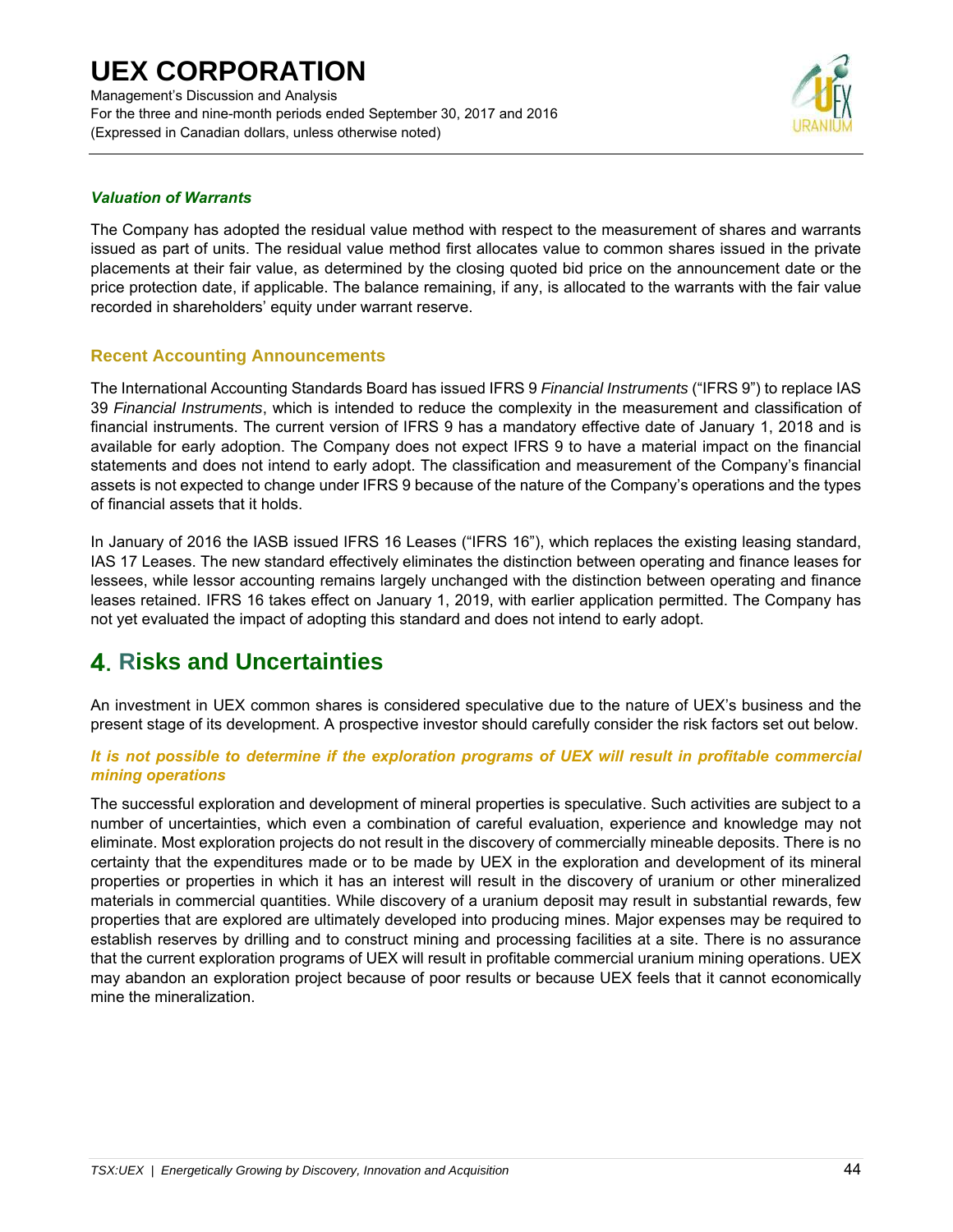Management's Discussion and Analysis For the three and nine-month periods ended September 30, 2017 and 2016 (Expressed in Canadian dollars, unless otherwise noted)



### *Valuation of Warrants*

The Company has adopted the residual value method with respect to the measurement of shares and warrants issued as part of units. The residual value method first allocates value to common shares issued in the private placements at their fair value, as determined by the closing quoted bid price on the announcement date or the price protection date, if applicable. The balance remaining, if any, is allocated to the warrants with the fair value recorded in shareholders' equity under warrant reserve.

### **Recent Accounting Announcements**

The International Accounting Standards Board has issued IFRS 9 *Financial Instruments* ("IFRS 9") to replace IAS 39 *Financial Instruments*, which is intended to reduce the complexity in the measurement and classification of financial instruments. The current version of IFRS 9 has a mandatory effective date of January 1, 2018 and is available for early adoption. The Company does not expect IFRS 9 to have a material impact on the financial statements and does not intend to early adopt. The classification and measurement of the Company's financial assets is not expected to change under IFRS 9 because of the nature of the Company's operations and the types of financial assets that it holds.

In January of 2016 the IASB issued IFRS 16 Leases ("IFRS 16"), which replaces the existing leasing standard, IAS 17 Leases. The new standard effectively eliminates the distinction between operating and finance leases for lessees, while lessor accounting remains largely unchanged with the distinction between operating and finance leases retained. IFRS 16 takes effect on January 1, 2019, with earlier application permitted. The Company has not yet evaluated the impact of adopting this standard and does not intend to early adopt.

## **Risks and Uncertainties**

An investment in UEX common shares is considered speculative due to the nature of UEX's business and the present stage of its development. A prospective investor should carefully consider the risk factors set out below.

### *It is not possible to determine if the exploration programs of UEX will result in profitable commercial mining operations*

The successful exploration and development of mineral properties is speculative. Such activities are subject to a number of uncertainties, which even a combination of careful evaluation, experience and knowledge may not eliminate. Most exploration projects do not result in the discovery of commercially mineable deposits. There is no certainty that the expenditures made or to be made by UEX in the exploration and development of its mineral properties or properties in which it has an interest will result in the discovery of uranium or other mineralized materials in commercial quantities. While discovery of a uranium deposit may result in substantial rewards, few properties that are explored are ultimately developed into producing mines. Major expenses may be required to establish reserves by drilling and to construct mining and processing facilities at a site. There is no assurance that the current exploration programs of UEX will result in profitable commercial uranium mining operations. UEX may abandon an exploration project because of poor results or because UEX feels that it cannot economically mine the mineralization.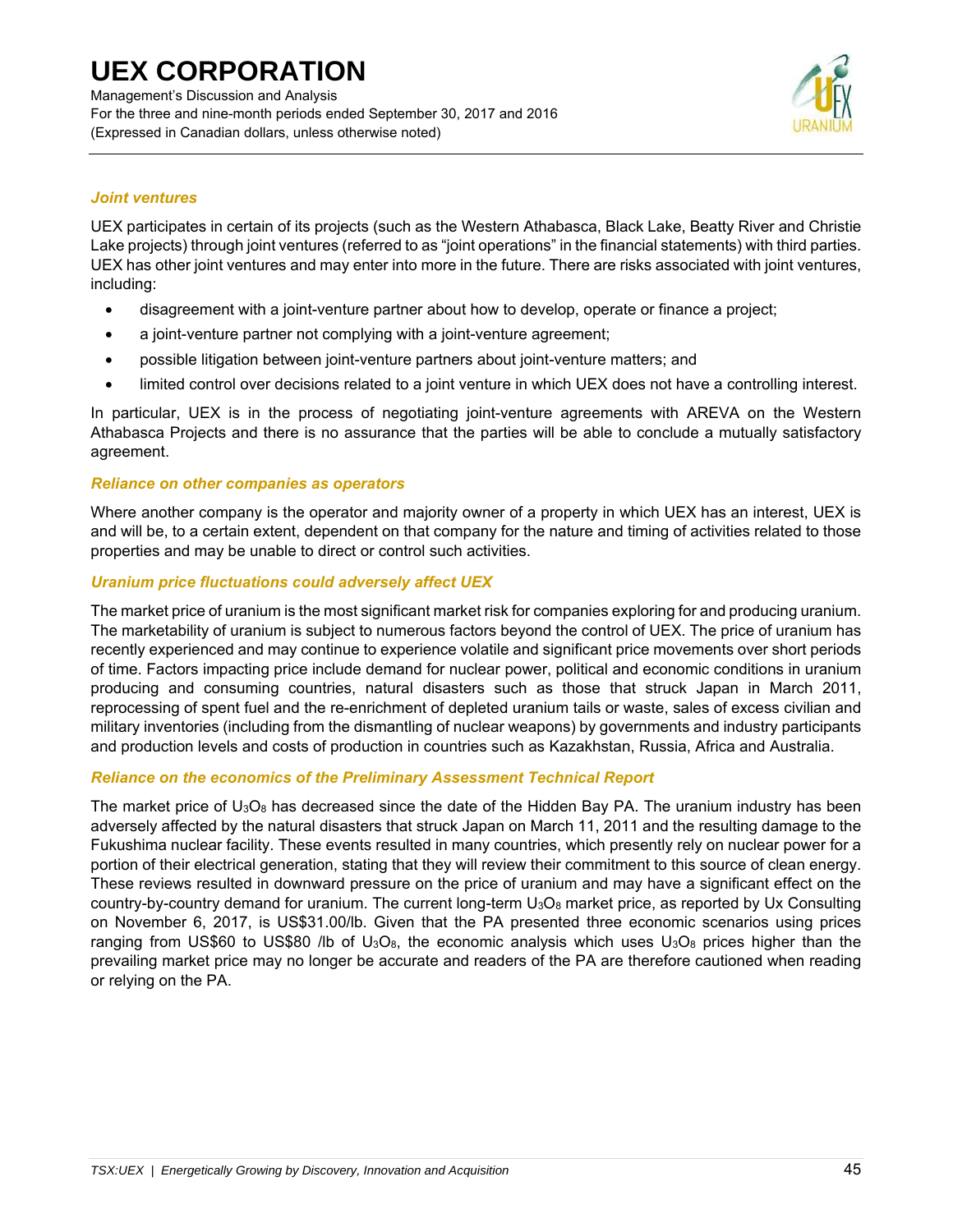Management's Discussion and Analysis For the three and nine-month periods ended September 30, 2017 and 2016 (Expressed in Canadian dollars, unless otherwise noted)



### *Joint ventures*

UEX participates in certain of its projects (such as the Western Athabasca, Black Lake, Beatty River and Christie Lake projects) through joint ventures (referred to as "joint operations" in the financial statements) with third parties. UEX has other joint ventures and may enter into more in the future. There are risks associated with joint ventures, including:

- disagreement with a joint-venture partner about how to develop, operate or finance a project;
- a joint-venture partner not complying with a joint-venture agreement;
- possible litigation between joint-venture partners about joint-venture matters; and
- limited control over decisions related to a joint venture in which UEX does not have a controlling interest.

In particular, UEX is in the process of negotiating joint-venture agreements with AREVA on the Western Athabasca Projects and there is no assurance that the parties will be able to conclude a mutually satisfactory agreement.

#### *Reliance on other companies as operators*

Where another company is the operator and majority owner of a property in which UEX has an interest, UEX is and will be, to a certain extent, dependent on that company for the nature and timing of activities related to those properties and may be unable to direct or control such activities.

### *Uranium price fluctuations could adversely affect UEX*

The market price of uranium is the most significant market risk for companies exploring for and producing uranium. The marketability of uranium is subject to numerous factors beyond the control of UEX. The price of uranium has recently experienced and may continue to experience volatile and significant price movements over short periods of time. Factors impacting price include demand for nuclear power, political and economic conditions in uranium producing and consuming countries, natural disasters such as those that struck Japan in March 2011, reprocessing of spent fuel and the re-enrichment of depleted uranium tails or waste, sales of excess civilian and military inventories (including from the dismantling of nuclear weapons) by governments and industry participants and production levels and costs of production in countries such as Kazakhstan, Russia, Africa and Australia.

### *Reliance on the economics of the Preliminary Assessment Technical Report*

The market price of  $U_3O_8$  has decreased since the date of the Hidden Bay PA. The uranium industry has been adversely affected by the natural disasters that struck Japan on March 11, 2011 and the resulting damage to the Fukushima nuclear facility. These events resulted in many countries, which presently rely on nuclear power for a portion of their electrical generation, stating that they will review their commitment to this source of clean energy. These reviews resulted in downward pressure on the price of uranium and may have a significant effect on the country-by-country demand for uranium. The current long-term U<sub>3</sub>O<sub>8</sub> market price, as reported by Ux Consulting on November 6, 2017, is US\$31.00/lb. Given that the PA presented three economic scenarios using prices ranging from US\$60 to US\$80 /lb of U<sub>3</sub>O<sub>8</sub>, the economic analysis which uses U<sub>3</sub>O<sub>8</sub> prices higher than the prevailing market price may no longer be accurate and readers of the PA are therefore cautioned when reading or relying on the PA.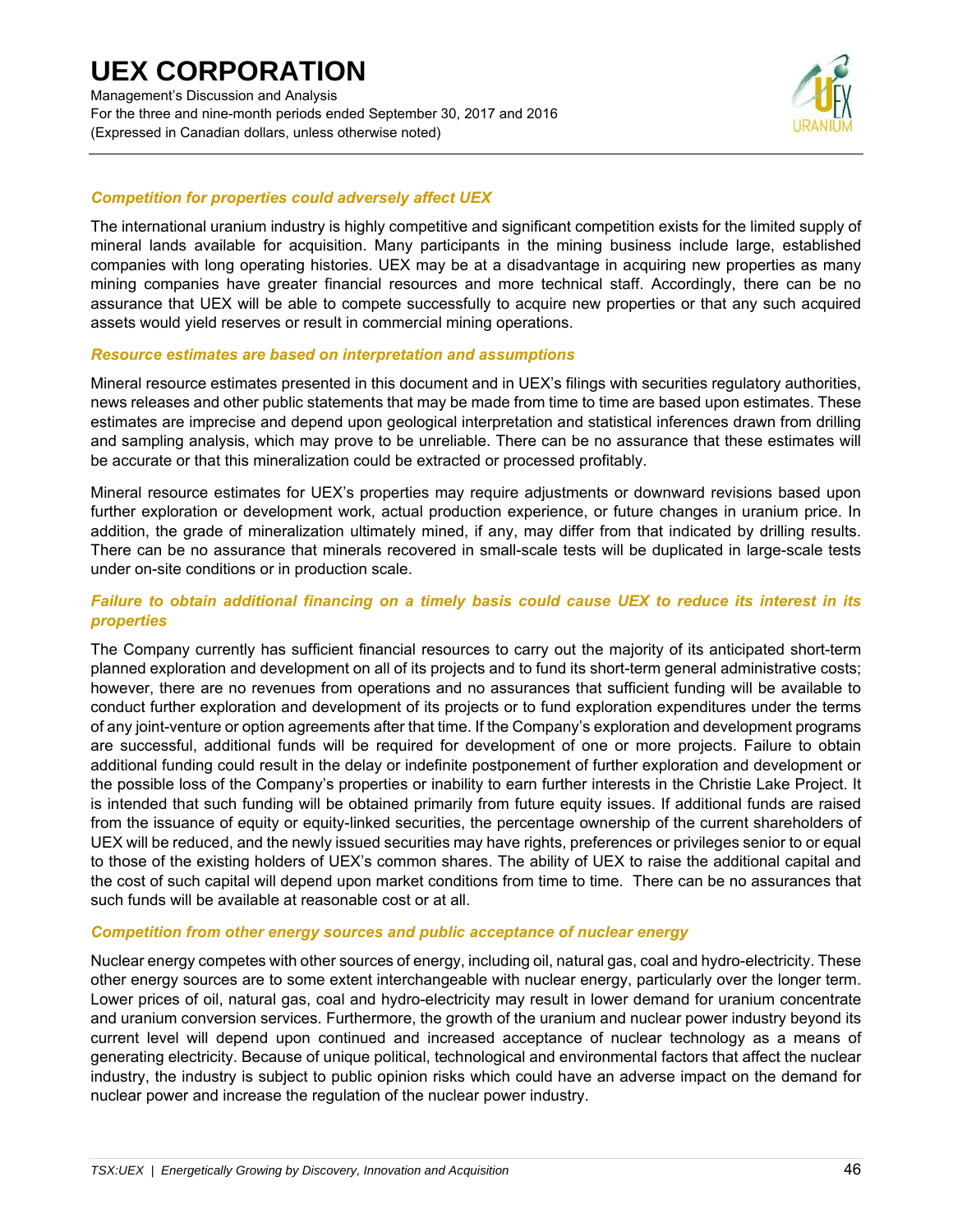Management's Discussion and Analysis For the three and nine-month periods ended September 30, 2017 and 2016 (Expressed in Canadian dollars, unless otherwise noted)



### *Competition for properties could adversely affect UEX*

The international uranium industry is highly competitive and significant competition exists for the limited supply of mineral lands available for acquisition. Many participants in the mining business include large, established companies with long operating histories. UEX may be at a disadvantage in acquiring new properties as many mining companies have greater financial resources and more technical staff. Accordingly, there can be no assurance that UEX will be able to compete successfully to acquire new properties or that any such acquired assets would yield reserves or result in commercial mining operations.

### *Resource estimates are based on interpretation and assumptions*

Mineral resource estimates presented in this document and in UEX's filings with securities regulatory authorities, news releases and other public statements that may be made from time to time are based upon estimates. These estimates are imprecise and depend upon geological interpretation and statistical inferences drawn from drilling and sampling analysis, which may prove to be unreliable. There can be no assurance that these estimates will be accurate or that this mineralization could be extracted or processed profitably.

Mineral resource estimates for UEX's properties may require adjustments or downward revisions based upon further exploration or development work, actual production experience, or future changes in uranium price. In addition, the grade of mineralization ultimately mined, if any, may differ from that indicated by drilling results. There can be no assurance that minerals recovered in small-scale tests will be duplicated in large-scale tests under on-site conditions or in production scale.

### *Failure to obtain additional financing on a timely basis could cause UEX to reduce its interest in its properties*

The Company currently has sufficient financial resources to carry out the majority of its anticipated short-term planned exploration and development on all of its projects and to fund its short-term general administrative costs; however, there are no revenues from operations and no assurances that sufficient funding will be available to conduct further exploration and development of its projects or to fund exploration expenditures under the terms of any joint-venture or option agreements after that time. If the Company's exploration and development programs are successful, additional funds will be required for development of one or more projects. Failure to obtain additional funding could result in the delay or indefinite postponement of further exploration and development or the possible loss of the Company's properties or inability to earn further interests in the Christie Lake Project. It is intended that such funding will be obtained primarily from future equity issues. If additional funds are raised from the issuance of equity or equity-linked securities, the percentage ownership of the current shareholders of UEX will be reduced, and the newly issued securities may have rights, preferences or privileges senior to or equal to those of the existing holders of UEX's common shares. The ability of UEX to raise the additional capital and the cost of such capital will depend upon market conditions from time to time. There can be no assurances that such funds will be available at reasonable cost or at all.

#### *Competition from other energy sources and public acceptance of nuclear energy*

Nuclear energy competes with other sources of energy, including oil, natural gas, coal and hydro-electricity. These other energy sources are to some extent interchangeable with nuclear energy, particularly over the longer term. Lower prices of oil, natural gas, coal and hydro-electricity may result in lower demand for uranium concentrate and uranium conversion services. Furthermore, the growth of the uranium and nuclear power industry beyond its current level will depend upon continued and increased acceptance of nuclear technology as a means of generating electricity. Because of unique political, technological and environmental factors that affect the nuclear industry, the industry is subject to public opinion risks which could have an adverse impact on the demand for nuclear power and increase the regulation of the nuclear power industry.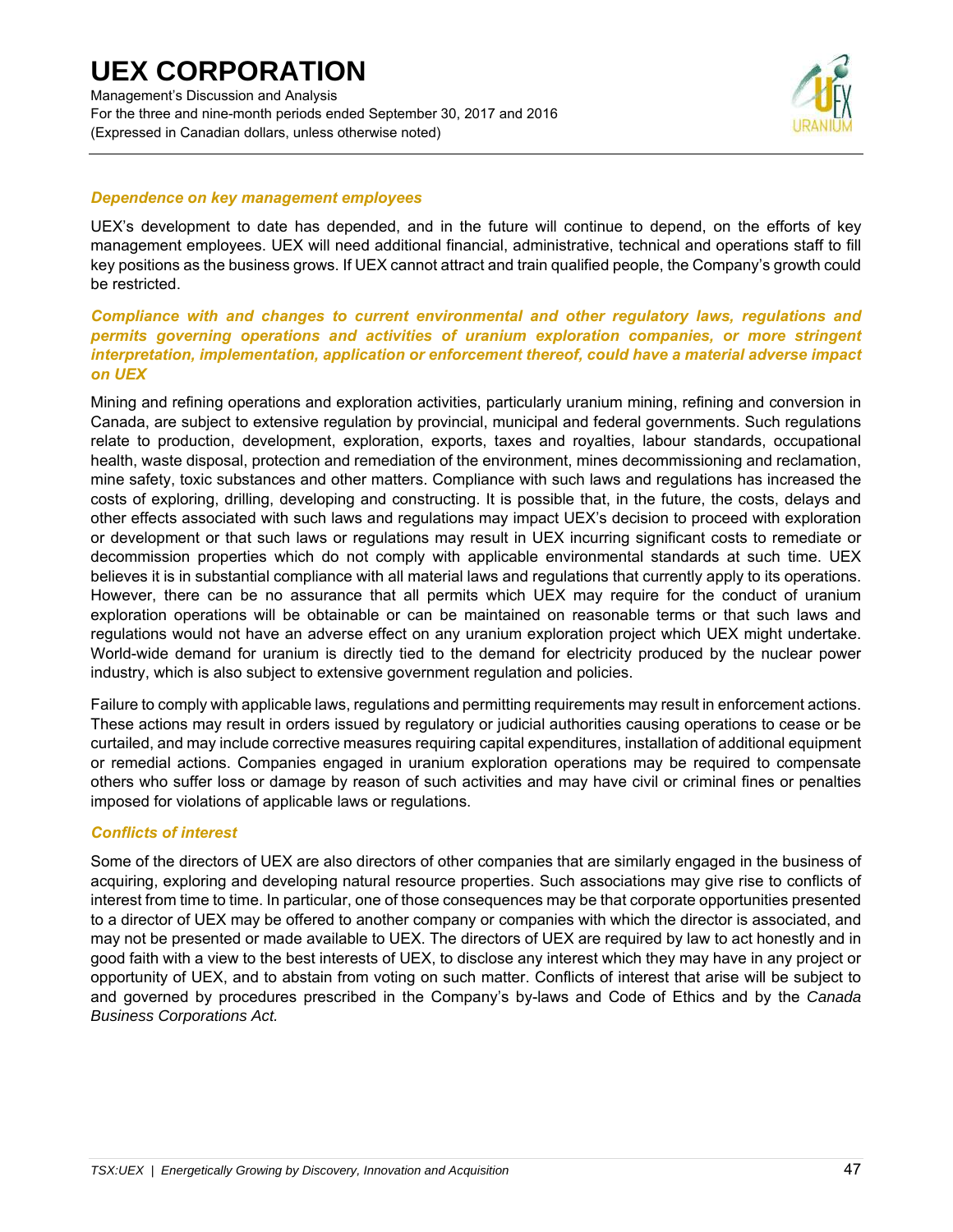

### *Dependence on key management employees*

UEX's development to date has depended, and in the future will continue to depend, on the efforts of key management employees. UEX will need additional financial, administrative, technical and operations staff to fill key positions as the business grows. If UEX cannot attract and train qualified people, the Company's growth could be restricted.

### *Compliance with and changes to current environmental and other regulatory laws, regulations and permits governing operations and activities of uranium exploration companies, or more stringent interpretation, implementation, application or enforcement thereof, could have a material adverse impact on UEX*

Mining and refining operations and exploration activities, particularly uranium mining, refining and conversion in Canada, are subject to extensive regulation by provincial, municipal and federal governments. Such regulations relate to production, development, exploration, exports, taxes and royalties, labour standards, occupational health, waste disposal, protection and remediation of the environment, mines decommissioning and reclamation, mine safety, toxic substances and other matters. Compliance with such laws and regulations has increased the costs of exploring, drilling, developing and constructing. It is possible that, in the future, the costs, delays and other effects associated with such laws and regulations may impact UEX's decision to proceed with exploration or development or that such laws or regulations may result in UEX incurring significant costs to remediate or decommission properties which do not comply with applicable environmental standards at such time. UEX believes it is in substantial compliance with all material laws and regulations that currently apply to its operations. However, there can be no assurance that all permits which UEX may require for the conduct of uranium exploration operations will be obtainable or can be maintained on reasonable terms or that such laws and regulations would not have an adverse effect on any uranium exploration project which UEX might undertake. World-wide demand for uranium is directly tied to the demand for electricity produced by the nuclear power industry, which is also subject to extensive government regulation and policies.

Failure to comply with applicable laws, regulations and permitting requirements may result in enforcement actions. These actions may result in orders issued by regulatory or judicial authorities causing operations to cease or be curtailed, and may include corrective measures requiring capital expenditures, installation of additional equipment or remedial actions. Companies engaged in uranium exploration operations may be required to compensate others who suffer loss or damage by reason of such activities and may have civil or criminal fines or penalties imposed for violations of applicable laws or regulations.

### *Conflicts of interest*

Some of the directors of UEX are also directors of other companies that are similarly engaged in the business of acquiring, exploring and developing natural resource properties. Such associations may give rise to conflicts of interest from time to time. In particular, one of those consequences may be that corporate opportunities presented to a director of UEX may be offered to another company or companies with which the director is associated, and may not be presented or made available to UEX. The directors of UEX are required by law to act honestly and in good faith with a view to the best interests of UEX, to disclose any interest which they may have in any project or opportunity of UEX, and to abstain from voting on such matter. Conflicts of interest that arise will be subject to and governed by procedures prescribed in the Company's by-laws and Code of Ethics and by the *Canada Business Corporations Act.*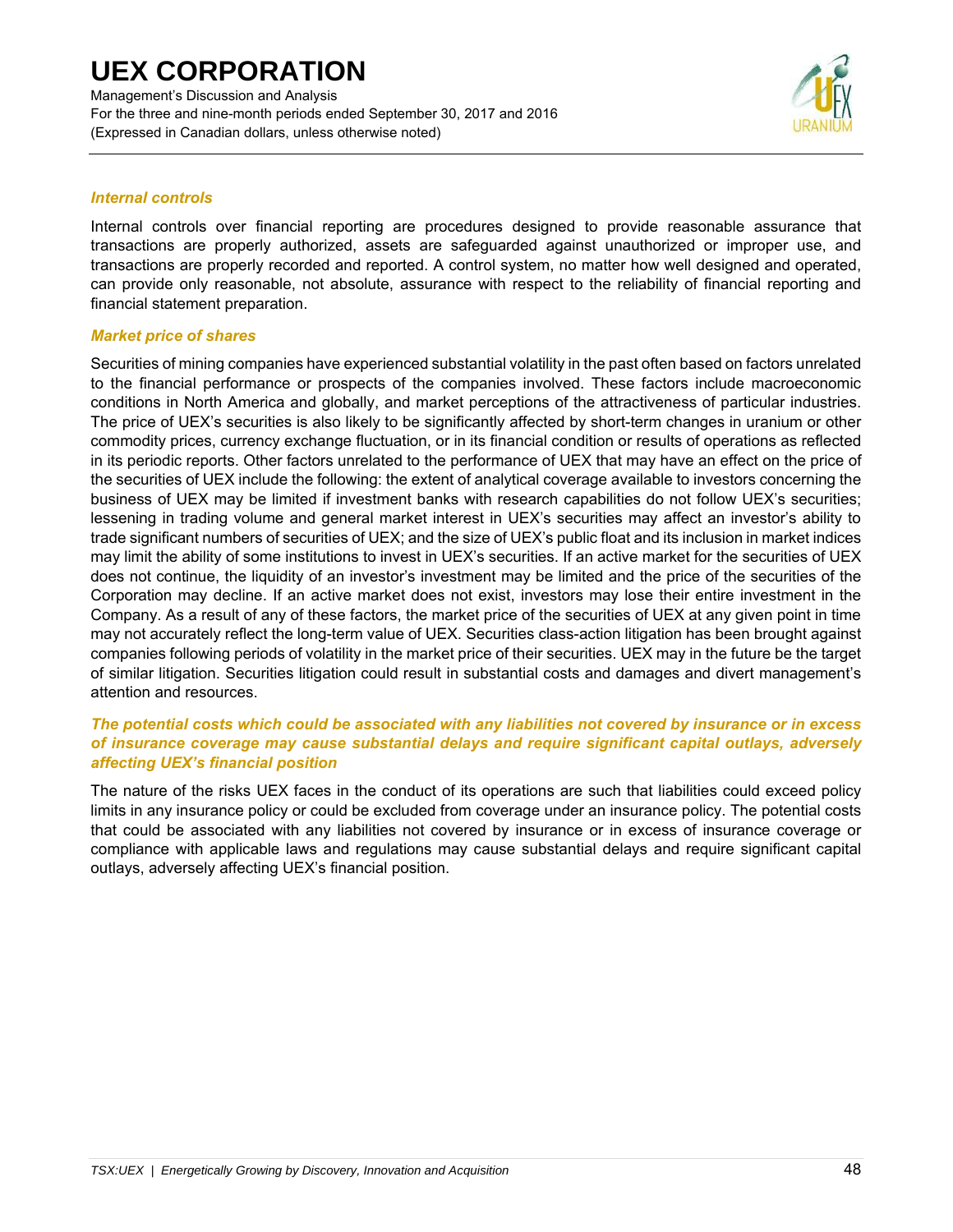Management's Discussion and Analysis For the three and nine-month periods ended September 30, 2017 and 2016 (Expressed in Canadian dollars, unless otherwise noted)



### *Internal controls*

Internal controls over financial reporting are procedures designed to provide reasonable assurance that transactions are properly authorized, assets are safeguarded against unauthorized or improper use, and transactions are properly recorded and reported. A control system, no matter how well designed and operated, can provide only reasonable, not absolute, assurance with respect to the reliability of financial reporting and financial statement preparation.

### *Market price of shares*

Securities of mining companies have experienced substantial volatility in the past often based on factors unrelated to the financial performance or prospects of the companies involved. These factors include macroeconomic conditions in North America and globally, and market perceptions of the attractiveness of particular industries. The price of UEX's securities is also likely to be significantly affected by short-term changes in uranium or other commodity prices, currency exchange fluctuation, or in its financial condition or results of operations as reflected in its periodic reports. Other factors unrelated to the performance of UEX that may have an effect on the price of the securities of UEX include the following: the extent of analytical coverage available to investors concerning the business of UEX may be limited if investment banks with research capabilities do not follow UEX's securities; lessening in trading volume and general market interest in UEX's securities may affect an investor's ability to trade significant numbers of securities of UEX; and the size of UEX's public float and its inclusion in market indices may limit the ability of some institutions to invest in UEX's securities. If an active market for the securities of UEX does not continue, the liquidity of an investor's investment may be limited and the price of the securities of the Corporation may decline. If an active market does not exist, investors may lose their entire investment in the Company. As a result of any of these factors, the market price of the securities of UEX at any given point in time may not accurately reflect the long-term value of UEX. Securities class-action litigation has been brought against companies following periods of volatility in the market price of their securities. UEX may in the future be the target of similar litigation. Securities litigation could result in substantial costs and damages and divert management's attention and resources.

### *The potential costs which could be associated with any liabilities not covered by insurance or in excess of insurance coverage may cause substantial delays and require significant capital outlays, adversely affecting UEX's financial position*

The nature of the risks UEX faces in the conduct of its operations are such that liabilities could exceed policy limits in any insurance policy or could be excluded from coverage under an insurance policy. The potential costs that could be associated with any liabilities not covered by insurance or in excess of insurance coverage or compliance with applicable laws and regulations may cause substantial delays and require significant capital outlays, adversely affecting UEX's financial position.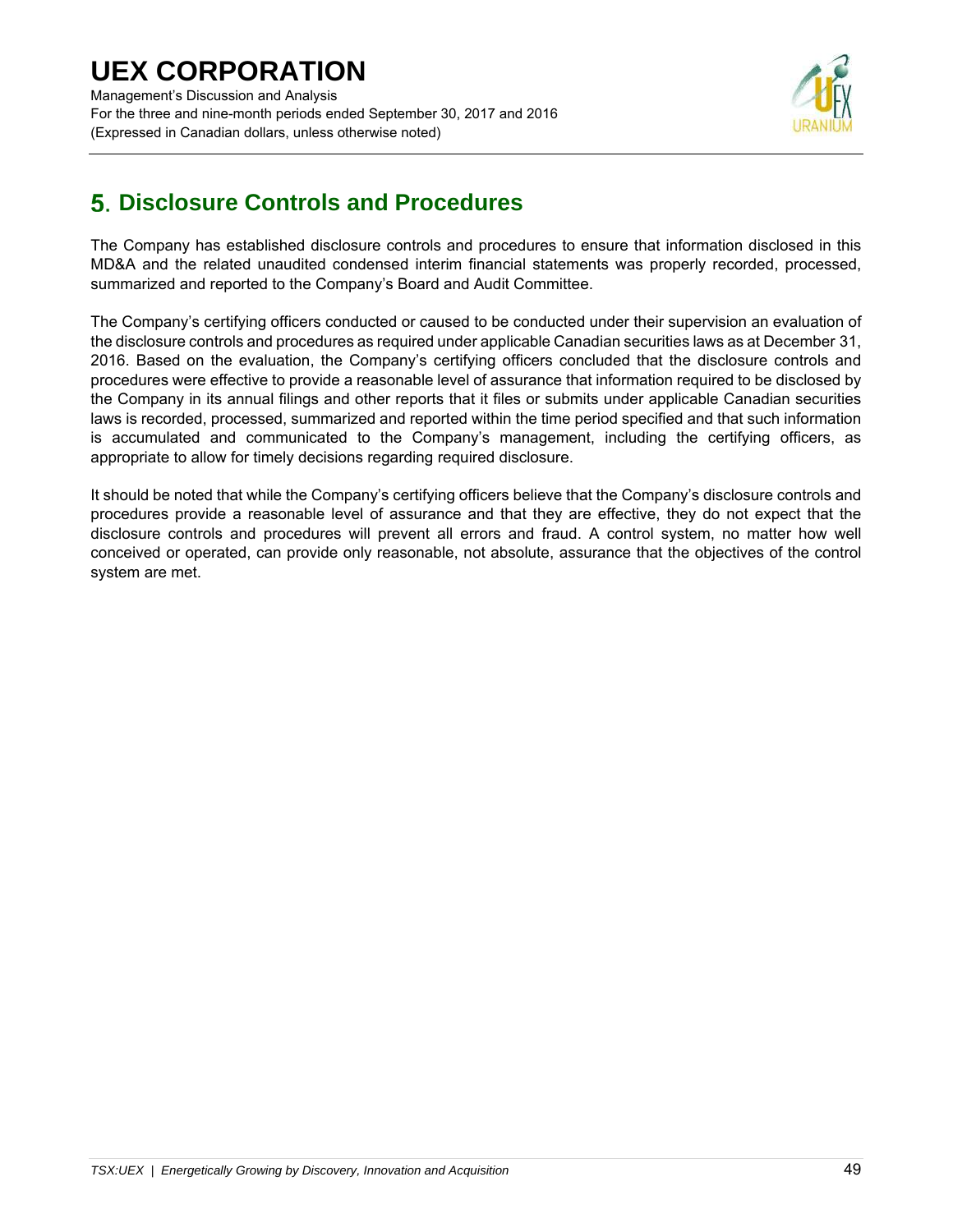Management's Discussion and Analysis For the three and nine-month periods ended September 30, 2017 and 2016 (Expressed in Canadian dollars, unless otherwise noted)



## **Disclosure Controls and Procedures**

The Company has established disclosure controls and procedures to ensure that information disclosed in this MD&A and the related unaudited condensed interim financial statements was properly recorded, processed, summarized and reported to the Company's Board and Audit Committee.

The Company's certifying officers conducted or caused to be conducted under their supervision an evaluation of the disclosure controls and procedures as required under applicable Canadian securities laws as at December 31, 2016. Based on the evaluation, the Company's certifying officers concluded that the disclosure controls and procedures were effective to provide a reasonable level of assurance that information required to be disclosed by the Company in its annual filings and other reports that it files or submits under applicable Canadian securities laws is recorded, processed, summarized and reported within the time period specified and that such information is accumulated and communicated to the Company's management, including the certifying officers, as appropriate to allow for timely decisions regarding required disclosure.

It should be noted that while the Company's certifying officers believe that the Company's disclosure controls and procedures provide a reasonable level of assurance and that they are effective, they do not expect that the disclosure controls and procedures will prevent all errors and fraud. A control system, no matter how well conceived or operated, can provide only reasonable, not absolute, assurance that the objectives of the control system are met.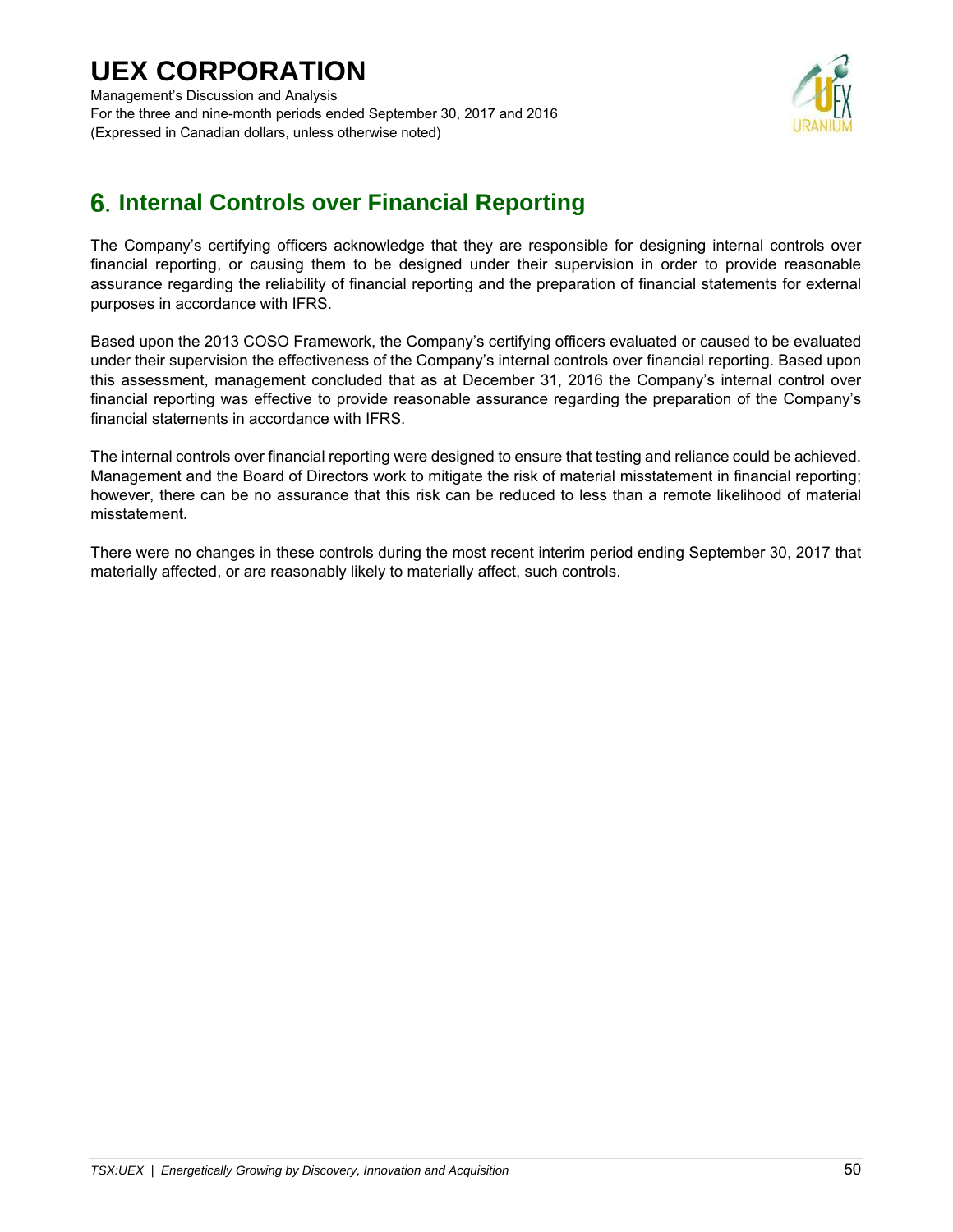## **UEX CORPORATION**  Management's Discussion and Analysis For the three and nine-month periods ended September 30, 2017 and 2016 (Expressed in Canadian dollars, unless otherwise noted)



## **Internal Controls over Financial Reporting**

The Company's certifying officers acknowledge that they are responsible for designing internal controls over financial reporting, or causing them to be designed under their supervision in order to provide reasonable assurance regarding the reliability of financial reporting and the preparation of financial statements for external purposes in accordance with IFRS.

Based upon the 2013 COSO Framework, the Company's certifying officers evaluated or caused to be evaluated under their supervision the effectiveness of the Company's internal controls over financial reporting. Based upon this assessment, management concluded that as at December 31, 2016 the Company's internal control over financial reporting was effective to provide reasonable assurance regarding the preparation of the Company's financial statements in accordance with IFRS.

The internal controls over financial reporting were designed to ensure that testing and reliance could be achieved. Management and the Board of Directors work to mitigate the risk of material misstatement in financial reporting; however, there can be no assurance that this risk can be reduced to less than a remote likelihood of material misstatement.

There were no changes in these controls during the most recent interim period ending September 30, 2017 that materially affected, or are reasonably likely to materially affect, such controls.